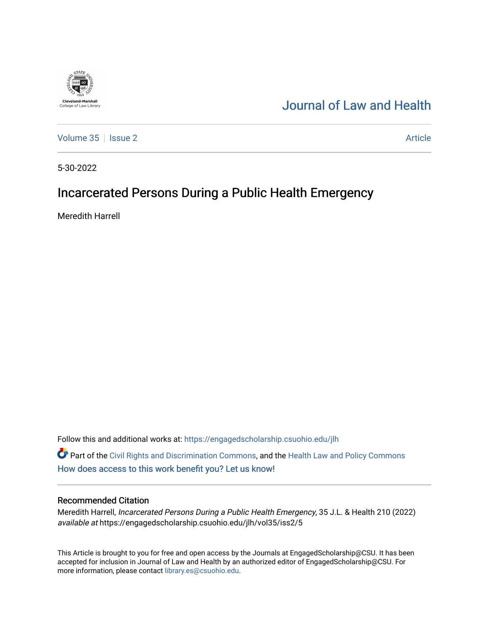## [Journal of Law and Health](https://engagedscholarship.csuohio.edu/jlh)

[Volume 35](https://engagedscholarship.csuohio.edu/jlh/vol35) | [Issue 2](https://engagedscholarship.csuohio.edu/jlh/vol35/iss2) Article

5-30-2022

**Cleveland-Marshall**<br>College of Law Library

# Incarcerated Persons During a Public Health Emergency

Meredith Harrell

Follow this and additional works at: [https://engagedscholarship.csuohio.edu/jlh](https://engagedscholarship.csuohio.edu/jlh?utm_source=engagedscholarship.csuohio.edu%2Fjlh%2Fvol35%2Fiss2%2F5&utm_medium=PDF&utm_campaign=PDFCoverPages) 

Part of the [Civil Rights and Discrimination Commons,](https://network.bepress.com/hgg/discipline/585?utm_source=engagedscholarship.csuohio.edu%2Fjlh%2Fvol35%2Fiss2%2F5&utm_medium=PDF&utm_campaign=PDFCoverPages) and the [Health Law and Policy Commons](https://network.bepress.com/hgg/discipline/901?utm_source=engagedscholarship.csuohio.edu%2Fjlh%2Fvol35%2Fiss2%2F5&utm_medium=PDF&utm_campaign=PDFCoverPages)  [How does access to this work benefit you? Let us know!](http://library.csuohio.edu/engaged/)

## Recommended Citation

Meredith Harrell, Incarcerated Persons During a Public Health Emergency, 35 J.L. & Health 210 (2022) available at https://engagedscholarship.csuohio.edu/jlh/vol35/iss2/5

This Article is brought to you for free and open access by the Journals at EngagedScholarship@CSU. It has been accepted for inclusion in Journal of Law and Health by an authorized editor of EngagedScholarship@CSU. For more information, please contact [library.es@csuohio.edu](mailto:library.es@csuohio.edu).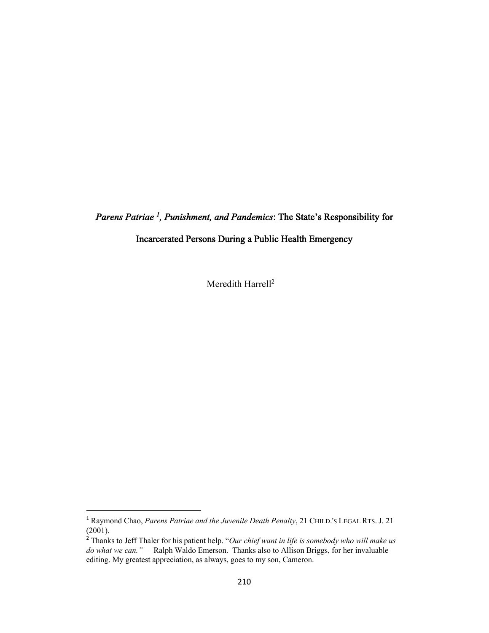*Parens Patriae <sup>1</sup> , Punishment, and Pandemics*: The State's Responsibility for

Incarcerated Persons During a Public Health Emergency

Meredith Harrell<sup>2</sup>

<sup>1</sup> Raymond Chao, *Parens Patriae and the Juvenile Death Penalty*, 21 CHILD.'S LEGAL RTS. J. 21 (2001).

<sup>2</sup> Thanks to Jeff Thaler for his patient help. "*Our chief want in life is somebody who will make us do what we can." —* Ralph Waldo Emerson. Thanks also to Allison Briggs, for her invaluable editing. My greatest appreciation, as always, goes to my son, Cameron.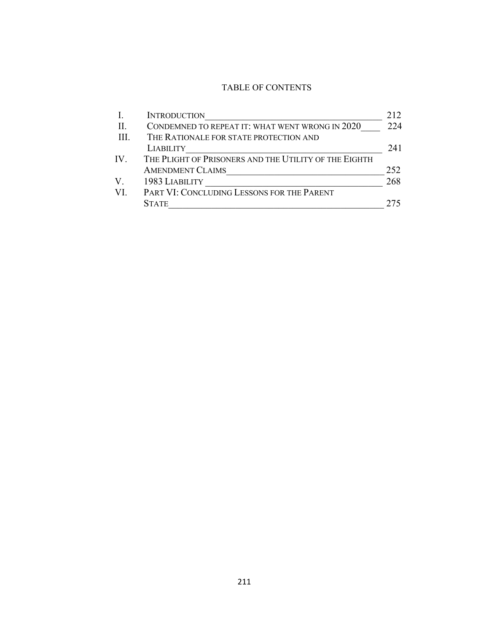## TABLE OF CONTENTS

|              | <b>INTRODUCTION</b>                                   | 212 |
|--------------|-------------------------------------------------------|-----|
| H.           | CONDEMNED TO REPEAT IT: WHAT WENT WRONG IN 2020       | 224 |
| $\mathbf{H}$ | THE RATIONALE FOR STATE PROTECTION AND                |     |
|              | <b>LIABILITY</b>                                      | 241 |
| IV.          | THE PLIGHT OF PRISONERS AND THE UTILITY OF THE EIGHTH |     |
|              | <b>AMENDMENT CLAIMS</b>                               | 252 |
| V.           | 1983 LIABILITY                                        | 268 |
| VI.          | PART VI: CONCLUDING LESSONS FOR THE PARENT            |     |
|              | <b>STATE</b>                                          |     |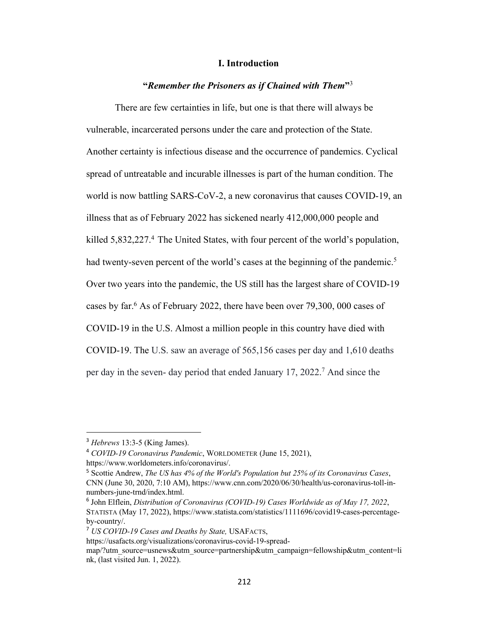## **I. Introduction**

## **"***Remember the Prisoners as if Chained with Them***"**<sup>3</sup>

There are few certainties in life, but one is that there will always be vulnerable, incarcerated persons under the care and protection of the State. Another certainty is infectious disease and the occurrence of pandemics. Cyclical spread of untreatable and incurable illnesses is part of the human condition. The world is now battling SARS-CoV-2, a new coronavirus that causes COVID-19, an illness that as of February 2022 has sickened nearly 412,000,000 people and killed 5,832,227.<sup>4</sup> The United States, with four percent of the world's population, had twenty-seven percent of the world's cases at the beginning of the pandemic.<sup>5</sup> Over two years into the pandemic, the US still has the largest share of COVID-19 cases by far.6 As of February 2022, there have been over 79,300, 000 cases of COVID-19 in the U.S. Almost a million people in this country have died with COVID-19. The U.S. saw an average of 565,156 cases per day and 1,610 deaths per day in the seven- day period that ended January 17, 2022.7 And since the

<sup>3</sup> *Hebrews* 13:3-5 (King James).

<sup>4</sup> *COVID-19 Coronavirus Pandemic*, WORLDOMETER (June 15, 2021), https://www.worldometers.info/coronavirus/.

<sup>5</sup> Scottie Andrew, *The US has 4% of the World's Population but 25% of its Coronavirus Cases*, CNN (June 30, 2020, 7:10 AM), https://www.cnn.com/2020/06/30/health/us-coronavirus-toll-innumbers-june-trnd/index.html.

<sup>6</sup> John Elflein, *Distribution of Coronavirus (COVID-19) Cases Worldwide as of May 17, 2022*, STATISTA (May 17, 2022), https://www.statista.com/statistics/1111696/covid19-cases-percentageby-country/.

<sup>7</sup> *US COVID-19 Cases and Deaths by State,* USAFACTS,

https://usafacts.org/visualizations/coronavirus-covid-19-spread-

map/?utm\_source=usnews&utm\_source=partnership&utm\_campaign=fellowship&utm\_content=li nk, (last visited Jun. 1, 2022).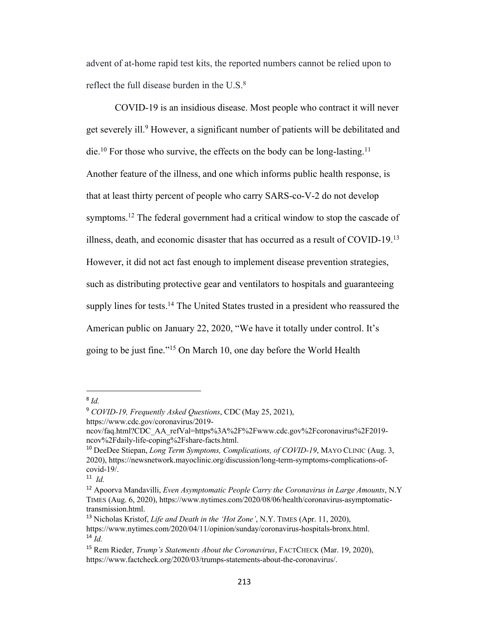advent of at-home rapid test kits, the reported numbers cannot be relied upon to reflect the full disease burden in the  $U.S.^8$ 

COVID-19 is an insidious disease. Most people who contract it will never get severely ill.9 However, a significant number of patients will be debilitated and die.<sup>10</sup> For those who survive, the effects on the body can be long-lasting.<sup>11</sup> Another feature of the illness, and one which informs public health response, is that at least thirty percent of people who carry SARS-co-V-2 do not develop symptoms.<sup>12</sup> The federal government had a critical window to stop the cascade of illness, death, and economic disaster that has occurred as a result of COVID-19.13 However, it did not act fast enough to implement disease prevention strategies, such as distributing protective gear and ventilators to hospitals and guaranteeing supply lines for tests.<sup>14</sup> The United States trusted in a president who reassured the American public on January 22, 2020, "We have it totally under control. It's going to be just fine."15 On March 10, one day before the World Health

<sup>8</sup> *Id.*

<sup>9</sup> *COVID-19, Frequently Asked Questions*, CDC (May 25, 2021), https://www.cdc.gov/coronavirus/2019-

ncov/faq.html?CDC\_AA\_refVal=https%3A%2F%2Fwww.cdc.gov%2Fcoronavirus%2F2019 ncov%2Fdaily-life-coping%2Fshare-facts.html.

<sup>10</sup> DeeDee Stiepan, *Long Term Symptoms, Complications, of COVID-19*, MAYO CLINIC (Aug. 3, 2020), https://newsnetwork.mayoclinic.org/discussion/long-term-symptoms-complications-ofcovid-19/.

<sup>11</sup> *Id.*

<sup>12</sup> Apoorva Mandavilli, *Even Asymptomatic People Carry the Coronavirus in Large Amounts*, N.Y TIMES (Aug. 6, 2020), https://www.nytimes.com/2020/08/06/health/coronavirus-asymptomatictransmission.html.

<sup>13</sup> Nicholas Kristof, *Life and Death in the 'Hot Zone'*, N.Y. TIMES (Apr. 11, 2020), https://www.nytimes.com/2020/04/11/opinion/sunday/coronavirus-hospitals-bronx.html. <sup>14</sup> *Id.*

<sup>15</sup> Rem Rieder, *Trump's Statements About the Coronavirus*, FACTCHECK (Mar. 19, 2020), https://www.factcheck.org/2020/03/trumps-statements-about-the-coronavirus/.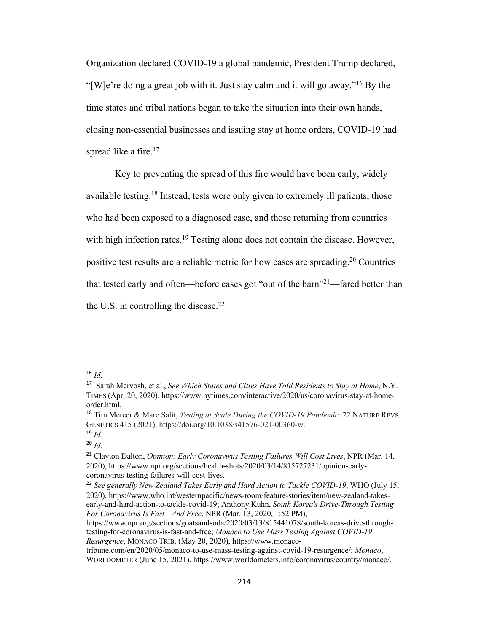Organization declared COVID-19 a global pandemic, President Trump declared, "[W]e're doing a great job with it. Just stay calm and it will go away."<sup>16</sup> By the time states and tribal nations began to take the situation into their own hands, closing non-essential businesses and issuing stay at home orders, COVID-19 had spread like a fire.<sup>17</sup>

Key to preventing the spread of this fire would have been early, widely available testing.18 Instead, tests were only given to extremely ill patients, those who had been exposed to a diagnosed case, and those returning from countries with high infection rates.<sup>19</sup> Testing alone does not contain the disease. However, positive test results are a reliable metric for how cases are spreading.20 Countries that tested early and often—before cases got "out of the barn"<sup>21</sup>—fared better than the U.S. in controlling the disease. $^{22}$ 

<sup>16</sup> *Id.*

<sup>17</sup> Sarah Mervosh, et al., *See Which States and Cities Have Told Residents to Stay at Home*, N.Y. TIMES (Apr. 20, 2020), https://www.nytimes.com/interactive/2020/us/coronavirus-stay-at-homeorder.html.

<sup>18</sup> Tim Mercer & Marc Salit, *Testing at Scale During the COVID-19 Pandemic,* 22 NATURE REVS. GENETICS 415 (2021), https://doi.org/10.1038/s41576-021-00360-w. <sup>19</sup> *Id.*

<sup>20</sup> *Id.*

<sup>21</sup> Clayton Dalton, *Opinion: Early Coronavirus Testing Failures Will Cost Lives*, NPR (Mar. 14, 2020), https://www.npr.org/sections/health-shots/2020/03/14/815727231/opinion-earlycoronavirus-testing-failures-will-cost-lives.

<sup>22</sup> *See generally New Zealand Takes Early and Hard Action to Tackle COVID-19*, WHO (July 15, 2020), https://www.who.int/westernpacific/news-room/feature-stories/item/new-zealand-takesearly-and-hard-action-to-tackle-covid-19; Anthony Kuhn, *South Korea's Drive-Through Testing For Coronavirus Is Fast—And Free*, NPR (Mar. 13, 2020, 1:52 PM),

https://www.npr.org/sections/goatsandsoda/2020/03/13/815441078/south-koreas-drive-throughtesting-for-coronavirus-is-fast-and-free; *Monaco to Use Mass Testing Against COVID-19 Resurgence*, MONACO TRIB. (May 20, 2020), https://www.monaco-

tribune.com/en/2020/05/monaco-to-use-mass-testing-against-covid-19-resurgence/; *Monaco*, WORLDOMETER (June 15, 2021), https://www.worldometers.info/coronavirus/country/monaco/.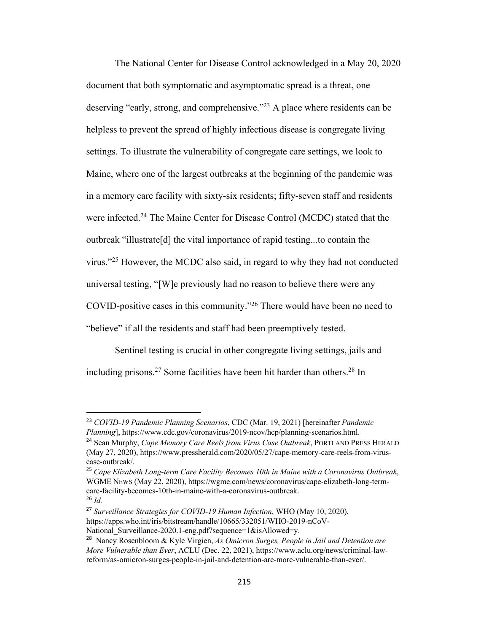The National Center for Disease Control acknowledged in a May 20, 2020 document that both symptomatic and asymptomatic spread is a threat, one deserving "early, strong, and comprehensive."<sup>23</sup> A place where residents can be helpless to prevent the spread of highly infectious disease is congregate living settings. To illustrate the vulnerability of congregate care settings, we look to Maine, where one of the largest outbreaks at the beginning of the pandemic was in a memory care facility with sixty-six residents; fifty-seven staff and residents were infected.<sup>24</sup> The Maine Center for Disease Control (MCDC) stated that the outbreak "illustrate[d] the vital importance of rapid testing...to contain the virus."25 However, the MCDC also said, in regard to why they had not conducted universal testing, "[W]e previously had no reason to believe there were any COVID-positive cases in this community."26 There would have been no need to "believe" if all the residents and staff had been preemptively tested.

Sentinel testing is crucial in other congregate living settings, jails and including prisons.<sup>27</sup> Some facilities have been hit harder than others.<sup>28</sup> In

<sup>23</sup> *COVID-19 Pandemic Planning Scenarios*, CDC (Mar. 19, 2021) [hereinafter *Pandemic Planning*], https://www.cdc.gov/coronavirus/2019-ncov/hcp/planning-scenarios.html.

<sup>24</sup> Sean Murphy, *Cape Memory Care Reels from Virus Case Outbreak*, PORTLAND PRESS HERALD (May 27, 2020), https://www.pressherald.com/2020/05/27/cape-memory-care-reels-from-viruscase-outbreak/.

<sup>25</sup> *Cape Elizabeth Long-term Care Facility Becomes 10th in Maine with a Coronavirus Outbreak*, WGME NEWS (May 22, 2020), https://wgme.com/news/coronavirus/cape-elizabeth-long-termcare-facility-becomes-10th-in-maine-with-a-coronavirus-outbreak. <sup>26</sup> *Id.*

<sup>27</sup> *Surveillance Strategies for COVID-19 Human Infection*, WHO (May 10, 2020), https://apps.who.int/iris/bitstream/handle/10665/332051/WHO-2019-nCoV-National Surveillance-2020.1-eng.pdf?sequence=1&isAllowed=y.

<sup>28</sup> Nancy Rosenbloom & Kyle Virgien, *As Omicron Surges, People in Jail and Detention are More Vulnerable than Ever*, ACLU (Dec. 22, 2021), https://www.aclu.org/news/criminal-lawreform/as-omicron-surges-people-in-jail-and-detention-are-more-vulnerable-than-ever/.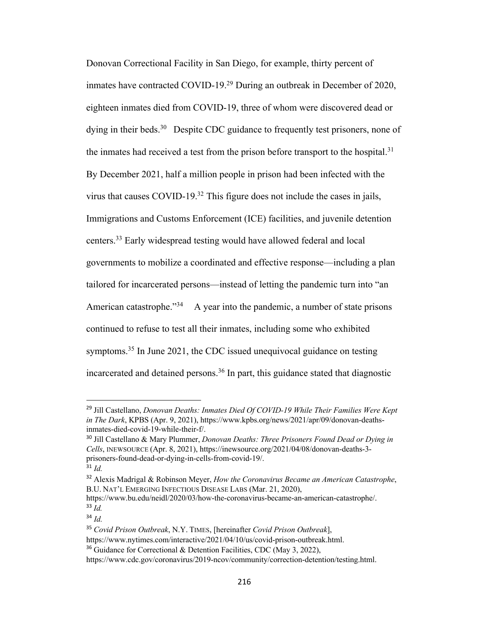Donovan Correctional Facility in San Diego, for example, thirty percent of inmates have contracted COVID-19.29 During an outbreak in December of 2020, eighteen inmates died from COVID-19, three of whom were discovered dead or dying in their beds.<sup>30</sup> Despite CDC guidance to frequently test prisoners, none of the inmates had received a test from the prison before transport to the hospital.<sup>31</sup> By December 2021, half a million people in prison had been infected with the virus that causes COVID-19.32 This figure does not include the cases in jails, Immigrations and Customs Enforcement (ICE) facilities, and juvenile detention centers.33 Early widespread testing would have allowed federal and local governments to mobilize a coordinated and effective response—including a plan tailored for incarcerated persons—instead of letting the pandemic turn into "an American catastrophe. $^{334}$  A year into the pandemic, a number of state prisons continued to refuse to test all their inmates, including some who exhibited symptoms.<sup>35</sup> In June 2021, the CDC issued unequivocal guidance on testing incarcerated and detained persons.<sup>36</sup> In part, this guidance stated that diagnostic

<sup>29</sup> Jill Castellano, *Donovan Deaths: Inmates Died Of COVID-19 While Their Families Were Kept in The Dark*, KPBS (Apr. 9, 2021), https://www.kpbs.org/news/2021/apr/09/donovan-deathsinmates-died-covid-19-while-their-f/.

<sup>30</sup> Jill Castellano & Mary Plummer, *Donovan Deaths: Three Prisoners Found Dead or Dying in Cells*, INEWSOURCE (Apr. 8, 2021), https://inewsource.org/2021/04/08/donovan-deaths-3 prisoners-found-dead-or-dying-in-cells-from-covid-19/.

<sup>31</sup> *Id.*

<sup>32</sup> Alexis Madrigal & Robinson Meyer, *How the Coronavirus Became an American Catastrophe*, B.U. NAT'L EMERGING INFECTIOUS DISEASE LABS (Mar. 21, 2020),

https://www.bu.edu/neidl/2020/03/how-the-coronavirus-became-an-american-catastrophe/.  $\overline{33}$   $\overline{1d}$ .

<sup>34</sup> *Id.*

<sup>35</sup> *Covid Prison Outbreak*, N.Y. TIMES, [hereinafter *Covid Prison Outbreak*],

https://www.nytimes.com/interactive/2021/04/10/us/covid-prison-outbreak.html.

<sup>&</sup>lt;sup>36</sup> Guidance for Correctional & Detention Facilities, CDC (May 3, 2022),

https://www.cdc.gov/coronavirus/2019-ncov/community/correction-detention/testing.html.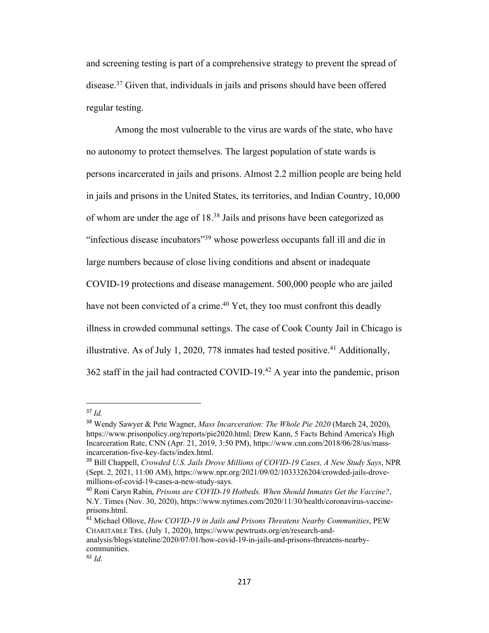and screening testing is part of a comprehensive strategy to prevent the spread of disease.37 Given that, individuals in jails and prisons should have been offered regular testing.

Among the most vulnerable to the virus are wards of the state, who have no autonomy to protect themselves. The largest population of state wards is persons incarcerated in jails and prisons. Almost 2.2 million people are being held in jails and prisons in the United States, its territories, and Indian Country, 10,000 of whom are under the age of 18.38 Jails and prisons have been categorized as "infectious disease incubators"39 whose powerless occupants fall ill and die in large numbers because of close living conditions and absent or inadequate COVID-19 protections and disease management. 500,000 people who are jailed have not been convicted of a crime.<sup>40</sup> Yet, they too must confront this deadly illness in crowded communal settings. The case of Cook County Jail in Chicago is illustrative. As of July 1, 2020, 778 inmates had tested positive.<sup>41</sup> Additionally, 362 staff in the jail had contracted COVID-19.42 A year into the pandemic, prison

<sup>37</sup> *Id.*

<sup>38</sup> Wendy Sawyer & Pete Wagner, *Mass Incarceration: The Whole Pie 2020* (March 24, 2020), https://www.prisonpolicy.org/reports/pie2020.html; Drew Kann, 5 Facts Behind America's High Incarceration Rate, CNN (Apr. 21, 2019, 3:50 PM), https://www.cnn.com/2018/06/28/us/massincarceration-five-key-facts/index.html.

<sup>39</sup> Bill Chappell, *Crowded U.S. Jails Drove Millions of COVID-19 Cases, A New Study Says*, NPR (Sept. 2, 2021, 11:00 AM), https://www.npr.org/2021/09/02/1033326204/crowded-jails-drovemillions-of-covid-19-cases-a-new-study-says.

<sup>40</sup> Roni Caryn Rabin, *Prisons are COVID-19 Hotbeds. When Should Inmates Get the Vaccine?*, N.Y. Times (Nov. 30, 2020), https://www.nytimes.com/2020/11/30/health/coronavirus-vaccineprisons.html.

<sup>41</sup> Michael Ollove, *How COVID-19 in Jails and Prisons Threatens Nearby Communities*, PEW CHARITABLE TRS. (July 1, 2020), https://www.pewtrusts.org/en/research-andanalysis/blogs/stateline/2020/07/01/how-covid-19-in-jails-and-prisons-threatens-nearby-

communities.

 $42$  *Id.*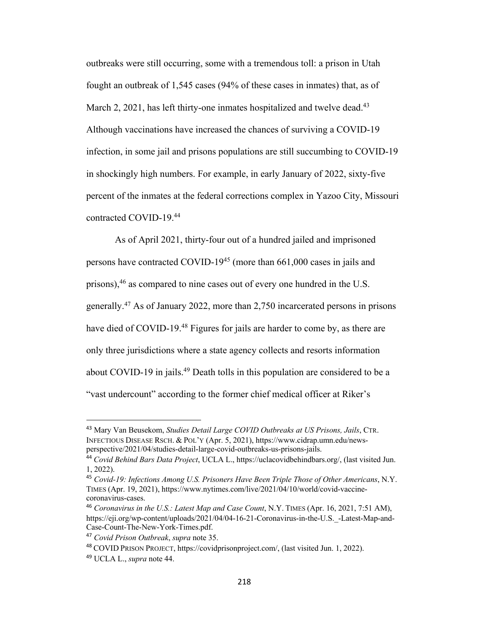outbreaks were still occurring, some with a tremendous toll: a prison in Utah fought an outbreak of 1,545 cases (94% of these cases in inmates) that, as of March 2, 2021, has left thirty-one inmates hospitalized and twelve dead.<sup>43</sup> Although vaccinations have increased the chances of surviving a COVID-19 infection, in some jail and prisons populations are still succumbing to COVID-19 in shockingly high numbers. For example, in early January of 2022, sixty-five percent of the inmates at the federal corrections complex in Yazoo City, Missouri contracted COVID-19.44

As of April 2021, thirty-four out of a hundred jailed and imprisoned persons have contracted COVID-1945 (more than 661,000 cases in jails and prisons),  $46$  as compared to nine cases out of every one hundred in the U.S. generally.47 As of January 2022, more than 2,750 incarcerated persons in prisons have died of COVID-19.<sup>48</sup> Figures for jails are harder to come by, as there are only three jurisdictions where a state agency collects and resorts information about COVID-19 in jails.<sup>49</sup> Death tolls in this population are considered to be a "vast undercount" according to the former chief medical officer at Riker's

<sup>43</sup> Mary Van Beusekom, *Studies Detail Large COVID Outbreaks at US Prisons, Jails*, CTR. INFECTIOUS DISEASE RSCH. & POL'Y (Apr. 5, 2021), https://www.cidrap.umn.edu/newsperspective/2021/04/studies-detail-large-covid-outbreaks-us-prisons-jails.

<sup>44</sup> *Covid Behind Bars Data Project*, UCLA L., https://uclacovidbehindbars.org/, (last visited Jun. 1, 2022).

<sup>45</sup> *Covid-19: Infections Among U.S. Prisoners Have Been Triple Those of Other Americans*, N.Y. TIMES (Apr. 19, 2021), https://www.nytimes.com/live/2021/04/10/world/covid-vaccinecoronavirus-cases.

<sup>46</sup> *Coronavirus in the U.S.: Latest Map and Case Count*, N.Y. TIMES (Apr. 16, 2021, 7:51 AM), https://eji.org/wp-content/uploads/2021/04/04-16-21-Coronavirus-in-the-U.S.\_-Latest-Map-and-Case-Count-The-New-York-Times.pdf.

<sup>47</sup> *Covid Prison Outbreak*, *supra* note 35.

<sup>48</sup> COVID PRISON PROJECT, https://covidprisonproject.com/, (last visited Jun. 1, 2022).

<sup>49</sup> UCLA L., *supra* note 44.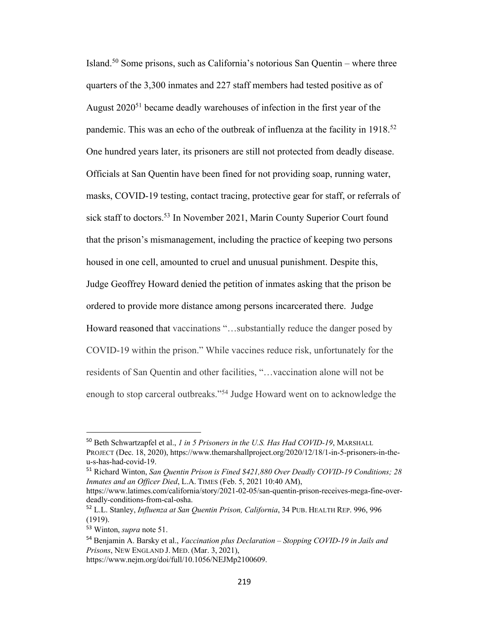Island.<sup>50</sup> Some prisons, such as California's notorious San Quentin – where three quarters of the 3,300 inmates and 227 staff members had tested positive as of August 2020<sup>51</sup> became deadly warehouses of infection in the first year of the pandemic. This was an echo of the outbreak of influenza at the facility in 1918.<sup>52</sup> One hundred years later, its prisoners are still not protected from deadly disease. Officials at San Quentin have been fined for not providing soap, running water, masks, COVID-19 testing, contact tracing, protective gear for staff, or referrals of sick staff to doctors.<sup>53</sup> In November 2021, Marin County Superior Court found that the prison's mismanagement, including the practice of keeping two persons housed in one cell, amounted to cruel and unusual punishment. Despite this, Judge Geoffrey Howard denied the petition of inmates asking that the prison be ordered to provide more distance among persons incarcerated there. Judge Howard reasoned that vaccinations "…substantially reduce the danger posed by COVID-19 within the prison." While vaccines reduce risk, unfortunately for the residents of San Quentin and other facilities, "…vaccination alone will not be enough to stop carceral outbreaks."54 Judge Howard went on to acknowledge the

<sup>50</sup> Beth Schwartzapfel et al., *1 in 5 Prisoners in the U.S. Has Had COVID-19*, MARSHALL PROJECT (Dec. 18, 2020), https://www.themarshallproject.org/2020/12/18/1-in-5-prisoners-in-theu-s-has-had-covid-19.

<sup>51</sup> Richard Winton, *San Quentin Prison is Fined \$421,880 Over Deadly COVID-19 Conditions; 28 Inmates and an Officer Died*, L.A. TIMES (Feb. 5, 2021 10:40 AM),

https://www.latimes.com/california/story/2021-02-05/san-quentin-prison-receives-mega-fine-overdeadly-conditions-from-cal-osha.

<sup>52</sup> L.L. Stanley, *Influenza at San Quentin Prison, California*, 34 PUB. HEALTH REP. 996, 996 (1919).

<sup>53</sup> Winton, *supra* note 51.

<sup>54</sup> Benjamin A. Barsky et al., *Vaccination plus Declaration – Stopping COVID-19 in Jails and Prisons*, NEW ENGLAND J. MED. (Mar. 3, 2021),

https://www.nejm.org/doi/full/10.1056/NEJMp2100609.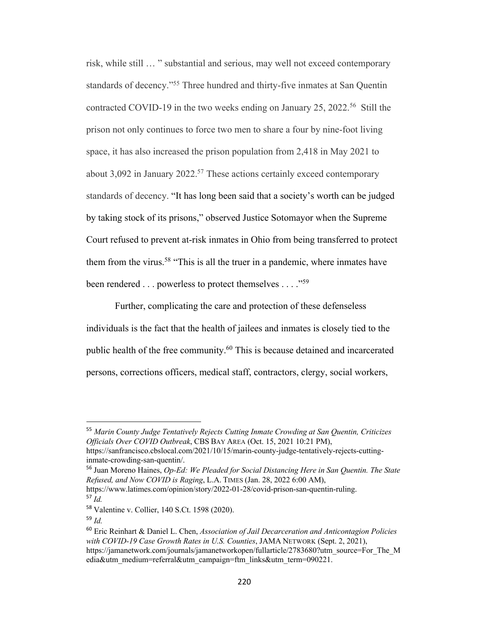risk, while still … " substantial and serious, may well not exceed contemporary standards of decency."55 Three hundred and thirty-five inmates at San Quentin contracted COVID-19 in the two weeks ending on January 25, 2022.<sup>56</sup> Still the prison not only continues to force two men to share a four by nine-foot living space, it has also increased the prison population from 2,418 in May 2021 to about  $3,092$  in January  $2022$ .<sup>57</sup> These actions certainly exceed contemporary standards of decency. "It has long been said that a society's worth can be judged by taking stock of its prisons," observed Justice Sotomayor when the Supreme Court refused to prevent at-risk inmates in Ohio from being transferred to protect them from the virus.<sup>58</sup> "This is all the truer in a pandemic, where inmates have been rendered . . . powerless to protect themselves . . . ."59

Further, complicating the care and protection of these defenseless individuals is the fact that the health of jailees and inmates is closely tied to the public health of the free community.<sup>60</sup> This is because detained and incarcerated persons, corrections officers, medical staff, contractors, clergy, social workers,

<sup>55</sup> *Marin County Judge Tentatively Rejects Cutting Inmate Crowding at San Quentin, Criticizes Officials Over COVID Outbreak*, CBS BAY AREA (Oct. 15, 2021 10:21 PM),

https://sanfrancisco.cbslocal.com/2021/10/15/marin-county-judge-tentatively-rejects-cuttinginmate-crowding-san-quentin/.

<sup>56</sup> Juan Moreno Haines, *Op-Ed: We Pleaded for Social Distancing Here in San Quentin. The State Refused, and Now COVID is Raging*, L.A. TIMES (Jan. 28, 2022 6:00 AM),

https://www.latimes.com/opinion/story/2022-01-28/covid-prison-san-quentin-ruling. <sup>57</sup> *Id.*

<sup>58</sup> Valentine v. Collier, 140 S.Ct. 1598 (2020).

<sup>59</sup> *Id.*

<sup>60</sup> Eric Reinhart & Daniel L. Chen, *Association of Jail Decarceration and Anticontagion Policies with COVID-19 Case Growth Rates in U.S. Counties*, JAMA NETWORK (Sept. 2, 2021), https://jamanetwork.com/journals/jamanetworkopen/fullarticle/2783680?utm\_source=For\_The\_M edia&utm\_medium=referral&utm\_campaign=ftm\_links&utm\_term=090221.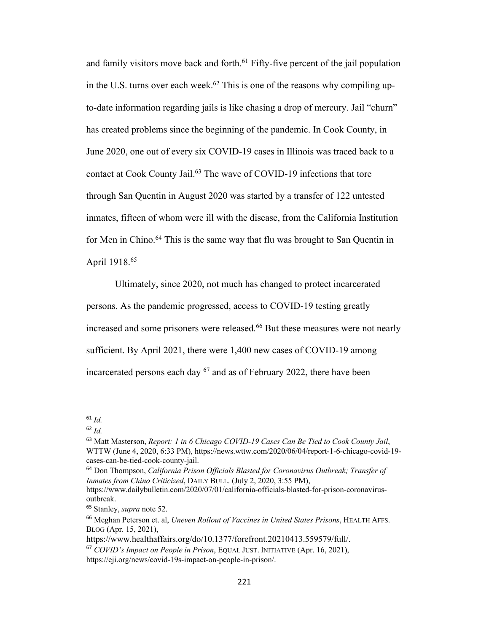and family visitors move back and forth.<sup>61</sup> Fifty-five percent of the jail population in the U.S. turns over each week.<sup>62</sup> This is one of the reasons why compiling upto-date information regarding jails is like chasing a drop of mercury. Jail "churn" has created problems since the beginning of the pandemic. In Cook County, in June 2020, one out of every six COVID-19 cases in Illinois was traced back to a contact at Cook County Jail.<sup>63</sup> The wave of COVID-19 infections that tore through San Quentin in August 2020 was started by a transfer of 122 untested inmates, fifteen of whom were ill with the disease, from the California Institution for Men in Chino.<sup>64</sup> This is the same way that flu was brought to San Quentin in April 1918.65

Ultimately, since 2020, not much has changed to protect incarcerated persons. As the pandemic progressed, access to COVID-19 testing greatly increased and some prisoners were released.<sup>66</sup> But these measures were not nearly sufficient. By April 2021, there were 1,400 new cases of COVID-19 among incarcerated persons each day  $67$  and as of February 2022, there have been

<sup>61</sup> *Id.*

<sup>62</sup> *Id.*

<sup>63</sup> Matt Masterson, *Report: 1 in 6 Chicago COVID-19 Cases Can Be Tied to Cook County Jail*, WTTW (June 4, 2020, 6:33 PM), https://news.wttw.com/2020/06/04/report-1-6-chicago-covid-19 cases-can-be-tied-cook-county-jail.

<sup>64</sup> Don Thompson, *California Prison Officials Blasted for Coronavirus Outbreak; Transfer of Inmates from Chino Criticized*, DAILY BULL. (July 2, 2020, 3:55 PM),

https://www.dailybulletin.com/2020/07/01/california-officials-blasted-for-prison-coronavirusoutbreak.

<sup>65</sup> Stanley, *supra* note 52.

<sup>66</sup> Meghan Peterson et. al, *Uneven Rollout of Vaccines in United States Prisons*, HEALTH AFFS. BLOG (Apr. 15, 2021),

https://www.healthaffairs.org/do/10.1377/forefront.20210413.559579/full/.

<sup>67</sup> *COVID's Impact on People in Prison*, EQUAL JUST. INITIATIVE (Apr. 16, 2021), https://eji.org/news/covid-19s-impact-on-people-in-prison/.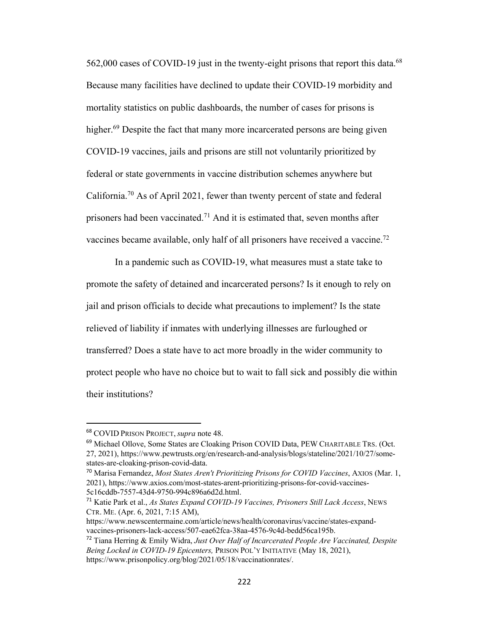562,000 cases of COVID-19 just in the twenty-eight prisons that report this data.<sup>68</sup> Because many facilities have declined to update their COVID-19 morbidity and mortality statistics on public dashboards, the number of cases for prisons is higher.<sup>69</sup> Despite the fact that many more incarcerated persons are being given COVID-19 vaccines, jails and prisons are still not voluntarily prioritized by federal or state governments in vaccine distribution schemes anywhere but California.70 As of April 2021, fewer than twenty percent of state and federal prisoners had been vaccinated.71 And it is estimated that, seven months after vaccines became available, only half of all prisoners have received a vaccine.<sup>72</sup>

In a pandemic such as COVID-19, what measures must a state take to promote the safety of detained and incarcerated persons? Is it enough to rely on jail and prison officials to decide what precautions to implement? Is the state relieved of liability if inmates with underlying illnesses are furloughed or transferred? Does a state have to act more broadly in the wider community to protect people who have no choice but to wait to fall sick and possibly die within their institutions?

<sup>68</sup> COVID PRISON PROJECT, *supra* note 48.

<sup>69</sup> Michael Ollove, Some States are Cloaking Prison COVID Data, PEW CHARITABLE TRS. (Oct. 27, 2021), https://www.pewtrusts.org/en/research-and-analysis/blogs/stateline/2021/10/27/somestates-are-cloaking-prison-covid-data.

<sup>70</sup> Marisa Fernandez, *Most States Aren't Prioritizing Prisons for COVID Vaccines*, AXIOS (Mar. 1, 2021), https://www.axios.com/most-states-arent-prioritizing-prisons-for-covid-vaccines-5c16cddb-7557-43d4-9750-994c896a6d2d.html.

<sup>71</sup> Katie Park et al., *As States Expand COVID-19 Vaccines, Prisoners Still Lack Access*, NEWS CTR. ME. (Apr. 6, 2021, 7:15 AM),

https://www.newscentermaine.com/article/news/health/coronavirus/vaccine/states-expandvaccines-prisoners-lack-access/507-eae62fca-38aa-4576-9c4d-bedd56ca195b.

<sup>72</sup> Tiana Herring & Emily Widra, *Just Over Half of Incarcerated People Are Vaccinated, Despite Being Locked in COVID-19 Epicenters,* PRISON POL'Y INITIATIVE (May 18, 2021), https://www.prisonpolicy.org/blog/2021/05/18/vaccinationrates/.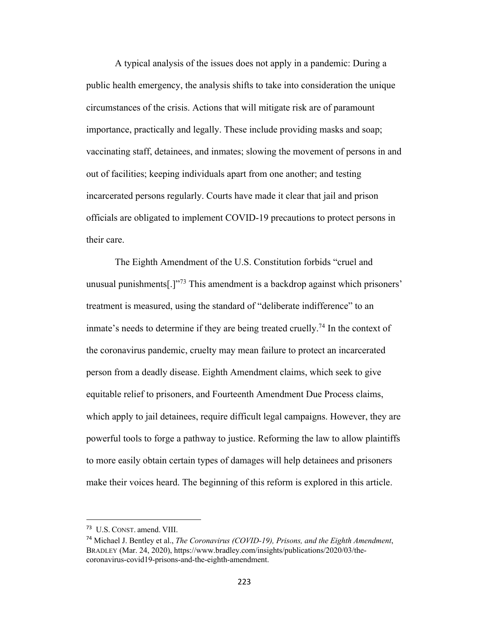A typical analysis of the issues does not apply in a pandemic: During a public health emergency, the analysis shifts to take into consideration the unique circumstances of the crisis. Actions that will mitigate risk are of paramount importance, practically and legally. These include providing masks and soap; vaccinating staff, detainees, and inmates; slowing the movement of persons in and out of facilities; keeping individuals apart from one another; and testing incarcerated persons regularly. Courts have made it clear that jail and prison officials are obligated to implement COVID-19 precautions to protect persons in their care.

The Eighth Amendment of the U.S. Constitution forbids "cruel and unusual punishments[.]"<sup>73</sup> This amendment is a backdrop against which prisoners' treatment is measured, using the standard of "deliberate indifference" to an inmate's needs to determine if they are being treated cruelly.<sup>74</sup> In the context of the coronavirus pandemic, cruelty may mean failure to protect an incarcerated person from a deadly disease. Eighth Amendment claims, which seek to give equitable relief to prisoners, and Fourteenth Amendment Due Process claims, which apply to jail detainees, require difficult legal campaigns. However, they are powerful tools to forge a pathway to justice. Reforming the law to allow plaintiffs to more easily obtain certain types of damages will help detainees and prisoners make their voices heard. The beginning of this reform is explored in this article.

<sup>73</sup> U.S. CONST. amend. VIII.

<sup>74</sup> Michael J. Bentley et al., *The Coronavirus (COVID-19), Prisons, and the Eighth Amendment*, BRADLEY (Mar. 24, 2020), https://www.bradley.com/insights/publications/2020/03/thecoronavirus-covid19-prisons-and-the-eighth-amendment.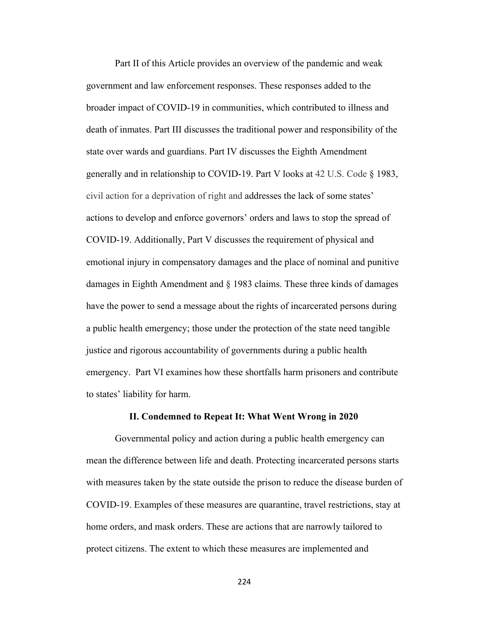Part II of this Article provides an overview of the pandemic and weak government and law enforcement responses. These responses added to the broader impact of COVID-19 in communities, which contributed to illness and death of inmates. Part III discusses the traditional power and responsibility of the state over wards and guardians. Part IV discusses the Eighth Amendment generally and in relationship to COVID-19. Part V looks at 42 U.S. Code § 1983, civil action for a deprivation of right and addresses the lack of some states' actions to develop and enforce governors' orders and laws to stop the spread of COVID-19. Additionally, Part V discusses the requirement of physical and emotional injury in compensatory damages and the place of nominal and punitive damages in Eighth Amendment and § 1983 claims. These three kinds of damages have the power to send a message about the rights of incarcerated persons during a public health emergency; those under the protection of the state need tangible justice and rigorous accountability of governments during a public health emergency. Part VI examines how these shortfalls harm prisoners and contribute to states' liability for harm.

#### **II. Condemned to Repeat It: What Went Wrong in 2020**

Governmental policy and action during a public health emergency can mean the difference between life and death. Protecting incarcerated persons starts with measures taken by the state outside the prison to reduce the disease burden of COVID-19. Examples of these measures are quarantine, travel restrictions, stay at home orders, and mask orders. These are actions that are narrowly tailored to protect citizens. The extent to which these measures are implemented and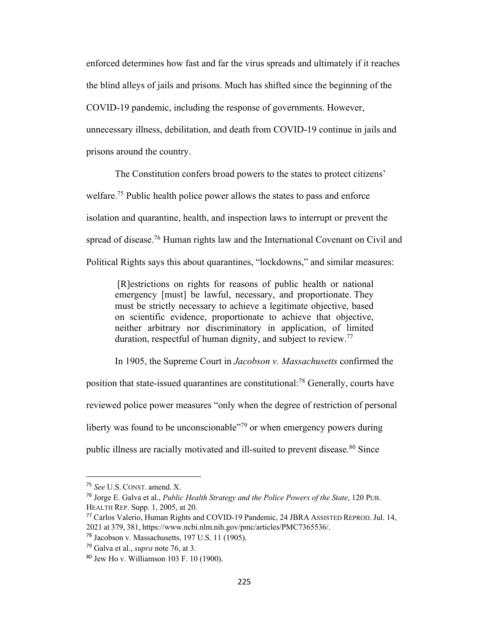enforced determines how fast and far the virus spreads and ultimately if it reaches the blind alleys of jails and prisons. Much has shifted since the beginning of the COVID-19 pandemic, including the response of governments. However, unnecessary illness, debilitation, and death from COVID-19 continue in jails and prisons around the country.

The Constitution confers broad powers to the states to protect citizens' welfare.<sup>75</sup> Public health police power allows the states to pass and enforce isolation and quarantine, health, and inspection laws to interrupt or prevent the spread of disease.<sup>76</sup> Human rights law and the International Covenant on Civil and Political Rights says this about quarantines, "lockdowns," and similar measures:

[R]estrictions on rights for reasons of public health or national emergency [must] be lawful, necessary, and proportionate. They must be strictly necessary to achieve a legitimate objective, based on scientific evidence, proportionate to achieve that objective, neither arbitrary nor discriminatory in application, of limited duration, respectful of human dignity, and subject to review.<sup>77</sup>

In 1905, the Supreme Court in *Jacobson v. Massachusetts* confirmed the position that state-issued quarantines are constitutional:78 Generally, courts have reviewed police power measures "only when the degree of restriction of personal liberty was found to be unconscionable $\frac{1}{2}$  or when emergency powers during public illness are racially motivated and ill-suited to prevent disease.<sup>80</sup> Since

<sup>75</sup> *See* U.S. CONST. amend. X.

<sup>76</sup> Jorge E. Galva et al., *Public Health Strategy and the Police Powers of the State*, 120 PUB. HEALTH REP. Supp. 1, 2005, at 20.

<sup>77</sup> Carlos Valerio, Human Rights and COVID-19 Pandemic, 24 JBRA ASSISTED REPROD. Jul. 14, 2021 at 379, 381, https://www.ncbi.nlm.nih.gov/pmc/articles/PMC7365536/.

<sup>78</sup> Jacobson v. Massachusetts, 197 U.S. 11 (1905).

<sup>79</sup> Galva et al., *supra* note 76, at 3.

<sup>80</sup> Jew Ho v. Williamson 103 F. 10 (1900).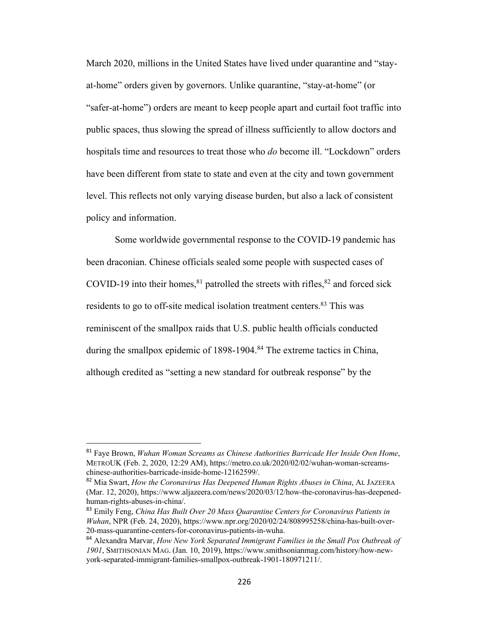March 2020, millions in the United States have lived under quarantine and "stayat-home" orders given by governors. Unlike quarantine, "stay-at-home" (or "safer-at-home") orders are meant to keep people apart and curtail foot traffic into public spaces, thus slowing the spread of illness sufficiently to allow doctors and hospitals time and resources to treat those who *do* become ill. "Lockdown" orders have been different from state to state and even at the city and town government level. This reflects not only varying disease burden, but also a lack of consistent policy and information.

Some worldwide governmental response to the COVID-19 pandemic has been draconian. Chinese officials sealed some people with suspected cases of COVID-19 into their homes,  $81$  patrolled the streets with rifles,  $82$  and forced sick residents to go to off-site medical isolation treatment centers.<sup>83</sup> This was reminiscent of the smallpox raids that U.S. public health officials conducted during the smallpox epidemic of 1898-1904.<sup>84</sup> The extreme tactics in China, although credited as "setting a new standard for outbreak response" by the

<sup>81</sup> Faye Brown, *Wuhan Woman Screams as Chinese Authorities Barricade Her Inside Own Home*, METROUK (Feb. 2, 2020, 12:29 AM), https://metro.co.uk/2020/02/02/wuhan-woman-screamschinese-authorities-barricade-inside-home-12162599/.

<sup>82</sup> Mia Swart, *How the Coronavirus Has Deepened Human Rights Abuses in China*, AL JAZEERA (Mar. 12, 2020), https://www.aljazeera.com/news/2020/03/12/how-the-coronavirus-has-deepenedhuman-rights-abuses-in-china/.

<sup>83</sup> Emily Feng, *China Has Built Over 20 Mass Quarantine Centers for Coronavirus Patients in Wuhan*, NPR (Feb. 24, 2020), https://www.npr.org/2020/02/24/808995258/china-has-built-over-20-mass-quarantine-centers-for-coronavirus-patients-in-wuha.

<sup>84</sup> Alexandra Marvar, *How New York Separated Immigrant Families in the Small Pox Outbreak of 1901*, SMITHSONIAN MAG. (Jan. 10, 2019), https://www.smithsonianmag.com/history/how-newyork-separated-immigrant-families-smallpox-outbreak-1901-180971211/.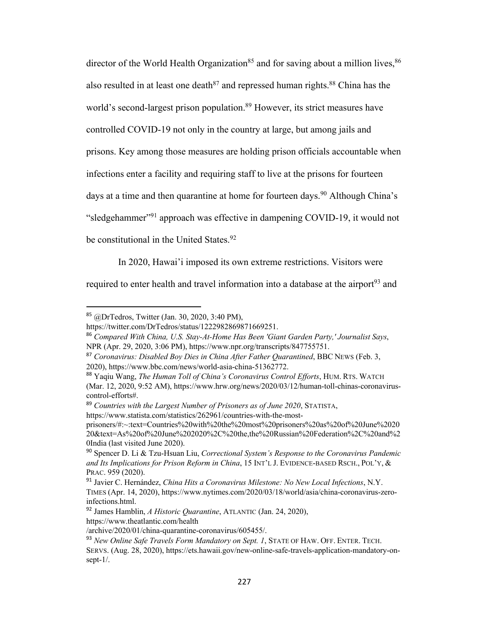director of the World Health Organization<sup>85</sup> and for saving about a million lives,  $86$ also resulted in at least one death  $87$  and repressed human rights.  $88$  China has the world's second-largest prison population.<sup>89</sup> However, its strict measures have controlled COVID-19 not only in the country at large, but among jails and prisons. Key among those measures are holding prison officials accountable when infections enter a facility and requiring staff to live at the prisons for fourteen days at a time and then quarantine at home for fourteen days.<sup>90</sup> Although China's "sledgehammer"<sup>91</sup> approach was effective in dampening COVID-19, it would not be constitutional in the United States.<sup>92</sup>

In 2020, Hawai'i imposed its own extreme restrictions. Visitors were

required to enter health and travel information into a database at the airport<sup>93</sup> and

<sup>85</sup> @DrTedros, Twitter (Jan. 30, 2020, 3:40 PM),

https://twitter.com/DrTedros/status/1222982869871669251.

<sup>86</sup> *Compared With China, U.S. Stay-At-Home Has Been 'Giant Garden Party,' Journalist Says*, NPR (Apr. 29, 2020, 3:06 PM), https://www.npr.org/transcripts/847755751.

<sup>87</sup> *Coronavirus: Disabled Boy Dies in China After Father Quarantined*, BBC NEWS (Feb. 3, 2020), https://www.bbc.com/news/world-asia-china-51362772.

<sup>88</sup> Yaqiu Wang, *The Human Toll of China's Coronavirus Control Efforts*, HUM. RTS. WATCH (Mar. 12, 2020, 9:52 AM), https://www.hrw.org/news/2020/03/12/human-toll-chinas-coronaviruscontrol-efforts#.

<sup>89</sup> *Countries with the Largest Number of Prisoners as of June 2020*, STATISTA, https://www.statista.com/statistics/262961/countries-with-the-most-

prisoners/#:~:text=Countries%20with%20the%20most%20prisoners%20as%20of%20June%2020 20&text=As%20of%20June%202020%2C%20the,the%20Russian%20Federation%2C%20and%2 0India (last visited June 2020).

<sup>90</sup> Spencer D. Li & Tzu-Hsuan Liu, *Correctional System's Response to the Coronavirus Pandemic and Its Implications for Prison Reform in China*, 15 INT'L J. EVIDENCE-BASED RSCH., POL'Y, & PRAC. 959 (2020).

<sup>91</sup> Javier C. Hernández, *China Hits a Coronavirus Milestone: No New Local Infections*, N.Y.

TIMES (Apr. 14, 2020), https://www.nytimes.com/2020/03/18/world/asia/china-coronavirus-zeroinfections.html.

<sup>92</sup> James Hamblin, *A Historic Quarantine*, ATLANTIC (Jan. 24, 2020),

https://www.theatlantic.com/health

<sup>/</sup>archive/2020/01/china-quarantine-coronavirus/605455/.

<sup>93</sup> *New Online Safe Travels Form Mandatory on Sept. 1*, STATE OF HAW. OFF. ENTER. TECH. SERVS. (Aug. 28, 2020), https://ets.hawaii.gov/new-online-safe-travels-application-mandatory-onsept-1/.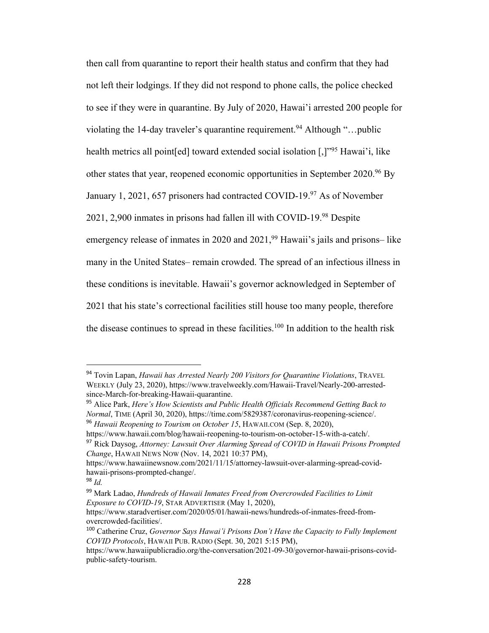then call from quarantine to report their health status and confirm that they had not left their lodgings. If they did not respond to phone calls, the police checked to see if they were in quarantine. By July of 2020, Hawai'i arrested 200 people for violating the 14-day traveler's quarantine requirement.<sup>94</sup> Although "...public health metrics all point[ed] toward extended social isolation [,]"95 Hawai'i, like other states that year, reopened economic opportunities in September 2020.<sup>96</sup> By January 1, 2021, 657 prisoners had contracted COVID-19.97 As of November 2021, 2,900 inmates in prisons had fallen ill with COVID-19.98 Despite emergency release of inmates in 2020 and  $2021$ , <sup>99</sup> Hawaii's jails and prisons– like many in the United States– remain crowded. The spread of an infectious illness in these conditions is inevitable. Hawaii's governor acknowledged in September of 2021 that his state's correctional facilities still house too many people, therefore the disease continues to spread in these facilities.<sup>100</sup> In addition to the health risk

https://www.hawaii.com/blog/hawaii-reopening-to-tourism-on-october-15-with-a-catch/.

<sup>94</sup> Tovin Lapan, *Hawaii has Arrested Nearly 200 Visitors for Quarantine Violations*, TRAVEL WEEKLY (July 23, 2020), https://www.travelweekly.com/Hawaii-Travel/Nearly-200-arrestedsince-March-for-breaking-Hawaii-quarantine.

<sup>95</sup> Alice Park, *Here's How Scientists and Public Health Officials Recommend Getting Back to Normal*, TIME (April 30, 2020), https://time.com/5829387/coronavirus-reopening-science/. <sup>96</sup> *Hawaii Reopening to Tourism on October 15*, HAWAII.COM (Sep. 8, 2020),

<sup>97</sup> Rick Daysog, *Attorney: Lawsuit Over Alarming Spread of COVID in Hawaii Prisons Prompted Change*, HAWAII NEWS NOW (Nov. 14, 2021 10:37 PM),

https://www.hawaiinewsnow.com/2021/11/15/attorney-lawsuit-over-alarming-spread-covidhawaii-prisons-prompted-change/.

<sup>98</sup> *Id.*

<sup>99</sup> Mark Ladao, *Hundreds of Hawaii Inmates Freed from Overcrowded Facilities to Limit Exposure to COVID-19*, STAR ADVERTISER (May 1, 2020),

https://www.staradvertiser.com/2020/05/01/hawaii-news/hundreds-of-inmates-freed-fromovercrowded-facilities/.

<sup>100</sup> Catherine Cruz, *Governor Says Hawai'i Prisons Don't Have the Capacity to Fully Implement COVID Protocols*, HAWAII PUB. RADIO (Sept. 30, 2021 5:15 PM),

https://www.hawaiipublicradio.org/the-conversation/2021-09-30/governor-hawaii-prisons-covidpublic-safety-tourism.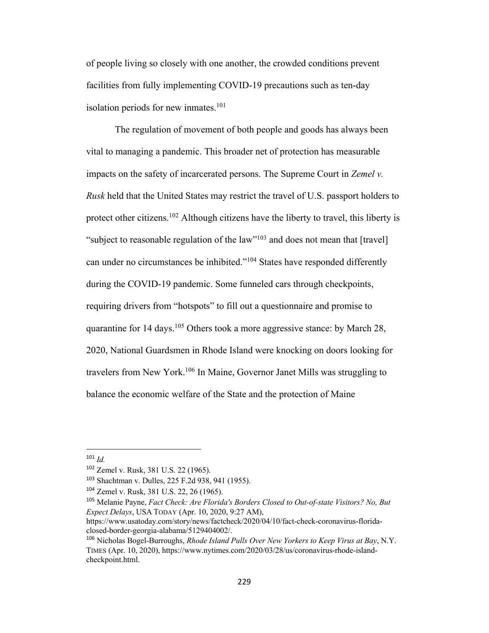of people living so closely with one another, the crowded conditions prevent facilities from fully implementing COVID-19 precautions such as ten-day isolation periods for new inmates. $101$ 

The regulation of movement of both people and goods has always been vital to managing a pandemic. This broader net of protection has measurable impacts on the safety of incarcerated persons. The Supreme Court in *Zemel v. Rusk* held that the United States may restrict the travel of U.S. passport holders to protect other citizens.<sup>102</sup> Although citizens have the liberty to travel, this liberty is "subject to reasonable regulation of the law"<sup>103</sup> and does not mean that [travel] can under no circumstances be inhibited."104 States have responded differently during the COVID-19 pandemic. Some funneled cars through checkpoints, requiring drivers from "hotspots" to fill out a questionnaire and promise to quarantine for  $14 \text{ days}$ .<sup>105</sup> Others took a more aggressive stance: by March 28, 2020, National Guardsmen in Rhode Island were knocking on doors looking for travelers from New York.106 In Maine, Governor Janet Mills was struggling to balance the economic welfare of the State and the protection of Maine

<sup>101</sup> *Id.*

<sup>102</sup> Zemel v. Rusk, 381 U.S. 22 (1965).

<sup>103</sup> Shachtman v. Dulles, 225 F.2d 938, 941 (1955).

<sup>104</sup> Zemel v. Rusk, 381 U.S. 22, 26 (1965).

<sup>105</sup> Melanie Payne, *Fact Check: Are Florida's Borders Closed to Out-of-state Visitors? No, But Expect Delays*, USA TODAY (Apr. 10, 2020, 9:27 AM),

https://www.usatoday.com/story/news/factcheck/2020/04/10/fact-check-coronavirus-floridaclosed-border-georgia-alabama/5129404002/.

<sup>106</sup> Nicholas Bogel-Burroughs, *Rhode Island Pulls Over New Yorkers to Keep Virus at Bay*, N.Y. TIMES (Apr. 10, 2020), https://www.nytimes.com/2020/03/28/us/coronavirus-rhode-islandcheckpoint.html.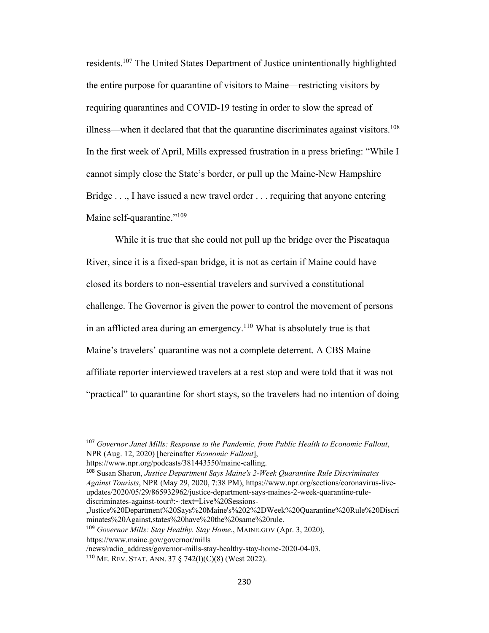residents.107 The United States Department of Justice unintentionally highlighted the entire purpose for quarantine of visitors to Maine—restricting visitors by requiring quarantines and COVID-19 testing in order to slow the spread of illness—when it declared that that the quarantine discriminates against visitors.<sup>108</sup> In the first week of April, Mills expressed frustration in a press briefing: "While I cannot simply close the State's border, or pull up the Maine-New Hampshire Bridge . . ., I have issued a new travel order . . . requiring that anyone entering Maine self-quarantine."<sup>109</sup>

While it is true that she could not pull up the bridge over the Piscataqua River, since it is a fixed-span bridge, it is not as certain if Maine could have closed its borders to non-essential travelers and survived a constitutional challenge. The Governor is given the power to control the movement of persons in an afflicted area during an emergency.<sup>110</sup> What is absolutely true is that Maine's travelers' quarantine was not a complete deterrent. A CBS Maine affiliate reporter interviewed travelers at a rest stop and were told that it was not "practical" to quarantine for short stays, so the travelers had no intention of doing

/news/radio\_address/governor-mills-stay-healthy-stay-home-2020-04-03.

<sup>107</sup> *Governor Janet Mills: Response to the Pandemic, from Public Health to Economic Fallout*, NPR (Aug. 12, 2020) [hereinafter *Economic Fallout*],

https://www.npr.org/podcasts/381443550/maine-calling.

<sup>108</sup> Susan Sharon, *Justice Department Says Maine's 2-Week Quarantine Rule Discriminates Against Tourists*, NPR (May 29, 2020, 7:38 PM), https://www.npr.org/sections/coronavirus-liveupdates/2020/05/29/865932962/justice-department-says-maines-2-week-quarantine-rulediscriminates-against-tour#:~:text=Live%20Sessions-

<sup>,</sup>Justice%20Department%20Says%20Maine's%202%2DWeek%20Quarantine%20Rule%20Discri minates%20Against,states%20have%20the%20same%20rule.

<sup>109</sup> *Governor Mills: Stay Healthy. Stay Home.*, MAINE.GOV (Apr. 3, 2020), https://www.maine.gov/governor/mills

<sup>110</sup> ME. REV. STAT. ANN. 37 § 742(l)(C)(8) (West 2022).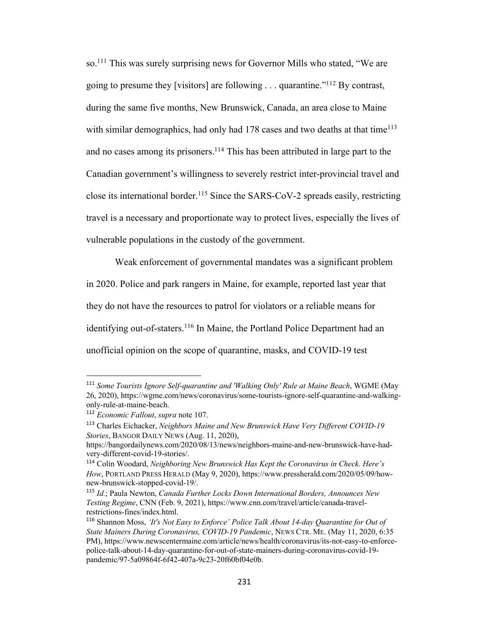so.111 This was surely surprising news for Governor Mills who stated, "We are going to presume they [visitors] are following . . . quarantine."112 By contrast, during the same five months, New Brunswick, Canada, an area close to Maine with similar demographics, had only had  $178$  cases and two deaths at that time<sup>113</sup> and no cases among its prisoners.<sup>114</sup> This has been attributed in large part to the Canadian government's willingness to severely restrict inter-provincial travel and close its international border.115 Since the SARS-CoV-2 spreads easily, restricting travel is a necessary and proportionate way to protect lives, especially the lives of vulnerable populations in the custody of the government.

Weak enforcement of governmental mandates was a significant problem in 2020. Police and park rangers in Maine, for example, reported last year that they do not have the resources to patrol for violators or a reliable means for identifying out-of-staters.<sup>116</sup> In Maine, the Portland Police Department had an unofficial opinion on the scope of quarantine, masks, and COVID-19 test

<sup>111</sup> *Some Tourists Ignore Self-quarantine and 'Walking Only' Rule at Maine Beach*, WGME (May 26, 2020), https://wgme.com/news/coronavirus/some-tourists-ignore-self-quarantine-and-walkingonly-rule-at-maine-beach.

<sup>112</sup> *Economic Fallout*, *supra* note 107.

<sup>113</sup> Charles Eichacker, *Neighbors Maine and New Brunswick Have Very Different COVID-19 Stories*, BANGOR DAILY NEWS (Aug. 11, 2020),

https://bangordailynews.com/2020/08/13/news/neighbors-maine-and-new-brunswick-have-hadvery-different-covid-19-stories/.

<sup>114</sup> Colin Woodard, *Neighboring New Brunswick Has Kept the Coronavirus in Check. Here's How*, PORTLAND PRESS HERALD (May 9, 2020), https://www.pressherald.com/2020/05/09/hownew-brunswick-stopped-covid-19/.

<sup>115</sup> *Id.*; Paula Newton, *Canada Further Locks Down International Borders, Announces New Testing Regime*, CNN (Feb. 9, 2021), https://www.cnn.com/travel/article/canada-travelrestrictions-fines/index.html.

<sup>116</sup> Shannon Moss, *'It's Not Easy to Enforce' Police Talk About 14-day Quarantine for Out of State Mainers During Coronavirus, COVID-19 Pandemic*, NEWS CTR. ME. (May 11, 2020, 6:35 PM), https://www.newscentermaine.com/article/news/health/coronavirus/its-not-easy-to-enforcepolice-talk-about-14-day-quarantine-for-out-of-state-mainers-during-coronavirus-covid-19 pandemic/97-5a09864f-6f42-407a-9c23-20f60bf04e0b.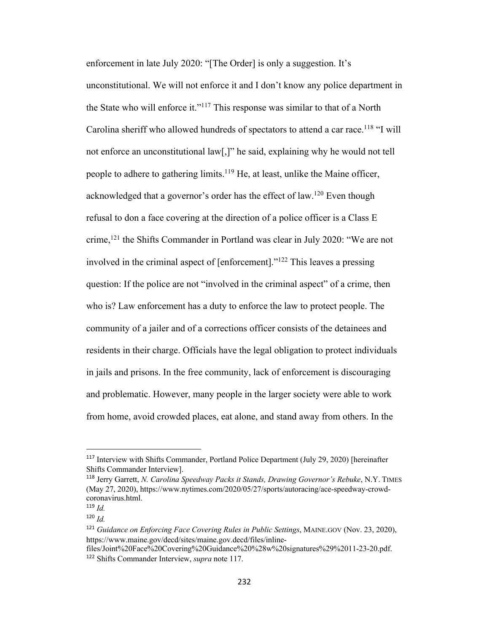enforcement in late July 2020: "[The Order] is only a suggestion. It's unconstitutional. We will not enforce it and I don't know any police department in the State who will enforce it."<sup>117</sup> This response was similar to that of a North Carolina sheriff who allowed hundreds of spectators to attend a car race.<sup>118</sup> "I will not enforce an unconstitutional law[,]" he said, explaining why he would not tell people to adhere to gathering limits.<sup>119</sup> He, at least, unlike the Maine officer, acknowledged that a governor's order has the effect of law.<sup>120</sup> Even though refusal to don a face covering at the direction of a police officer is a Class E crime,121 the Shifts Commander in Portland was clear in July 2020: "We are not involved in the criminal aspect of [enforcement]."122 This leaves a pressing question: If the police are not "involved in the criminal aspect" of a crime, then who is? Law enforcement has a duty to enforce the law to protect people. The community of a jailer and of a corrections officer consists of the detainees and residents in their charge. Officials have the legal obligation to protect individuals in jails and prisons. In the free community, lack of enforcement is discouraging and problematic. However, many people in the larger society were able to work from home, avoid crowded places, eat alone, and stand away from others. In the

<sup>117</sup> Interview with Shifts Commander, Portland Police Department (July 29, 2020) [hereinafter Shifts Commander Interview].

<sup>118</sup> Jerry Garrett, *N. Carolina Speedway Packs it Stands, Drawing Governor's Rebuke*, N.Y. TIMES (May 27, 2020), https://www.nytimes.com/2020/05/27/sports/autoracing/ace-speedway-crowdcoronavirus.html.

<sup>119</sup> *Id.*

 $120$  *Id.* 

<sup>121</sup> *Guidance on Enforcing Face Covering Rules in Public Settings*, MAINE.GOV (Nov. 23, 2020), https://www.maine.gov/decd/sites/maine.gov.decd/files/inline-

files/Joint%20Face%20Covering%20Guidance%20%28w%20signatures%29%2011-23-20.pdf. <sup>122</sup> Shifts Commander Interview, *supra* note 117.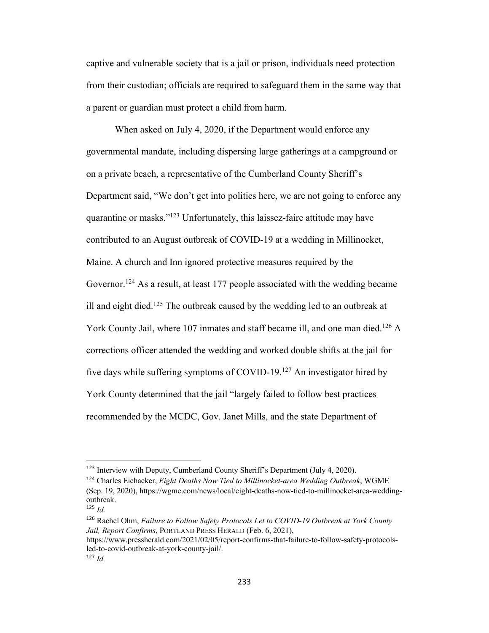captive and vulnerable society that is a jail or prison, individuals need protection from their custodian; officials are required to safeguard them in the same way that a parent or guardian must protect a child from harm.

When asked on July 4, 2020, if the Department would enforce any governmental mandate, including dispersing large gatherings at a campground or on a private beach, a representative of the Cumberland County Sheriff's Department said, "We don't get into politics here, we are not going to enforce any quarantine or masks."123 Unfortunately, this laissez-faire attitude may have contributed to an August outbreak of COVID-19 at a wedding in Millinocket, Maine. A church and Inn ignored protective measures required by the Governor.<sup>124</sup> As a result, at least 177 people associated with the wedding became ill and eight died.<sup>125</sup> The outbreak caused by the wedding led to an outbreak at York County Jail, where 107 inmates and staff became ill, and one man died.<sup>126</sup> A corrections officer attended the wedding and worked double shifts at the jail for five days while suffering symptoms of COVID-19.127 An investigator hired by York County determined that the jail "largely failed to follow best practices recommended by the MCDC, Gov. Janet Mills, and the state Department of

<sup>123</sup> Interview with Deputy, Cumberland County Sheriff's Department (July 4, 2020).

<sup>124</sup> Charles Eichacker, *Eight Deaths Now Tied to Millinocket-area Wedding Outbreak*, WGME (Sep. 19, 2020), https://wgme.com/news/local/eight-deaths-now-tied-to-millinocket-area-weddingoutbreak.

 $125$  *Id.* 

<sup>126</sup> Rachel Ohm, *Failure to Follow Safety Protocols Let to COVID-19 Outbreak at York County Jail, Report Confirms*, PORTLAND PRESS HERALD (Feb. 6, 2021),

https://www.pressherald.com/2021/02/05/report-confirms-that-failure-to-follow-safety-protocolsled-to-covid-outbreak-at-york-county-jail/.

<sup>127</sup> *Id.*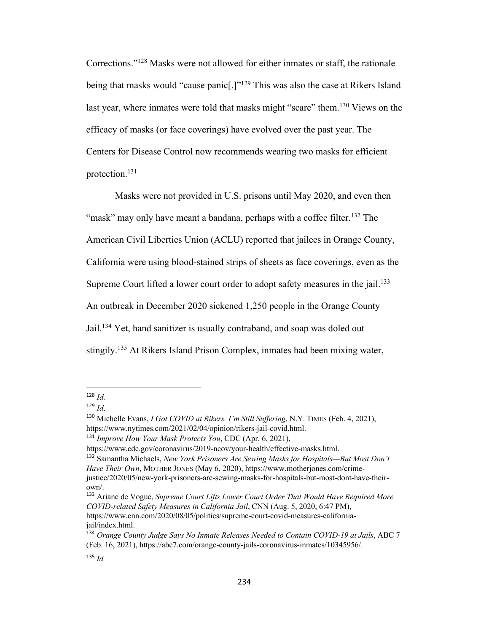Corrections."128 Masks were not allowed for either inmates or staff, the rationale being that masks would "cause panic<sup>[1]"</sup> This was also the case at Rikers Island last year, where inmates were told that masks might "scare" them.<sup>130</sup> Views on the efficacy of masks (or face coverings) have evolved over the past year. The Centers for Disease Control now recommends wearing two masks for efficient protection.131

Masks were not provided in U.S. prisons until May 2020, and even then "mask" may only have meant a bandana, perhaps with a coffee filter.<sup>132</sup> The American Civil Liberties Union (ACLU) reported that jailees in Orange County, California were using blood-stained strips of sheets as face coverings, even as the Supreme Court lifted a lower court order to adopt safety measures in the jail.<sup>133</sup> An outbreak in December 2020 sickened 1,250 people in the Orange County Jail.<sup>134</sup> Yet, hand sanitizer is usually contraband, and soap was doled out stingily.135 At Rikers Island Prison Complex, inmates had been mixing water,

<sup>133</sup> Ariane de Vogue, *Supreme Court Lifts Lower Court Order That Would Have Required More COVID-related Safety Measures in California Jail*, CNN (Aug. 5, 2020, 6:47 PM), https://www.cnn.com/2020/08/05/politics/supreme-court-covid-measures-californiajail/index.html.

 $128$  *Id.* 

<sup>129</sup> *Id*.

<sup>130</sup> Michelle Evans, *I Got COVID at Rikers. I'm Still Suffering*, N.Y. TIMES (Feb. 4, 2021), https://www.nytimes.com/2021/02/04/opinion/rikers-jail-covid.html.

<sup>131</sup> *Improve How Your Mask Protects You*, CDC (Apr. 6, 2021),

https://www.cdc.gov/coronavirus/2019-ncov/your-health/effective-masks.html.

<sup>132</sup> Samantha Michaels, *New York Prisoners Are Sewing Masks for Hospitals—But Most Don't Have Their Own*, MOTHER JONES (May 6, 2020), https://www.motherjones.com/crimejustice/2020/05/new-york-prisoners-are-sewing-masks-for-hospitals-but-most-dont-have-theirown/.

<sup>134</sup> *Orange County Judge Says No Inmate Releases Needed to Contain COVID-19 at Jails*, ABC 7 (Feb. 16, 2021), https://abc7.com/orange-county-jails-coronavirus-inmates/10345956/.

<sup>135</sup> *Id.*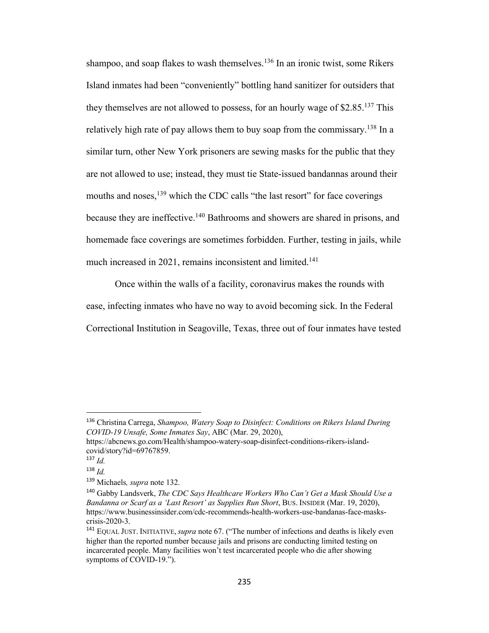shampoo, and soap flakes to wash themselves.<sup>136</sup> In an ironic twist, some Rikers Island inmates had been "conveniently" bottling hand sanitizer for outsiders that they themselves are not allowed to possess, for an hourly wage of  $$2.85$ <sup>137</sup> This relatively high rate of pay allows them to buy soap from the commissary.<sup>138</sup> In a similar turn, other New York prisoners are sewing masks for the public that they are not allowed to use; instead, they must tie State-issued bandannas around their mouths and noses,<sup>139</sup> which the CDC calls "the last resort" for face coverings because they are ineffective.<sup>140</sup> Bathrooms and showers are shared in prisons, and homemade face coverings are sometimes forbidden. Further, testing in jails, while much increased in 2021, remains inconsistent and limited.<sup>141</sup>

Once within the walls of a facility, coronavirus makes the rounds with ease, infecting inmates who have no way to avoid becoming sick. In the Federal Correctional Institution in Seagoville, Texas, three out of four inmates have tested

<sup>136</sup> Christina Carrega, *Shampoo, Watery Soap to Disinfect: Conditions on Rikers Island During COVID-19 Unsafe, Some Inmates Say*, ABC (Mar. 29, 2020),

https://abcnews.go.com/Health/shampoo-watery-soap-disinfect-conditions-rikers-islandcovid/story?id=69767859.

<sup>137</sup> *Id.*

<sup>138</sup> *Id.*

<sup>139</sup> Michaels*, supra* note 132.

<sup>140</sup> Gabby Landsverk, *The CDC Says Healthcare Workers Who Can't Get a Mask Should Use a Bandanna or Scarf as a 'Last Resort' as Supplies Run Short*, BUS. INSIDER (Mar. 19, 2020), https://www.businessinsider.com/cdc-recommends-health-workers-use-bandanas-face-maskscrisis-2020-3.

<sup>141</sup> EQUAL JUST. INITIATIVE, *supra* note 67. ("The number of infections and deaths is likely even higher than the reported number because jails and prisons are conducting limited testing on incarcerated people. Many facilities won't test incarcerated people who die after showing symptoms of COVID-19.").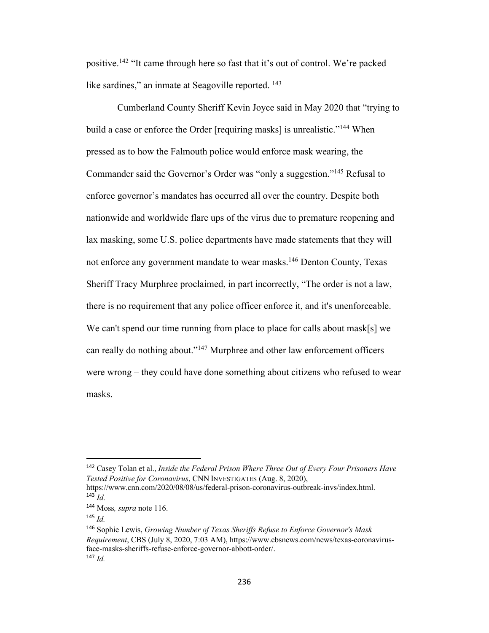positive.142 "It came through here so fast that it's out of control. We're packed like sardines," an inmate at Seagoville reported. <sup>143</sup>

Cumberland County Sheriff Kevin Joyce said in May 2020 that "trying to build a case or enforce the Order [requiring masks] is unrealistic."<sup>144</sup> When pressed as to how the Falmouth police would enforce mask wearing, the Commander said the Governor's Order was "only a suggestion."145 Refusal to enforce governor's mandates has occurred all over the country. Despite both nationwide and worldwide flare ups of the virus due to premature reopening and lax masking, some U.S. police departments have made statements that they will not enforce any government mandate to wear masks.146 Denton County, Texas Sheriff Tracy Murphree proclaimed, in part incorrectly, "The order is not a law, there is no requirement that any police officer enforce it, and it's unenforceable. We can't spend our time running from place to place for calls about mask[s] we can really do nothing about."<sup>147</sup> Murphree and other law enforcement officers were wrong – they could have done something about citizens who refused to wear masks.

<sup>142</sup> Casey Tolan et al., *Inside the Federal Prison Where Three Out of Every Four Prisoners Have Tested Positive for Coronavirus*, CNN INVESTIGATES (Aug. 8, 2020),

https://www.cnn.com/2020/08/08/us/federal-prison-coronavirus-outbreak-invs/index.html.  $^{143}$  *Id.* 

<sup>144</sup> Moss*, supra* note 116.

<sup>145</sup> *Id.*

<sup>146</sup> Sophie Lewis, *Growing Number of Texas Sheriffs Refuse to Enforce Governor's Mask Requirement*, CBS (July 8, 2020, 7:03 AM), https://www.cbsnews.com/news/texas-coronavirusface-masks-sheriffs-refuse-enforce-governor-abbott-order/. <sup>147</sup> *Id.*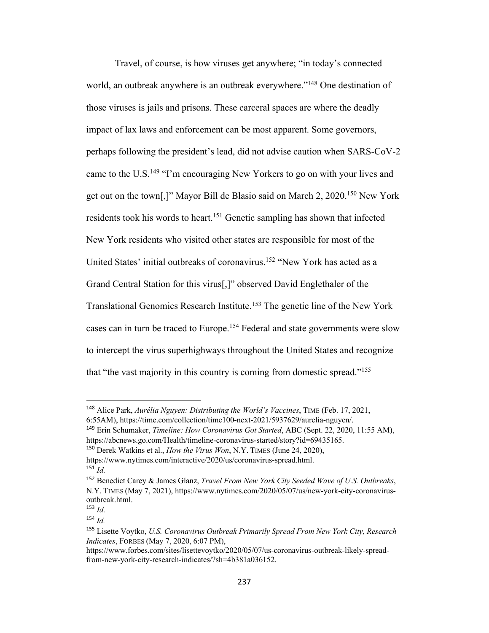Travel, of course, is how viruses get anywhere; "in today's connected world, an outbreak anywhere is an outbreak everywhere."148 One destination of those viruses is jails and prisons. These carceral spaces are where the deadly impact of lax laws and enforcement can be most apparent. Some governors, perhaps following the president's lead, did not advise caution when SARS-CoV-2 came to the U.S.<sup>149</sup> "I'm encouraging New Yorkers to go on with your lives and get out on the town[,]" Mayor Bill de Blasio said on March 2, 2020.150 New York residents took his words to heart.<sup>151</sup> Genetic sampling has shown that infected New York residents who visited other states are responsible for most of the United States' initial outbreaks of coronavirus.152 "New York has acted as a Grand Central Station for this virus[,]" observed David Englethaler of the Translational Genomics Research Institute.153 The genetic line of the New York cases can in turn be traced to Europe.154 Federal and state governments were slow to intercept the virus superhighways throughout the United States and recognize that "the vast majority in this country is coming from domestic spread."155

<sup>148</sup> Alice Park, *Aurélia Nguyen: Distributing the World's Vaccines*, TIME (Feb. 17, 2021, 6:55AM), https://time.com/collection/time100-next-2021/5937629/aurelia-nguyen/.

<sup>149</sup> Erin Schumaker, *Timeline: How Coronavirus Got Started*, ABC (Sept. 22, 2020, 11:55 AM), https://abcnews.go.com/Health/timeline-coronavirus-started/story?id=69435165.

<sup>150</sup> Derek Watkins et al., *How the Virus Won*, N.Y. TIMES (June 24, 2020),

https://www.nytimes.com/interactive/2020/us/coronavirus-spread.html. <sup>151</sup> *Id.*

<sup>152</sup> Benedict Carey & James Glanz, *Travel From New York City Seeded Wave of U.S. Outbreaks*, N.Y. TIMES (May 7, 2021), https://www.nytimes.com/2020/05/07/us/new-york-city-coronavirusoutbreak.html.

 $153$  *Id.* 

<sup>154</sup> *Id.*

<sup>155</sup> Lisette Voytko, *U.S. Coronavirus Outbreak Primarily Spread From New York City, Research Indicates*, FORBES (May 7, 2020, 6:07 PM),

https://www.forbes.com/sites/lisettevoytko/2020/05/07/us-coronavirus-outbreak-likely-spreadfrom-new-york-city-research-indicates/?sh=4b381a036152.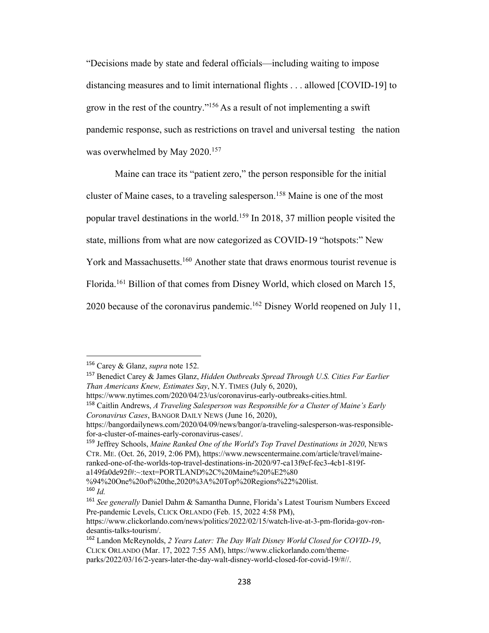"Decisions made by state and federal officials—including waiting to impose distancing measures and to limit international flights . . . allowed [COVID-19] to grow in the rest of the country."156 As a result of not implementing a swift pandemic response, such as restrictions on travel and universal testing the nation was overwhelmed by May 2020.<sup>157</sup>

Maine can trace its "patient zero," the person responsible for the initial cluster of Maine cases, to a traveling salesperson.<sup>158</sup> Maine is one of the most popular travel destinations in the world.159 In 2018, 37 million people visited the state, millions from what are now categorized as COVID-19 "hotspots:" New York and Massachusetts.<sup>160</sup> Another state that draws enormous tourist revenue is Florida.<sup>161</sup> Billion of that comes from Disney World, which closed on March 15, 2020 because of the coronavirus pandemic.162 Disney World reopened on July 11,

<sup>156</sup> Carey & Glanz, *supra* note 152.

<sup>157</sup> Benedict Carey & James Glanz, *Hidden Outbreaks Spread Through U.S. Cities Far Earlier Than Americans Knew, Estimates Say*, N.Y. TIMES (July 6, 2020),

https://www.nytimes.com/2020/04/23/us/coronavirus-early-outbreaks-cities.html.

<sup>158</sup> Caitlin Andrews, *A Traveling Salesperson was Responsible for a Cluster of Maine's Early Coronavirus Cases*, BANGOR DAILY NEWS (June 16, 2020),

https://bangordailynews.com/2020/04/09/news/bangor/a-traveling-salesperson-was-responsiblefor-a-cluster-of-maines-early-coronavirus-cases/.

<sup>159</sup> Jeffrey Schools, *Maine Ranked One of the World's Top Travel Destinations in 2020*, NEWS CTR. ME. (Oct. 26, 2019, 2:06 PM), https://www.newscentermaine.com/article/travel/maineranked-one-of-the-worlds-top-travel-destinations-in-2020/97-ca13f9cf-fec3-4cb1-819fa149fa0de92f#:~:text=PORTLAND%2C%20Maine%20%E2%80

<sup>%94%20</sup>One%20of%20the,2020%3A%20Top%20Regions%22%20list.  $160$  *Id.* 

<sup>161</sup> *See generally* Daniel Dahm & Samantha Dunne, Florida's Latest Tourism Numbers Exceed Pre-pandemic Levels, CLICK ORLANDO (Feb. 15, 2022 4:58 PM),

https://www.clickorlando.com/news/politics/2022/02/15/watch-live-at-3-pm-florida-gov-rondesantis-talks-tourism/.

<sup>162</sup> Landon McReynolds, *2 Years Later: The Day Walt Disney World Closed for COVID-19*, CLICK ORLANDO (Mar. 17, 2022 7:55 AM), https://www.clickorlando.com/themeparks/2022/03/16/2-years-later-the-day-walt-disney-world-closed-for-covid-19/#//.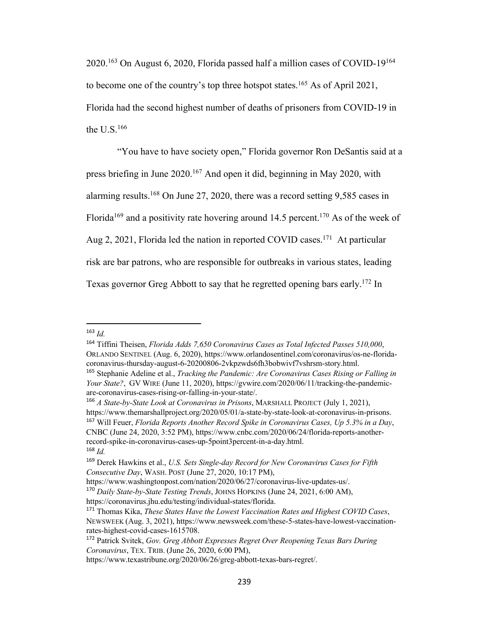2020.163 On August 6, 2020, Florida passed half a million cases of COVID-19164 to become one of the country's top three hotspot states.165 As of April 2021, Florida had the second highest number of deaths of prisoners from COVID-19 in the U.S.166

"You have to have society open," Florida governor Ron DeSantis said at a press briefing in June 2020.167 And open it did, beginning in May 2020, with alarming results.168 On June 27, 2020, there was a record setting 9,585 cases in Florida<sup>169</sup> and a positivity rate hovering around 14.5 percent.<sup>170</sup> As of the week of Aug 2, 2021, Florida led the nation in reported COVID cases.<sup>171</sup> At particular risk are bar patrons, who are responsible for outbreaks in various states, leading Texas governor Greg Abbott to say that he regretted opening bars early.172 In

 $163$  *Id.* 

<sup>164</sup> Tiffini Theisen, *Florida Adds 7,650 Coronavirus Cases as Total Infected Passes 510,000*, ORLANDO SENTINEL (Aug. 6, 2020), https://www.orlandosentinel.com/coronavirus/os-ne-floridacoronavirus-thursday-august-6-20200806-2vkpzwds6fh3bobwivf7vshrsm-story.html.

<sup>165</sup> Stephanie Adeline et al., *Tracking the Pandemic: Are Coronavirus Cases Rising or Falling in Your State?*, GV WIRE (June 11, 2020), https://gvwire.com/2020/06/11/tracking-the-pandemicare-coronavirus-cases-rising-or-falling-in-your-state/.

<sup>166</sup> *A State-by-State Look at Coronavirus in Prisons*, MARSHALL PROJECT (July 1, 2021), https://www.themarshallproject.org/2020/05/01/a-state-by-state-look-at-coronavirus-in-prisons. <sup>167</sup> Will Feuer, *Florida Reports Another Record Spike in Coronavirus Cases, Up 5.3% in a Day*, CNBC (June 24, 2020, 3:52 PM), https://www.cnbc.com/2020/06/24/florida-reports-anotherrecord-spike-in-coronavirus-cases-up-5point3percent-in-a-day.html. <sup>168</sup> *Id.*

<sup>169</sup> Derek Hawkins et al., *U.S. Sets Single-day Record for New Coronavirus Cases for Fifth Consecutive Day*, WASH. POST (June 27, 2020, 10:17 PM),

https://www.washingtonpost.com/nation/2020/06/27/coronavirus-live-updates-us/.

<sup>170</sup> *Daily State-by-State Testing Trends*, JOHNS HOPKINS (June 24, 2021, 6:00 AM), https://coronavirus.jhu.edu/testing/individual-states/florida.

<sup>171</sup> Thomas Kika, *These States Have the Lowest Vaccination Rates and Highest COVID Cases*, NEWSWEEK (Aug. 3, 2021), https://www.newsweek.com/these-5-states-have-lowest-vaccinationrates-highest-covid-cases-1615708.

<sup>172</sup> Patrick Svitek, *Gov. Greg Abbott Expresses Regret Over Reopening Texas Bars During Coronavirus*, TEX. TRIB. (June 26, 2020, 6:00 PM),

https://www.texastribune.org/2020/06/26/greg-abbott-texas-bars-regret/.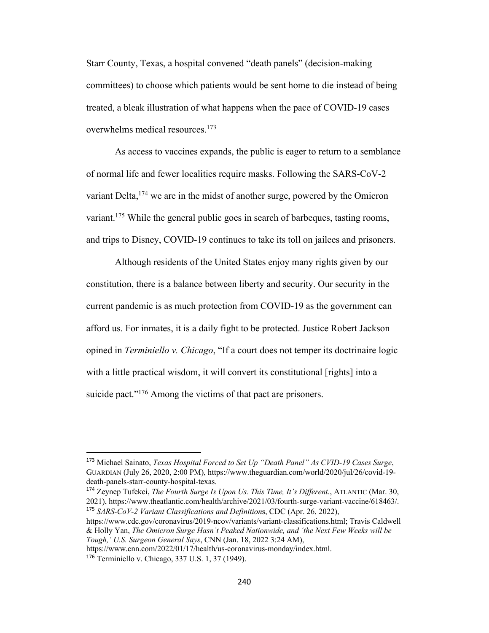Starr County, Texas, a hospital convened "death panels" (decision-making committees) to choose which patients would be sent home to die instead of being treated, a bleak illustration of what happens when the pace of COVID-19 cases overwhelms medical resources.173

As access to vaccines expands, the public is eager to return to a semblance of normal life and fewer localities require masks. Following the SARS-CoV-2 variant Delta,  $174$  we are in the midst of another surge, powered by the Omicron variant.<sup>175</sup> While the general public goes in search of barbeques, tasting rooms, and trips to Disney, COVID-19 continues to take its toll on jailees and prisoners.

Although residents of the United States enjoy many rights given by our constitution, there is a balance between liberty and security. Our security in the current pandemic is as much protection from COVID-19 as the government can afford us. For inmates, it is a daily fight to be protected. Justice Robert Jackson opined in *Terminiello v. Chicago*, "If a court does not temper its doctrinaire logic with a little practical wisdom, it will convert its constitutional [rights] into a suicide pact."<sup>176</sup> Among the victims of that pact are prisoners.

<sup>174</sup> Zeynep Tufekci, *The Fourth Surge Is Upon Us. This Time, It's Different.*, ATLANTIC (Mar. 30, 2021), https://www.theatlantic.com/health/archive/2021/03/fourth-surge-variant-vaccine/618463/. <sup>175</sup> *SARS-CoV-2 Variant Classifications and Definition*s, CDC (Apr. 26, 2022),

https://www.cdc.gov/coronavirus/2019-ncov/variants/variant-classifications.html; Travis Caldwell & Holly Yan, *The Omicron Surge Hasn't Peaked Nationwide, and 'the Next Few Weeks will be Tough,' U.S. Surgeon General Says*, CNN (Jan. 18, 2022 3:24 AM),

https://www.cnn.com/2022/01/17/health/us-coronavirus-monday/index.html.

<sup>173</sup> Michael Sainato, *Texas Hospital Forced to Set Up "Death Panel" As CVID-19 Cases Surge*, GUARDIAN (July 26, 2020, 2:00 PM), https://www.theguardian.com/world/2020/jul/26/covid-19 death-panels-starr-county-hospital-texas.

<sup>176</sup> Terminiello v. Chicago, 337 U.S. 1, 37 (1949).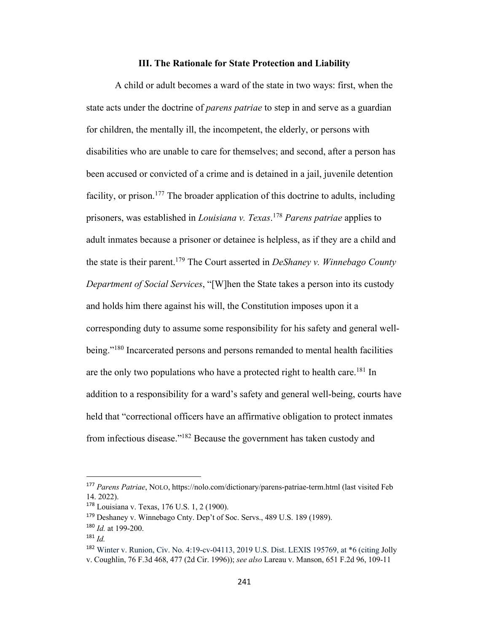## **III. The Rationale for State Protection and Liability**

A child or adult becomes a ward of the state in two ways: first, when the state acts under the doctrine of *parens patriae* to step in and serve as a guardian for children, the mentally ill, the incompetent, the elderly, or persons with disabilities who are unable to care for themselves; and second, after a person has been accused or convicted of a crime and is detained in a jail, juvenile detention facility, or prison.<sup>177</sup> The broader application of this doctrine to adults, including prisoners, was established in *Louisiana v. Texas*. <sup>178</sup> *Parens patriae* applies to adult inmates because a prisoner or detainee is helpless, as if they are a child and the state is their parent.179 The Court asserted in *DeShaney v. Winnebago County Department of Social Services*, "[W]hen the State takes a person into its custody and holds him there against his will, the Constitution imposes upon it a corresponding duty to assume some responsibility for his safety and general wellbeing."<sup>180</sup> Incarcerated persons and persons remanded to mental health facilities are the only two populations who have a protected right to health care.<sup>181</sup> In addition to a responsibility for a ward's safety and general well-being, courts have held that "correctional officers have an affirmative obligation to protect inmates from infectious disease."182 Because the government has taken custody and

<sup>177</sup> *Parens Patriae*, NOLO, https://nolo.com/dictionary/parens-patriae-term.html (last visited Feb 14. 2022).

<sup>178</sup> Louisiana v. Texas, 176 U.S. 1, 2 (1900).

<sup>179</sup> Deshaney v. Winnebago Cnty. Dep't of Soc. Servs., 489 U.S. 189 (1989).

<sup>180</sup> *Id.* at 199-200.

<sup>181</sup> *Id.*

<sup>182</sup> Winter v. Runion, Civ. No. 4:19-cv-04113, 2019 U.S. Dist. LEXIS 195769, at \*6 (citing Jolly v. Coughlin, 76 F.3d 468, 477 (2d Cir. 1996)); *see also* Lareau v. Manson, 651 F.2d 96, 109-11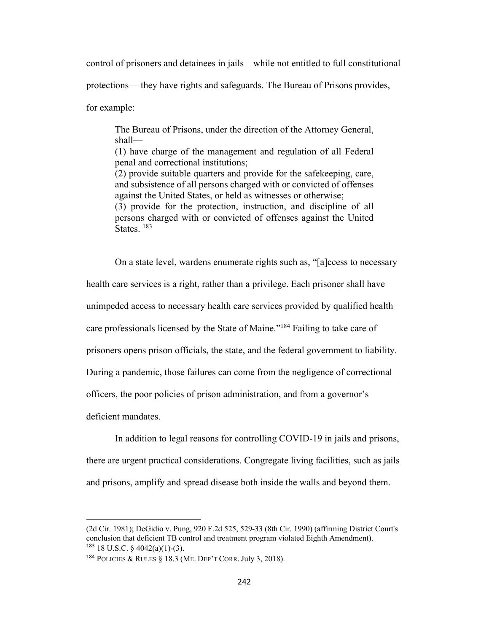control of prisoners and detainees in jails—while not entitled to full constitutional

protections— they have rights and safeguards. The Bureau of Prisons provides,

for example:

The Bureau of Prisons, under the direction of the Attorney General, shall— (1) have charge of the management and regulation of all Federal penal and correctional institutions; (2) provide suitable quarters and provide for the safekeeping, care, and subsistence of all persons charged with or convicted of offenses against the United States, or held as witnesses or otherwise; (3) provide for the protection, instruction, and discipline of all persons charged with or convicted of offenses against the United States.  $183$ 

On a state level, wardens enumerate rights such as, "[a]ccess to necessary

health care services is a right, rather than a privilege. Each prisoner shall have

unimpeded access to necessary health care services provided by qualified health

care professionals licensed by the State of Maine."184 Failing to take care of

prisoners opens prison officials, the state, and the federal government to liability.

During a pandemic, those failures can come from the negligence of correctional

officers, the poor policies of prison administration, and from a governor's

deficient mandates.

In addition to legal reasons for controlling COVID-19 in jails and prisons, there are urgent practical considerations. Congregate living facilities, such as jails and prisons, amplify and spread disease both inside the walls and beyond them.

<sup>(2</sup>d Cir. 1981); DeGidio v. Pung, 920 F.2d 525, 529-33 (8th Cir. 1990) (affirming District Court's conclusion that deficient TB control and treatment program violated Eighth Amendment).  $183$  18 U.S.C. § 4042(a)(1)-(3).

<sup>184</sup> POLICIES & RULES § 18.3 (ME. DEP'T CORR. July 3, 2018).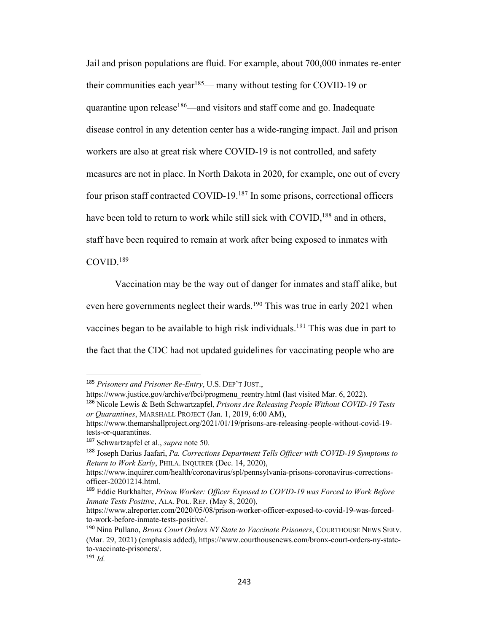Jail and prison populations are fluid. For example, about 700,000 inmates re-enter their communities each year<sup>185</sup>— many without testing for COVID-19 or quarantine upon release<sup>186</sup>—and visitors and staff come and go. Inadequate disease control in any detention center has a wide-ranging impact. Jail and prison workers are also at great risk where COVID-19 is not controlled, and safety measures are not in place. In North Dakota in 2020, for example, one out of every four prison staff contracted COVID-19.187 In some prisons, correctional officers have been told to return to work while still sick with COVID,<sup>188</sup> and in others, staff have been required to remain at work after being exposed to inmates with COVID.189

Vaccination may be the way out of danger for inmates and staff alike, but even here governments neglect their wards.<sup>190</sup> This was true in early 2021 when vaccines began to be available to high risk individuals.191 This was due in part to the fact that the CDC had not updated guidelines for vaccinating people who are

<sup>185</sup> *Prisoners and Prisoner Re-Entry*, U.S. DEP'T JUST.,

https://www.justice.gov/archive/fbci/progmenu\_reentry.html (last visited Mar. 6, 2022).

<sup>186</sup> Nicole Lewis & Beth Schwartzapfel, *Prisons Are Releasing People Without COVID-19 Tests or Quarantines*, MARSHALL PROJECT (Jan. 1, 2019, 6:00 AM),

https://www.themarshallproject.org/2021/01/19/prisons-are-releasing-people-without-covid-19 tests-or-quarantines.

<sup>187</sup> Schwartzapfel et al., *supra* note 50.

<sup>188</sup> Joseph Darius Jaafari, *Pa. Corrections Department Tells Officer with COVID-19 Symptoms to Return to Work Early*, PHILA. INQUIRER (Dec. 14, 2020),

https://www.inquirer.com/health/coronavirus/spl/pennsylvania-prisons-coronavirus-correctionsofficer-20201214.html.

<sup>189</sup> Eddie Burkhalter, *Prison Worker: Officer Exposed to COVID-19 was Forced to Work Before Inmate Tests Positive*, ALA. POL. REP. (May 8, 2020),

https://www.alreporter.com/2020/05/08/prison-worker-officer-exposed-to-covid-19-was-forcedto-work-before-inmate-tests-positive/.

<sup>190</sup> Nina Pullano, *Bronx Court Orders NY State to Vaccinate Prisoners*, COURTHOUSE NEWS SERV. (Mar. 29, 2021) (emphasis added), https://www.courthousenews.com/bronx-court-orders-ny-stateto-vaccinate-prisoners/.

<sup>191</sup> *Id.*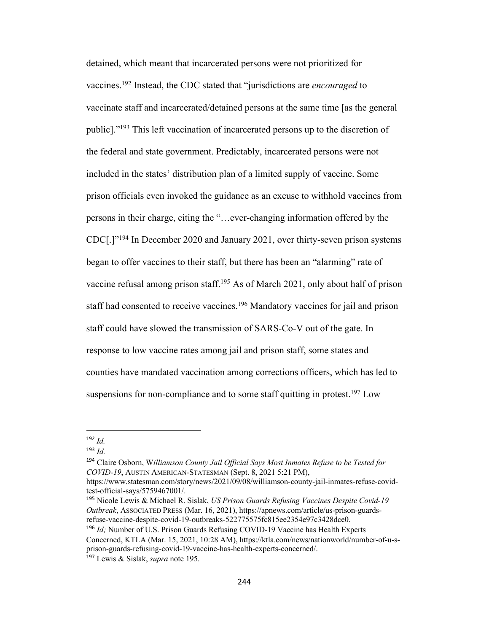detained, which meant that incarcerated persons were not prioritized for vaccines.192 Instead, the CDC stated that "jurisdictions are *encouraged* to vaccinate staff and incarcerated/detained persons at the same time [as the general public]."193 This left vaccination of incarcerated persons up to the discretion of the federal and state government. Predictably, incarcerated persons were not included in the states' distribution plan of a limited supply of vaccine. Some prison officials even invoked the guidance as an excuse to withhold vaccines from persons in their charge, citing the "…ever-changing information offered by the CDC[.]"194 In December 2020 and January 2021, over thirty-seven prison systems began to offer vaccines to their staff, but there has been an "alarming" rate of vaccine refusal among prison staff.195 As of March 2021, only about half of prison staff had consented to receive vaccines.196 Mandatory vaccines for jail and prison staff could have slowed the transmission of SARS-Co-V out of the gate. In response to low vaccine rates among jail and prison staff, some states and counties have mandated vaccination among corrections officers, which has led to suspensions for non-compliance and to some staff quitting in protest.<sup>197</sup> Low

<sup>194</sup> Claire Osborn, W*illiamson County Jail Official Says Most Inmates Refuse to be Tested for COVID-19*, AUSTIN AMERICAN-STATESMAN (Sept. 8, 2021 5:21 PM), https://www.statesman.com/story/news/2021/09/08/williamson-county-jail-inmates-refuse-covid-

test-official-says/5759467001/.

<sup>195</sup> Nicole Lewis & Michael R. Sislak, *US Prison Guards Refusing Vaccines Despite Covid-19 Outbreak*, ASSOCIATED PRESS (Mar. 16, 2021), https://apnews.com/article/us-prison-guardsrefuse-vaccine-despite-covid-19-outbreaks-522775575fc815ee2354e97c3428dce0.

<sup>196</sup> *Id;* Number of U.S. Prison Guards Refusing COVID-19 Vaccine has Health Experts Concerned, KTLA (Mar. 15, 2021, 10:28 AM), https://ktla.com/news/nationworld/number-of-u-sprison-guards-refusing-covid-19-vaccine-has-health-experts-concerned/. <sup>197</sup> Lewis & Sislak, *supra* note 195.

<sup>192</sup> *Id.*

<sup>193</sup> *Id.*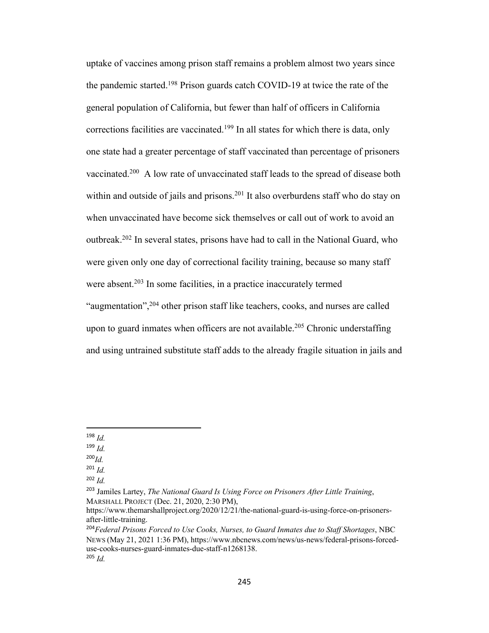uptake of vaccines among prison staff remains a problem almost two years since the pandemic started.198 Prison guards catch COVID-19 at twice the rate of the general population of California, but fewer than half of officers in California corrections facilities are vaccinated.<sup>199</sup> In all states for which there is data, only one state had a greater percentage of staff vaccinated than percentage of prisoners vaccinated.<sup>200</sup> A low rate of unvaccinated staff leads to the spread of disease both within and outside of jails and prisons.<sup>201</sup> It also overburdens staff who do stay on when unvaccinated have become sick themselves or call out of work to avoid an outbreak.202 In several states, prisons have had to call in the National Guard, who were given only one day of correctional facility training, because so many staff were absent.<sup>203</sup> In some facilities, in a practice inaccurately termed "augmentation",<sup>204</sup> other prison staff like teachers, cooks, and nurses are called upon to guard inmates when officers are not available.<sup>205</sup> Chronic understaffing and using untrained substitute staff adds to the already fragile situation in jails and

<sup>201</sup> *Id.*

<sup>198</sup> *Id.*

<sup>199</sup> *Id.*

<sup>200</sup>*Id.*

<sup>202</sup> *Id.*

<sup>203</sup> Jamiles Lartey, *The National Guard Is Using Force on Prisoners After Little Training*, MARSHALL PROJECT (Dec. 21, 2020, 2:30 PM),

https://www.themarshallproject.org/2020/12/21/the-national-guard-is-using-force-on-prisonersafter-little-training.

<sup>204</sup>*Federal Prisons Forced to Use Cooks, Nurses, to Guard Inmates due to Staff Shortages*, NBC NEWS (May 21, 2021 1:36 PM), https://www.nbcnews.com/news/us-news/federal-prisons-forceduse-cooks-nurses-guard-inmates-due-staff-n1268138. <sup>205</sup> *Id.*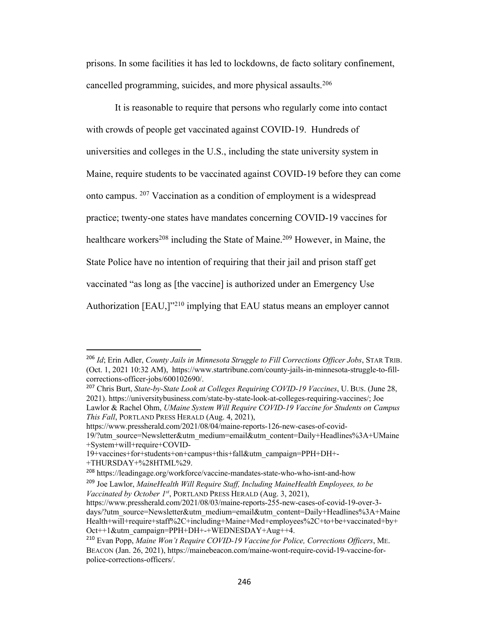prisons. In some facilities it has led to lockdowns, de facto solitary confinement, cancelled programming, suicides, and more physical assaults.206

It is reasonable to require that persons who regularly come into contact with crowds of people get vaccinated against COVID-19. Hundreds of universities and colleges in the U.S., including the state university system in Maine, require students to be vaccinated against COVID-19 before they can come onto campus. <sup>207</sup> Vaccination as a condition of employment is a widespread practice; twenty-one states have mandates concerning COVID-19 vaccines for healthcare workers<sup>208</sup> including the State of Maine.<sup>209</sup> However, in Maine, the State Police have no intention of requiring that their jail and prison staff get vaccinated "as long as [the vaccine] is authorized under an Emergency Use Authorization [EAU,]<sup>"210</sup> implying that EAU status means an employer cannot

https://www.pressherald.com/2021/08/04/maine-reports-126-new-cases-of-covid-

<sup>206</sup> *Id*; Erin Adler, *County Jails in Minnesota Struggle to Fill Corrections Officer Jobs*, STAR TRIB. (Oct. 1, 2021 10:32 AM), https://www.startribune.com/county-jails-in-minnesota-struggle-to-fillcorrections-officer-jobs/600102690/.

<sup>207</sup> Chris Burt, *State-by-State Look at Colleges Requiring COVID-19 Vaccines*, U. BUS. (June 28, 2021). https://universitybusiness.com/state-by-state-look-at-colleges-requiring-vaccines/; Joe Lawlor & Rachel Ohm, *UMaine System Will Require COVID-19 Vaccine for Students on Campus This Fall*, PORTLAND PRESS HERALD (Aug. 4, 2021),

<sup>19/?</sup>utm\_source=Newsletter&utm\_medium=email&utm\_content=Daily+Headlines%3A+UMaine +System+will+require+COVID-

<sup>19+</sup>vaccines+for+students+on+campus+this+fall&utm\_campaign=PPH+DH+- +THURSDAY+%28HTML%29.

<sup>208</sup> https://leadingage.org/workforce/vaccine-mandates-state-who-who-isnt-and-how

<sup>209</sup> Joe Lawlor, *MaineHealth Will Require Staff, Including MaineHealth Employees, to be Vaccinated by October 1st*, PORTLAND PRESS HERALD (Aug. 3, 2021),

https://www.pressherald.com/2021/08/03/maine-reports-255-new-cases-of-covid-19-over-3 days/?utm\_source=Newsletter&utm\_medium=email&utm\_content=Daily+Headlines%3A+Maine Health+will+require+staff%2C+including+Maine+Med+employees%2C+to+be+vaccinated+by+ Oct++1&utm\_campaign=PPH+DH+-+WEDNESDAY+Aug++4.

<sup>210</sup> Evan Popp, *Maine Won't Require COVID-19 Vaccine for Police, Corrections Officers*, ME. BEACON (Jan. 26, 2021), https://mainebeacon.com/maine-wont-require-covid-19-vaccine-forpolice-corrections-officers/.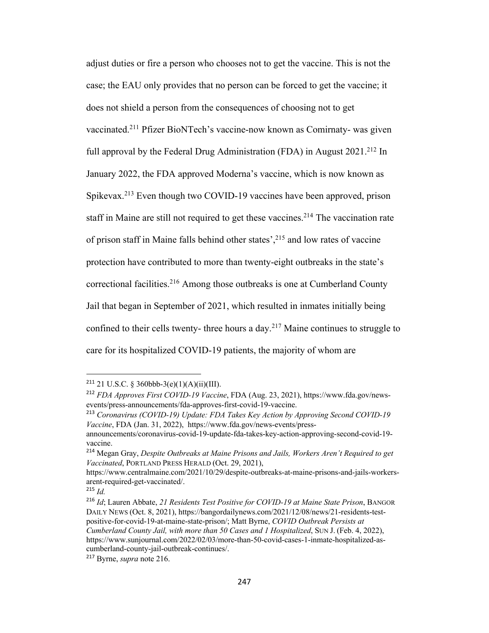adjust duties or fire a person who chooses not to get the vaccine. This is not the case; the EAU only provides that no person can be forced to get the vaccine; it does not shield a person from the consequences of choosing not to get vaccinated.211 Pfizer BioNTech's vaccine-now known as Comirnaty- was given full approval by the Federal Drug Administration (FDA) in August  $2021.^{212}$  In January 2022, the FDA approved Moderna's vaccine, which is now known as Spikevax.213 Even though two COVID-19 vaccines have been approved, prison staff in Maine are still not required to get these vaccines.<sup>214</sup> The vaccination rate of prison staff in Maine falls behind other states',<sup>215</sup> and low rates of vaccine protection have contributed to more than twenty-eight outbreaks in the state's correctional facilities.<sup>216</sup> Among those outbreaks is one at Cumberland County Jail that began in September of 2021, which resulted in inmates initially being confined to their cells twenty- three hours a day.<sup>217</sup> Maine continues to struggle to care for its hospitalized COVID-19 patients, the majority of whom are

<sup>&</sup>lt;sup>211</sup> 21 U.S.C. § 360bbb-3(e)(1)(A)(ii)(III).

<sup>212</sup> *FDA Approves First COVID-19 Vaccine*, FDA (Aug. 23, 2021), https://www.fda.gov/newsevents/press-announcements/fda-approves-first-covid-19-vaccine.

<sup>213</sup> *Coronavirus (COVID-19) Update: FDA Takes Key Action by Approving Second COVID-19 Vaccine*, FDA (Jan. 31, 2022), https://www.fda.gov/news-events/press-

announcements/coronavirus-covid-19-update-fda-takes-key-action-approving-second-covid-19 vaccine.

<sup>214</sup> Megan Gray, *Despite Outbreaks at Maine Prisons and Jails, Workers Aren't Required to get Vaccinated*, PORTLAND PRESS HERALD (Oct. 29, 2021),

https://www.centralmaine.com/2021/10/29/despite-outbreaks-at-maine-prisons-and-jails-workersarent-required-get-vaccinated/.

<sup>215</sup> *Id.*

<sup>216</sup> *Id*; Lauren Abbate, *21 Residents Test Positive for COVID-19 at Maine State Prison*, BANGOR DAILY NEWS (Oct. 8, 2021), https://bangordailynews.com/2021/12/08/news/21-residents-testpositive-for-covid-19-at-maine-state-prison/; Matt Byrne, *COVID Outbreak Persists at Cumberland County Jail, with more than 50 Cases and 1 Hospitalized*, SUN J. (Feb. 4, 2022), https://www.sunjournal.com/2022/02/03/more-than-50-covid-cases-1-inmate-hospitalized-ascumberland-county-jail-outbreak-continues/.

<sup>217</sup> Byrne, *supra* note 216.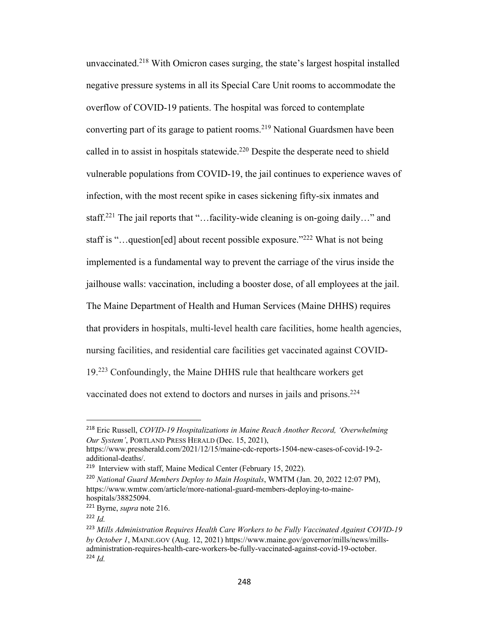unvaccinated.<sup>218</sup> With Omicron cases surging, the state's largest hospital installed negative pressure systems in all its Special Care Unit rooms to accommodate the overflow of COVID-19 patients. The hospital was forced to contemplate converting part of its garage to patient rooms.<sup>219</sup> National Guardsmen have been called in to assist in hospitals statewide.<sup>220</sup> Despite the desperate need to shield vulnerable populations from COVID-19, the jail continues to experience waves of infection, with the most recent spike in cases sickening fifty-six inmates and staff.<sup>221</sup> The jail reports that "...facility-wide cleaning is on-going daily..." and staff is "…question[ed] about recent possible exposure."222 What is not being implemented is a fundamental way to prevent the carriage of the virus inside the jailhouse walls: vaccination, including a booster dose, of all employees at the jail. The Maine Department of Health and Human Services (Maine DHHS) requires that providers in hospitals, multi-level health care facilities, home health agencies, nursing facilities, and residential care facilities get vaccinated against COVID-19.223 Confoundingly, the Maine DHHS rule that healthcare workers get vaccinated does not extend to doctors and nurses in jails and prisons.<sup>224</sup>

<sup>218</sup> Eric Russell, *COVID-19 Hospitalizations in Maine Reach Another Record, 'Overwhelming Our System'*, PORTLAND PRESS HERALD (Dec. 15, 2021),

https://www.pressherald.com/2021/12/15/maine-cdc-reports-1504-new-cases-of-covid-19-2 additional-deaths/.

<sup>&</sup>lt;sup>219</sup> Interview with staff, Maine Medical Center (February 15, 2022).

<sup>220</sup> *National Guard Members Deploy to Main Hospitals*, WMTM (Jan. 20, 2022 12:07 PM), https://www.wmtw.com/article/more-national-guard-members-deploying-to-mainehospitals/38825094.

<sup>221</sup> Byrne, *supra* note 216.

 $222 \, Id.$ 

<sup>223</sup> *Mills Administration Requires Health Care Workers to be Fully Vaccinated Against COVID-19 by October 1*, MAINE.GOV (Aug. 12, 2021) https://www.maine.gov/governor/mills/news/millsadministration-requires-health-care-workers-be-fully-vaccinated-against-covid-19-october. <sup>224</sup> *Id.*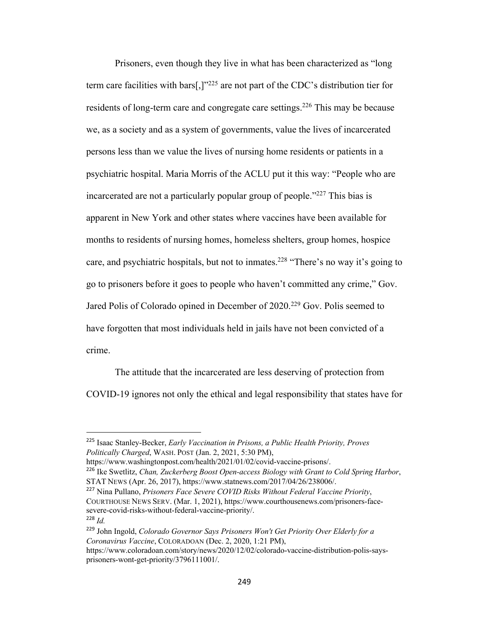Prisoners, even though they live in what has been characterized as "long term care facilities with bars[,] $v^{225}$  are not part of the CDC's distribution tier for residents of long-term care and congregate care settings.<sup>226</sup> This may be because we, as a society and as a system of governments, value the lives of incarcerated persons less than we value the lives of nursing home residents or patients in a psychiatric hospital. Maria Morris of the ACLU put it this way: "People who are incarcerated are not a particularly popular group of people."<sup>227</sup> This bias is apparent in New York and other states where vaccines have been available for months to residents of nursing homes, homeless shelters, group homes, hospice care, and psychiatric hospitals, but not to inmates.<sup>228</sup> "There's no way it's going to go to prisoners before it goes to people who haven't committed any crime," Gov. Jared Polis of Colorado opined in December of 2020.<sup>229</sup> Gov. Polis seemed to have forgotten that most individuals held in jails have not been convicted of a crime.

The attitude that the incarcerated are less deserving of protection from COVID-19 ignores not only the ethical and legal responsibility that states have for

<sup>225</sup> Isaac Stanley-Becker, *Early Vaccination in Prisons, a Public Health Priority, Proves Politically Charged*, WASH. POST (Jan. 2, 2021, 5:30 PM),

https://www.washingtonpost.com/health/2021/01/02/covid-vaccine-prisons/. <sup>226</sup> Ike Swetlitz, *Chan, Zuckerberg Boost Open-access Biology with Grant to Cold Spring Harbor*, STAT NEWS (Apr. 26, 2017), https://www.statnews.com/2017/04/26/238006/.

<sup>227</sup> Nina Pullano, *Prisoners Face Severe COVID Risks Without Federal Vaccine Priority*, COURTHOUSE NEWS SERV. (Mar. 1, 2021), https://www.courthousenews.com/prisoners-facesevere-covid-risks-without-federal-vaccine-priority/. <sup>228</sup> *Id.*

<sup>229</sup> John Ingold, *Colorado Governor Says Prisoners Won't Get Priority Over Elderly for a Coronavirus Vaccine*, COLORADOAN (Dec. 2, 2020, 1:21 PM),

https://www.coloradoan.com/story/news/2020/12/02/colorado-vaccine-distribution-polis-saysprisoners-wont-get-priority/3796111001/.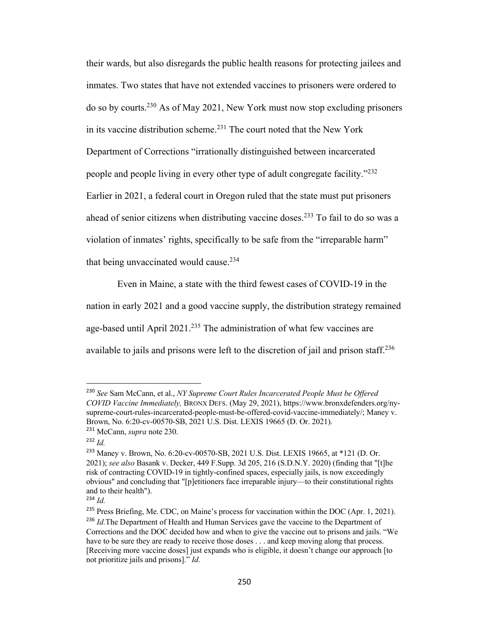their wards, but also disregards the public health reasons for protecting jailees and inmates. Two states that have not extended vaccines to prisoners were ordered to do so by courts.230 As of May 2021, New York must now stop excluding prisoners in its vaccine distribution scheme.<sup>231</sup> The court noted that the New York Department of Corrections "irrationally distinguished between incarcerated people and people living in every other type of adult congregate facility."232 Earlier in 2021, a federal court in Oregon ruled that the state must put prisoners ahead of senior citizens when distributing vaccine doses.<sup>233</sup> To fail to do so was a violation of inmates' rights, specifically to be safe from the "irreparable harm" that being unvaccinated would cause.<sup>234</sup>

Even in Maine, a state with the third fewest cases of COVID-19 in the nation in early 2021 and a good vaccine supply, the distribution strategy remained age-based until April 2021.<sup>235</sup> The administration of what few vaccines are available to jails and prisons were left to the discretion of jail and prison staff.<sup>236</sup>

<sup>230</sup> *See* Sam McCann, et al., *NY Supreme Court Rules Incarcerated People Must be Offered COVID Vaccine Immediately,* BRONX DEFS. (May 29, 2021), https://www.bronxdefenders.org/nysupreme-court-rules-incarcerated-people-must-be-offered-covid-vaccine-immediately/; Maney v. Brown, No. 6:20-cv-00570-SB, 2021 U.S. Dist. LEXIS 19665 (D. Or. 2021).

<sup>231</sup> McCann, *supra* note 230.

<sup>232</sup> *Id.*

<sup>233</sup> Maney v. Brown, No. 6:20-cv-00570-SB, 2021 U.S. Dist. LEXIS 19665, at \*121 (D. Or. 2021); *see also* Basank v. Decker, 449 F.Supp. 3d 205, 216 (S.D.N.Y. 2020) (finding that "[t]he risk of contracting COVID-19 in tightly-confined spaces, especially jails, is now exceedingly obvious" and concluding that "[p]etitioners face irreparable injury—to their constitutional rights and to their health").

<sup>234</sup> *Id.*

<sup>&</sup>lt;sup>235</sup> Press Briefing, Me. CDC, on Maine's process for vaccination within the DOC (Apr. 1, 2021). <sup>236</sup> *Id.* The Department of Health and Human Services gave the vaccine to the Department of Corrections and the DOC decided how and when to give the vaccine out to prisons and jails. "We have to be sure they are ready to receive those doses . . . and keep moving along that process. [Receiving more vaccine doses] just expands who is eligible, it doesn't change our approach [to not prioritize jails and prisons]." *Id.*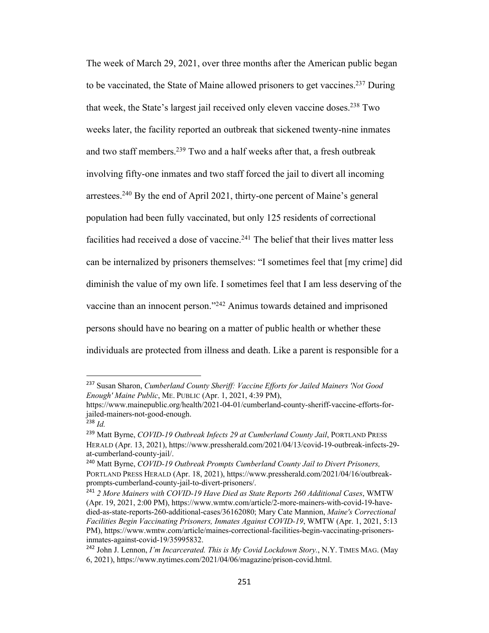The week of March 29, 2021, over three months after the American public began to be vaccinated, the State of Maine allowed prisoners to get vaccines.<sup>237</sup> During that week, the State's largest jail received only eleven vaccine doses.<sup>238</sup> Two weeks later, the facility reported an outbreak that sickened twenty-nine inmates and two staff members.239 Two and a half weeks after that, a fresh outbreak involving fifty-one inmates and two staff forced the jail to divert all incoming arrestees.<sup>240</sup> By the end of April 2021, thirty-one percent of Maine's general population had been fully vaccinated, but only 125 residents of correctional facilities had received a dose of vaccine. $^{241}$  The belief that their lives matter less can be internalized by prisoners themselves: "I sometimes feel that [my crime] did diminish the value of my own life. I sometimes feel that I am less deserving of the vaccine than an innocent person."242 Animus towards detained and imprisoned persons should have no bearing on a matter of public health or whether these individuals are protected from illness and death. Like a parent is responsible for a

<sup>237</sup> Susan Sharon, *Cumberland County Sheriff: Vaccine Efforts for Jailed Mainers 'Not Good Enough' Maine Public*, ME. PUBLIC (Apr. 1, 2021, 4:39 PM),

https://www.mainepublic.org/health/2021-04-01/cumberland-county-sheriff-vaccine-efforts-forjailed-mainers-not-good-enough.

<sup>238</sup> *Id.*

<sup>239</sup> Matt Byrne, *COVID-19 Outbreak Infects 29 at Cumberland County Jail*, PORTLAND PRESS HERALD (Apr. 13, 2021), https://www.pressherald.com/2021/04/13/covid-19-outbreak-infects-29 at-cumberland-county-jail/.

<sup>240</sup> Matt Byrne, *COVID-19 Outbreak Prompts Cumberland County Jail to Divert Prisoners,* PORTLAND PRESS HERALD (Apr. 18, 2021), https://www.pressherald.com/2021/04/16/outbreakprompts-cumberland-county-jail-to-divert-prisoners/.

<sup>241</sup> *2 More Mainers with COVID-19 Have Died as State Reports 260 Additional Cases*, WMTW (Apr. 19, 2021, 2:00 PM), https://www.wmtw.com/article/2-more-mainers-with-covid-19-havedied-as-state-reports-260-additional-cases/36162080; Mary Cate Mannion, *Maine's Correctional Facilities Begin Vaccinating Prisoners, Inmates Against COVID-19*, WMTW (Apr. 1, 2021, 5:13 PM), https://www.wmtw.com/article/maines-correctional-facilities-begin-vaccinating-prisonersinmates-against-covid-19/35995832.

<sup>242</sup> John J. Lennon, *I'm Incarcerated. This is My Covid Lockdown Story.*, N.Y. TIMES MAG. (May 6, 2021), https://www.nytimes.com/2021/04/06/magazine/prison-covid.html.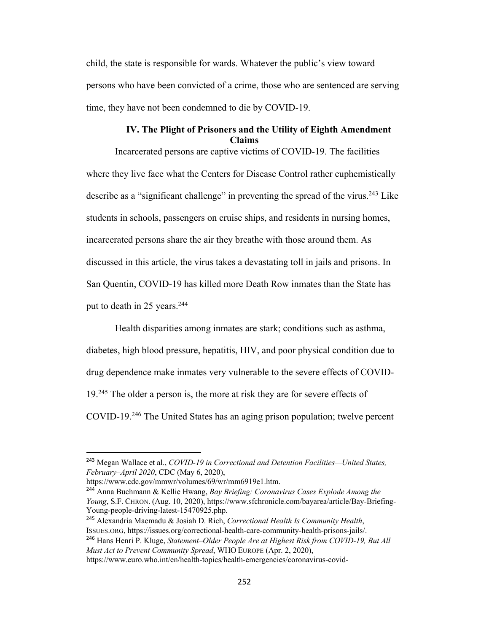child, the state is responsible for wards. Whatever the public's view toward persons who have been convicted of a crime, those who are sentenced are serving time, they have not been condemned to die by COVID-19.

## **IV. The Plight of Prisoners and the Utility of Eighth Amendment Claims**

Incarcerated persons are captive victims of COVID-19. The facilities where they live face what the Centers for Disease Control rather euphemistically describe as a "significant challenge" in preventing the spread of the virus.<sup>243</sup> Like students in schools, passengers on cruise ships, and residents in nursing homes, incarcerated persons share the air they breathe with those around them. As discussed in this article, the virus takes a devastating toll in jails and prisons. In San Quentin, COVID-19 has killed more Death Row inmates than the State has put to death in 25 years.<sup>244</sup>

Health disparities among inmates are stark; conditions such as asthma, diabetes, high blood pressure, hepatitis, HIV, and poor physical condition due to drug dependence make inmates very vulnerable to the severe effects of COVID-19<sup>245</sup> The older a person is, the more at risk they are for severe effects of COVID-19.246 The United States has an aging prison population; twelve percent

<sup>245</sup> Alexandria Macmadu & Josiah D. Rich, *Correctional Health Is Community Health*, ISSUES.ORG, https://issues.org/correctional-health-care-community-health-prisons-jails/. <sup>246</sup> Hans Henri P. Kluge, *Statement–Older People Are at Highest Risk from COVID-19, But All Must Act to Prevent Community Spread*, WHO EUROPE (Apr. 2, 2020),

<sup>243</sup> Megan Wallace et al., *COVID-19 in Correctional and Detention Facilities—United States, February–April 2020*, CDC (May 6, 2020),

https://www.cdc.gov/mmwr/volumes/69/wr/mm6919e1.htm.

<sup>244</sup> Anna Buchmann & Kellie Hwang, *Bay Briefing: Coronavirus Cases Explode Among the Young*, S.F. CHRON. (Aug. 10, 2020), https://www.sfchronicle.com/bayarea/article/Bay-Briefing-Young-people-driving-latest-15470925.php.

https://www.euro.who.int/en/health-topics/health-emergencies/coronavirus-covid-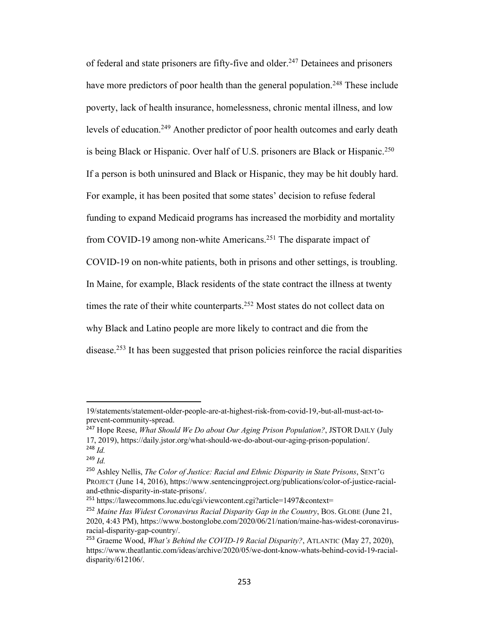of federal and state prisoners are fifty-five and older.<sup>247</sup> Detainees and prisoners have more predictors of poor health than the general population.<sup>248</sup> These include poverty, lack of health insurance, homelessness, chronic mental illness, and low levels of education.<sup>249</sup> Another predictor of poor health outcomes and early death is being Black or Hispanic. Over half of U.S. prisoners are Black or Hispanic.<sup>250</sup> If a person is both uninsured and Black or Hispanic, they may be hit doubly hard. For example, it has been posited that some states' decision to refuse federal funding to expand Medicaid programs has increased the morbidity and mortality from COVID-19 among non-white Americans.251 The disparate impact of COVID-19 on non-white patients, both in prisons and other settings, is troubling. In Maine, for example, Black residents of the state contract the illness at twenty times the rate of their white counterparts.<sup>252</sup> Most states do not collect data on why Black and Latino people are more likely to contract and die from the disease.253 It has been suggested that prison policies reinforce the racial disparities

<sup>19/</sup>statements/statement-older-people-are-at-highest-risk-from-covid-19,-but-all-must-act-toprevent-community-spread.

<sup>247</sup> Hope Reese, *What Should We Do about Our Aging Prison Population?*, JSTOR DAILY (July 17, 2019), https://daily.jstor.org/what-should-we-do-about-our-aging-prison-population/. <sup>248</sup> *Id.*

 $^{249}$  *Id*.

<sup>250</sup> Ashley Nellis, *The Color of Justice: Racial and Ethnic Disparity in State Prisons*, SENT'G PROJECT (June 14, 2016), https://www.sentencingproject.org/publications/color-of-justice-racialand-ethnic-disparity-in-state-prisons/.

<sup>&</sup>lt;sup>251</sup> https://lawecommons.luc.edu/cgi/viewcontent.cgi?article=1497&context=

<sup>&</sup>lt;sup>252</sup> Maine Has Widest Coronavirus Racial Disparity Gap in the Country, BOS. GLOBE (June 21, 2020, 4:43 PM), https://www.bostonglobe.com/2020/06/21/nation/maine-has-widest-coronavirusracial-disparity-gap-country/.

<sup>253</sup> Graeme Wood, *What's Behind the COVID-19 Racial Disparity?*, ATLANTIC (May 27, 2020), https://www.theatlantic.com/ideas/archive/2020/05/we-dont-know-whats-behind-covid-19-racialdisparity/612106/.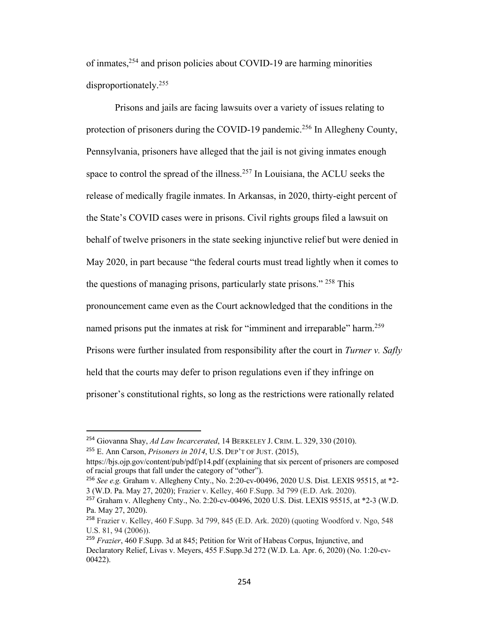of inmates,<sup>254</sup> and prison policies about COVID-19 are harming minorities disproportionately.255

Prisons and jails are facing lawsuits over a variety of issues relating to protection of prisoners during the COVID-19 pandemic.<sup>256</sup> In Allegheny County, Pennsylvania, prisoners have alleged that the jail is not giving inmates enough space to control the spread of the illness.<sup>257</sup> In Louisiana, the ACLU seeks the release of medically fragile inmates. In Arkansas, in 2020, thirty-eight percent of the State's COVID cases were in prisons. Civil rights groups filed a lawsuit on behalf of twelve prisoners in the state seeking injunctive relief but were denied in May 2020, in part because "the federal courts must tread lightly when it comes to the questions of managing prisons, particularly state prisons." 258 This pronouncement came even as the Court acknowledged that the conditions in the named prisons put the inmates at risk for "imminent and irreparable" harm.<sup>259</sup> Prisons were further insulated from responsibility after the court in *Turner v. Safly* held that the courts may defer to prison regulations even if they infringe on prisoner's constitutional rights, so long as the restrictions were rationally related

<sup>254</sup> Giovanna Shay, *Ad Law Incarcerated*, 14 BERKELEY J. CRIM. L. 329, 330 (2010).

<sup>255</sup> E. Ann Carson, *Prisoners in 2014*, U.S. DEP'T OF JUST. (2015),

https://bjs.ojp.gov/content/pub/pdf/p14.pdf (explaining that six percent of prisoners are composed of racial groups that fall under the category of "other").

<sup>256</sup> *See e.g.* Graham v. Allegheny Cnty., No. 2:20-cv-00496, 2020 U.S. Dist. LEXIS 95515, at \*2- 3 (W.D. Pa. May 27, 2020); Frazier v. Kelley, 460 F.Supp. 3d 799 (E.D. Ark. 2020).

<sup>257</sup> Graham v. Allegheny Cnty., No. 2:20-cv-00496, 2020 U.S. Dist. LEXIS 95515, at \*2-3 (W.D. Pa. May 27, 2020).

<sup>258</sup> Frazier v. Kelley, 460 F.Supp. 3d 799, 845 (E.D. Ark. 2020) (quoting Woodford v. Ngo, 548 U.S. 81, 94 (2006)).

<sup>259</sup> *Frazier*, 460 F.Supp. 3d at 845; Petition for Writ of Habeas Corpus, Injunctive, and Declaratory Relief, Livas v. Meyers, 455 F.Supp.3d 272 (W.D. La. Apr. 6, 2020) (No. 1:20-cv-00422).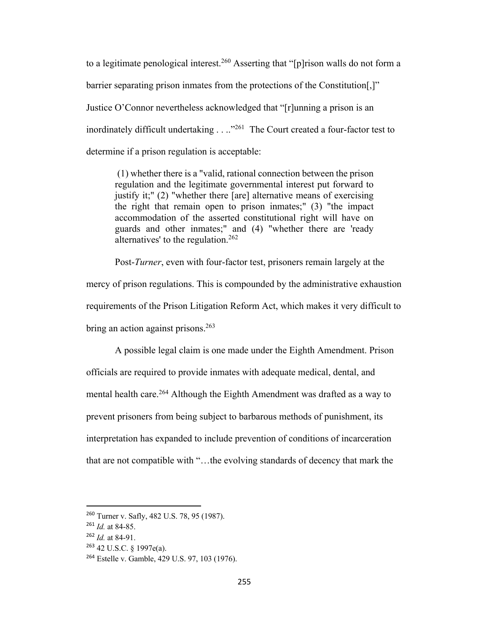to a legitimate penological interest.<sup>260</sup> Asserting that "[p]rison walls do not form a barrier separating prison inmates from the protections of the Constitution[,]" Justice O'Connor nevertheless acknowledged that "[r]unning a prison is an inordinately difficult undertaking  $\dots$ <sup>261</sup> The Court created a four-factor test to determine if a prison regulation is acceptable:

(1) whether there is a "valid, rational connection between the prison regulation and the legitimate governmental interest put forward to justify it;" (2) "whether there [are] alternative means of exercising the right that remain open to prison inmates;" (3) "the impact accommodation of the asserted constitutional right will have on guards and other inmates;" and (4) "whether there are 'ready alternatives' to the regulation.262

Post-*Turner*, even with four-factor test, prisoners remain largely at the mercy of prison regulations. This is compounded by the administrative exhaustion requirements of the Prison Litigation Reform Act, which makes it very difficult to bring an action against prisons. $263$ 

A possible legal claim is one made under the Eighth Amendment. Prison officials are required to provide inmates with adequate medical, dental, and mental health care.<sup>264</sup> Although the Eighth Amendment was drafted as a way to prevent prisoners from being subject to barbarous methods of punishment, its interpretation has expanded to include prevention of conditions of incarceration that are not compatible with "…the evolving standards of decency that mark the

<sup>260</sup> Turner v. Safly, 482 U.S. 78, 95 (1987).

<sup>261</sup> *Id.* at 84-85.

<sup>262</sup> *Id.* at 84-91.

<sup>263</sup> 42 U.S.C. § 1997e(a).

<sup>264</sup> Estelle v. Gamble, 429 U.S. 97, 103 (1976).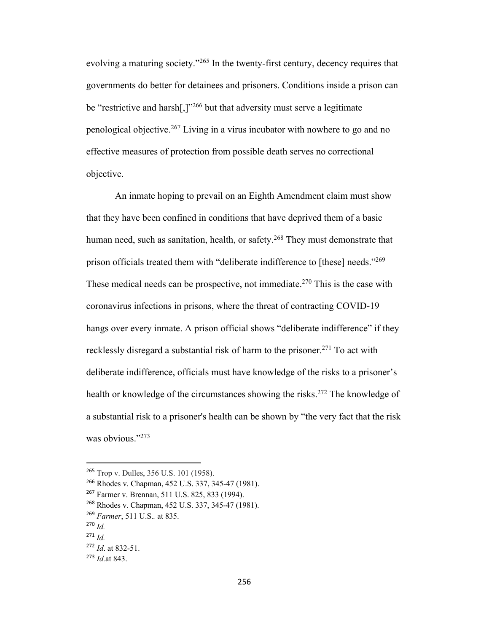evolving a maturing society."265 In the twenty-first century, decency requires that governments do better for detainees and prisoners. Conditions inside a prison can be "restrictive and harsh[,]"<sup>266</sup> but that adversity must serve a legitimate penological objective.267 Living in a virus incubator with nowhere to go and no effective measures of protection from possible death serves no correctional objective.

An inmate hoping to prevail on an Eighth Amendment claim must show that they have been confined in conditions that have deprived them of a basic human need, such as sanitation, health, or safety.<sup>268</sup> They must demonstrate that prison officials treated them with "deliberate indifference to [these] needs."269 These medical needs can be prospective, not immediate.<sup>270</sup> This is the case with coronavirus infections in prisons, where the threat of contracting COVID-19 hangs over every inmate. A prison official shows "deliberate indifference" if they recklessly disregard a substantial risk of harm to the prisoner.<sup>271</sup> To act with deliberate indifference, officials must have knowledge of the risks to a prisoner's health or knowledge of the circumstances showing the risks.<sup>272</sup> The knowledge of a substantial risk to a prisoner's health can be shown by "the very fact that the risk was obvious."<sup>273</sup>

<sup>265</sup> Trop v. Dulles, 356 U.S. 101 (1958).

<sup>266</sup> Rhodes v. Chapman, 452 U.S. 337, 345-47 (1981).

<sup>267</sup> Farmer v. Brennan, 511 U.S. 825, 833 (1994).

<sup>268</sup> Rhodes v. Chapman, 452 U.S. 337, 345-47 (1981).

<sup>269</sup> *Farmer*, 511 U.S.*.* at 835.

<sup>270</sup> *Id.*

 $^{271}$  *Id*.

<sup>272</sup> *Id*. at 832-51.

<sup>273</sup> *Id.*at 843.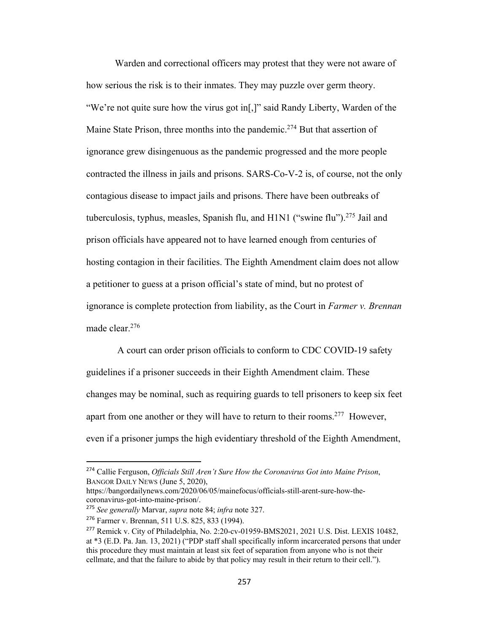Warden and correctional officers may protest that they were not aware of how serious the risk is to their inmates. They may puzzle over germ theory. "We're not quite sure how the virus got in[,]" said Randy Liberty, Warden of the Maine State Prison, three months into the pandemic.<sup>274</sup> But that assertion of ignorance grew disingenuous as the pandemic progressed and the more people contracted the illness in jails and prisons. SARS-Co-V-2 is, of course, not the only contagious disease to impact jails and prisons. There have been outbreaks of tuberculosis, typhus, measles, Spanish flu, and H1N1 ("swine flu").<sup>275</sup> Jail and prison officials have appeared not to have learned enough from centuries of hosting contagion in their facilities. The Eighth Amendment claim does not allow a petitioner to guess at a prison official's state of mind, but no protest of ignorance is complete protection from liability, as the Court in *Farmer v. Brennan*  made clear.276

A court can order prison officials to conform to CDC COVID-19 safety guidelines if a prisoner succeeds in their Eighth Amendment claim. These changes may be nominal, such as requiring guards to tell prisoners to keep six feet apart from one another or they will have to return to their rooms.<sup>277</sup> However, even if a prisoner jumps the high evidentiary threshold of the Eighth Amendment,

<sup>274</sup> Callie Ferguson, *Officials Still Aren't Sure How the Coronavirus Got into Maine Prison*, BANGOR DAILY NEWS (June 5, 2020),

https://bangordailynews.com/2020/06/05/mainefocus/officials-still-arent-sure-how-thecoronavirus-got-into-maine-prison/.

<sup>275</sup> *See generally* Marvar, *supra* note 84; *infra* note 327.

<sup>276</sup> Farmer v. Brennan, 511 U.S. 825, 833 (1994).

<sup>277</sup> Remick v. City of Philadelphia, No. 2:20-cv-01959-BMS2021, 2021 U.S. Dist. LEXIS 10482, at \*3 (E.D. Pa. Jan. 13, 2021) ("PDP staff shall specifically inform incarcerated persons that under this procedure they must maintain at least six feet of separation from anyone who is not their cellmate, and that the failure to abide by that policy may result in their return to their cell.").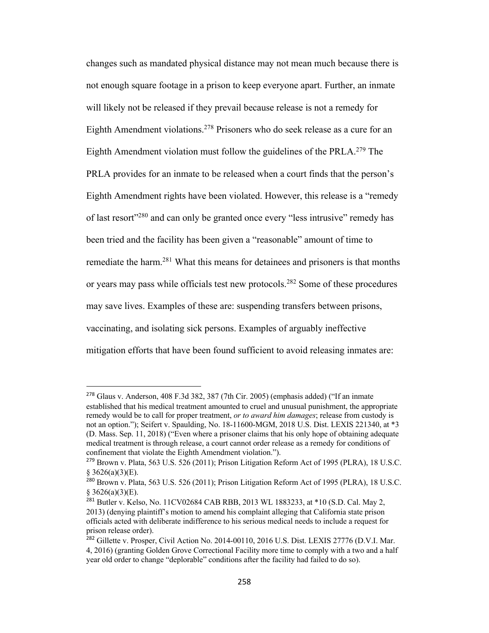changes such as mandated physical distance may not mean much because there is not enough square footage in a prison to keep everyone apart. Further, an inmate will likely not be released if they prevail because release is not a remedy for Eighth Amendment violations.<sup>278</sup> Prisoners who do seek release as a cure for an Eighth Amendment violation must follow the guidelines of the PRLA.279 The PRLA provides for an inmate to be released when a court finds that the person's Eighth Amendment rights have been violated. However, this release is a "remedy of last resort<sup>"280</sup> and can only be granted once every "less intrusive" remedy has been tried and the facility has been given a "reasonable" amount of time to remediate the harm.<sup>281</sup> What this means for detainees and prisoners is that months or years may pass while officials test new protocols.<sup>282</sup> Some of these procedures may save lives. Examples of these are: suspending transfers between prisons, vaccinating, and isolating sick persons. Examples of arguably ineffective mitigation efforts that have been found sufficient to avoid releasing inmates are:

 $278$  Glaus v. Anderson, 408 F.3d 382, 387 (7th Cir. 2005) (emphasis added) ("If an inmate established that his medical treatment amounted to cruel and unusual punishment, the appropriate remedy would be to call for proper treatment, *or to award him damages*; release from custody is not an option."); Seifert v. Spaulding, No. 18-11600-MGM, 2018 U.S. Dist. LEXIS 221340, at \*3 (D. Mass. Sep. 11, 2018) ("Even where a prisoner claims that his only hope of obtaining adequate medical treatment is through release, a court cannot order release as a remedy for conditions of confinement that violate the Eighth Amendment violation.").

<sup>279</sup> Brown v. Plata, 563 U.S. 526 (2011); Prison Litigation Reform Act of 1995 (PLRA), 18 U.S.C.  $$3626(a)(3)(E).$ 

 $^{280}$  Brown v. Plata, 563 U.S. 526 (2011); Prison Litigation Reform Act of 1995 (PLRA), 18 U.S.C.  $§$  3626(a)(3)(E).

<sup>&</sup>lt;sup>281</sup> Butler v. Kelso, No. 11CV02684 CAB RBB, 2013 WL 1883233, at \*10 (S.D. Cal. May 2, 2013) (denying plaintiff's motion to amend his complaint alleging that California state prison officials acted with deliberate indifference to his serious medical needs to include a request for prison release order).

<sup>&</sup>lt;sup>282</sup> Gillette v. Prosper, Civil Action No. 2014-00110, 2016 U.S. Dist. LEXIS 27776 (D.V.I. Mar. 4, 2016) (granting Golden Grove Correctional Facility more time to comply with a two and a half year old order to change "deplorable" conditions after the facility had failed to do so).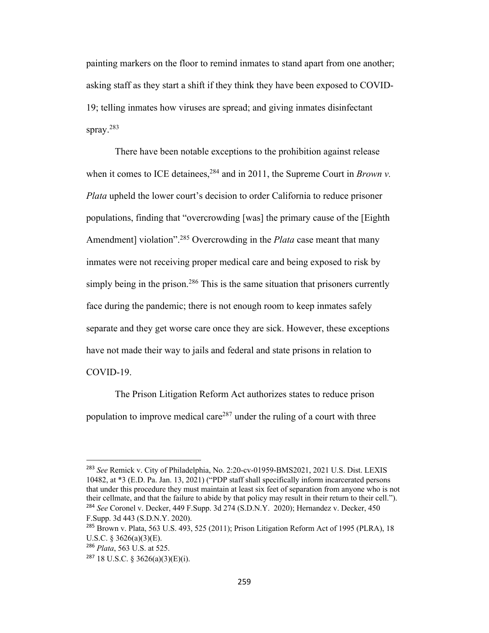painting markers on the floor to remind inmates to stand apart from one another; asking staff as they start a shift if they think they have been exposed to COVID-19; telling inmates how viruses are spread; and giving inmates disinfectant spray.283

There have been notable exceptions to the prohibition against release when it comes to ICE detainees,  $284$  and in 2011, the Supreme Court in *Brown v*. *Plata* upheld the lower court's decision to order California to reduce prisoner populations, finding that "overcrowding [was] the primary cause of the [Eighth Amendment] violation".<sup>285</sup> Overcrowding in the *Plata* case meant that many inmates were not receiving proper medical care and being exposed to risk by simply being in the prison.<sup>286</sup> This is the same situation that prisoners currently face during the pandemic; there is not enough room to keep inmates safely separate and they get worse care once they are sick. However, these exceptions have not made their way to jails and federal and state prisons in relation to COVID-19.

The Prison Litigation Reform Act authorizes states to reduce prison population to improve medical care<sup>287</sup> under the ruling of a court with three

<sup>283</sup> *See* Remick v. City of Philadelphia, No. 2:20-cv-01959-BMS2021, 2021 U.S. Dist. LEXIS 10482, at \*3 (E.D. Pa. Jan. 13, 2021) ("PDP staff shall specifically inform incarcerated persons that under this procedure they must maintain at least six feet of separation from anyone who is not their cellmate, and that the failure to abide by that policy may result in their return to their cell."). <sup>284</sup> *See* Coronel v. Decker, 449 F.Supp. 3d 274 (S.D.N.Y. 2020); Hernandez v. Decker, 450 F.Supp. 3d 443 (S.D.N.Y. 2020).

<sup>&</sup>lt;sup>285</sup> Brown v. Plata, 563 U.S. 493, 525 (2011); Prison Litigation Reform Act of 1995 (PLRA), 18 U.S.C. § 3626(a)(3)(E).

<sup>286</sup> *Plata*, 563 U.S. at 525.

<sup>&</sup>lt;sup>287</sup> 18 U.S.C. § 3626(a)(3)(E)(i).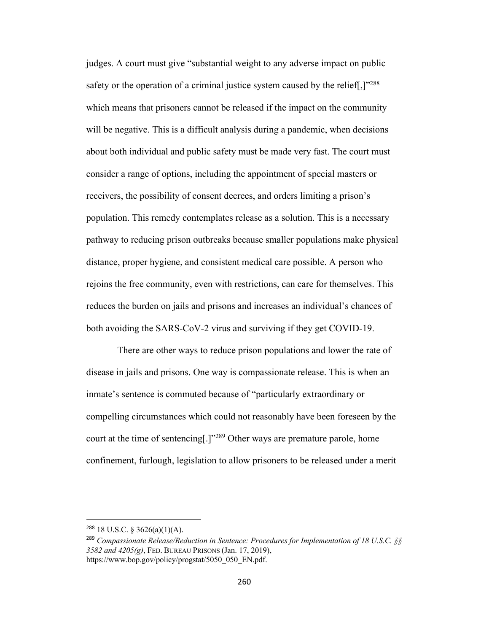judges. A court must give "substantial weight to any adverse impact on public safety or the operation of a criminal justice system caused by the relief.  $1^{288}$ which means that prisoners cannot be released if the impact on the community will be negative. This is a difficult analysis during a pandemic, when decisions about both individual and public safety must be made very fast. The court must consider a range of options, including the appointment of special masters or receivers, the possibility of consent decrees, and orders limiting a prison's population. This remedy contemplates release as a solution. This is a necessary pathway to reducing prison outbreaks because smaller populations make physical distance, proper hygiene, and consistent medical care possible. A person who rejoins the free community, even with restrictions, can care for themselves. This reduces the burden on jails and prisons and increases an individual's chances of both avoiding the SARS-CoV-2 virus and surviving if they get COVID-19.

There are other ways to reduce prison populations and lower the rate of disease in jails and prisons. One way is compassionate release. This is when an inmate's sentence is commuted because of "particularly extraordinary or compelling circumstances which could not reasonably have been foreseen by the court at the time of sentencing[.]"289 Other ways are premature parole, home confinement, furlough, legislation to allow prisoners to be released under a merit

 $288$  18 U.S.C. § 3626(a)(1)(A).

<sup>289</sup> *Compassionate Release/Reduction in Sentence: Procedures for Implementation of 18 U.S.C. §§ 3582 and 4205(g)*, FED. BUREAU PRISONS (Jan. 17, 2019), https://www.bop.gov/policy/progstat/5050\_050\_EN.pdf.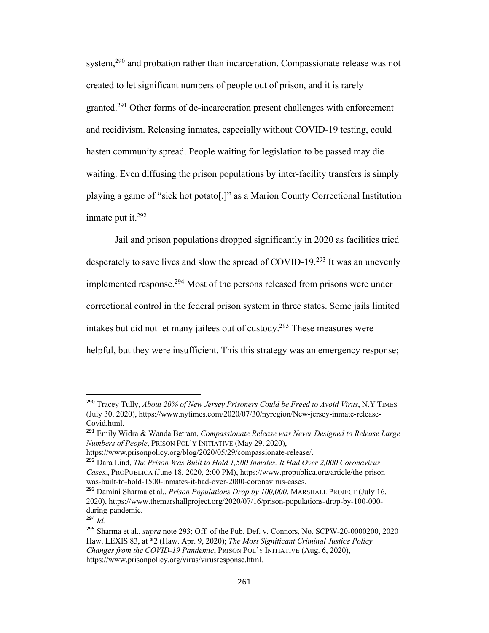system,<sup>290</sup> and probation rather than incarceration. Compassionate release was not created to let significant numbers of people out of prison, and it is rarely granted.291 Other forms of de-incarceration present challenges with enforcement and recidivism. Releasing inmates, especially without COVID-19 testing, could hasten community spread. People waiting for legislation to be passed may die waiting. Even diffusing the prison populations by inter-facility transfers is simply playing a game of "sick hot potato[,]" as a Marion County Correctional Institution inmate put it. $292$ 

Jail and prison populations dropped significantly in 2020 as facilities tried desperately to save lives and slow the spread of COVID-19.293 It was an unevenly implemented response.294 Most of the persons released from prisons were under correctional control in the federal prison system in three states. Some jails limited intakes but did not let many jailees out of custody. <sup>295</sup> These measures were helpful, but they were insufficient. This this strategy was an emergency response;

<sup>290</sup> Tracey Tully, *About 20% of New Jersey Prisoners Could be Freed to Avoid Virus*, N.Y TIMES (July 30, 2020), https://www.nytimes.com/2020/07/30/nyregion/New-jersey-inmate-release-Covid.html.

<sup>291</sup> Emily Widra & Wanda Betram, *Compassionate Release was Never Designed to Release Large Numbers of People*, PRISON POL'Y INITIATIVE (May 29, 2020),

https://www.prisonpolicy.org/blog/2020/05/29/compassionate-release/.

<sup>292</sup> Dara Lind, *The Prison Was Built to Hold 1,500 Inmates. It Had Over 2,000 Coronavirus Cases.*, PROPUBLICA (June 18, 2020, 2:00 PM), https://www.propublica.org/article/the-prisonwas-built-to-hold-1500-inmates-it-had-over-2000-coronavirus-cases.

<sup>293</sup> Damini Sharma et al., *Prison Populations Drop by 100,000*, MARSHALL PROJECT (July 16, 2020), https://www.themarshallproject.org/2020/07/16/prison-populations-drop-by-100-000 during-pandemic.

<sup>294</sup> *Id.*

<sup>295</sup> Sharma et al., *supra* note 293; Off. of the Pub. Def. v. Connors, No. SCPW-20-0000200, 2020 Haw. LEXIS 83, at \*2 (Haw. Apr. 9, 2020); *The Most Significant Criminal Justice Policy Changes from the COVID-19 Pandemic*, PRISON POL'Y INITIATIVE (Aug. 6, 2020), https://www.prisonpolicy.org/virus/virusresponse.html.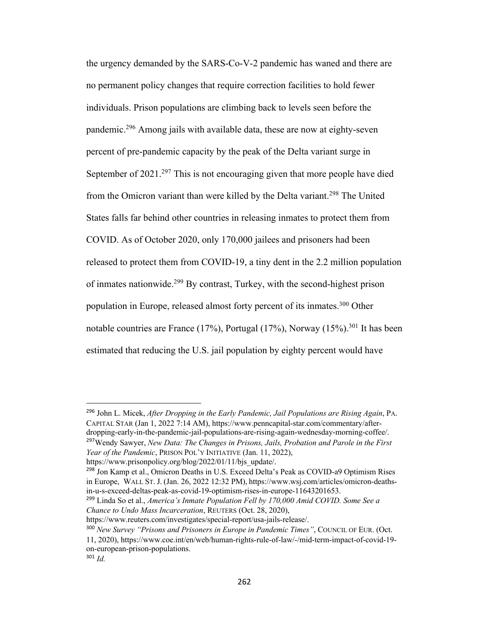the urgency demanded by the SARS-Co-V-2 pandemic has waned and there are no permanent policy changes that require correction facilities to hold fewer individuals. Prison populations are climbing back to levels seen before the pandemic.296 Among jails with available data, these are now at eighty-seven percent of pre-pandemic capacity by the peak of the Delta variant surge in September of  $2021.^{297}$  This is not encouraging given that more people have died from the Omicron variant than were killed by the Delta variant.<sup>298</sup> The United States falls far behind other countries in releasing inmates to protect them from COVID. As of October 2020, only 170,000 jailees and prisoners had been released to protect them from COVID-19, a tiny dent in the 2.2 million population of inmates nationwide.299 By contrast, Turkey, with the second-highest prison population in Europe, released almost forty percent of its inmates.300 Other notable countries are France  $(17\%)$ , Portugal  $(17\%)$ , Norway  $(15\%)$ .<sup>301</sup> It has been estimated that reducing the U.S. jail population by eighty percent would have

<sup>296</sup> John L. Micek, *After Dropping in the Early Pandemic, Jail Populations are Rising Again*, PA. CAPITAL STAR (Jan 1, 2022 7:14 AM), https://www.penncapital-star.com/commentary/afterdropping-early-in-the-pandemic-jail-populations-are-rising-again-wednesday-morning-coffee/.

<sup>297</sup>Wendy Sawyer, *New Data: The Changes in Prisons, Jails, Probation and Parole in the First Year of the Pandemic*, PRISON POL'Y INITIATIVE (Jan. 11, 2022),

https://www.prisonpolicy.org/blog/2022/01/11/bjs\_update/.

<sup>298</sup> Jon Kamp et al., Omicron Deaths in U.S. Exceed Delta's Peak as COVID-a9 Optimism Rises in Europe, WALL ST. J. (Jan. 26, 2022 12:32 PM), https://www.wsj.com/articles/omicron-deathsin-u-s-exceed-deltas-peak-as-covid-19-optimism-rises-in-europe-11643201653.

<sup>299</sup> Linda So et al., *America's Inmate Population Fell by 170,000 Amid COVID. Some See a Chance to Undo Mass Incarceration*, REUTERS (Oct. 28, 2020),

https://www.reuters.com/investigates/special-report/usa-jails-release/.

<sup>300</sup> *New Survey "Prisons and Prisoners in Europe in Pandemic Times"*, COUNCIL OF EUR. (Oct.

<sup>11, 2020),</sup> https://www.coe.int/en/web/human-rights-rule-of-law/-/mid-term-impact-of-covid-19 on-european-prison-populations.

<sup>301</sup> *Id.*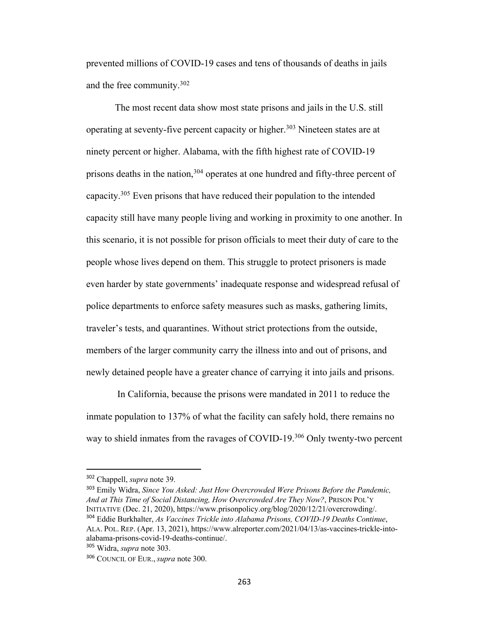prevented millions of COVID-19 cases and tens of thousands of deaths in jails and the free community.302

The most recent data show most state prisons and jails in the U.S. still operating at seventy-five percent capacity or higher.<sup>303</sup> Nineteen states are at ninety percent or higher. Alabama, with the fifth highest rate of COVID-19 prisons deaths in the nation,<sup>304</sup> operates at one hundred and fifty-three percent of capacity.305 Even prisons that have reduced their population to the intended capacity still have many people living and working in proximity to one another. In this scenario, it is not possible for prison officials to meet their duty of care to the people whose lives depend on them. This struggle to protect prisoners is made even harder by state governments' inadequate response and widespread refusal of police departments to enforce safety measures such as masks, gathering limits, traveler's tests, and quarantines. Without strict protections from the outside, members of the larger community carry the illness into and out of prisons, and newly detained people have a greater chance of carrying it into jails and prisons.

In California, because the prisons were mandated in 2011 to reduce the inmate population to 137% of what the facility can safely hold, there remains no way to shield inmates from the ravages of COVID-19.<sup>306</sup> Only twenty-two percent

<sup>302</sup> Chappell, *supra* note 39.

<sup>303</sup> Emily Widra, *Since You Asked: Just How Overcrowded Were Prisons Before the Pandemic, And at This Time of Social Distancing, How Overcrowded Are They Now?*, PRISON POL'Y INITIATIVE (Dec. 21, 2020), https://www.prisonpolicy.org/blog/2020/12/21/overcrowding/. <sup>304</sup> Eddie Burkhalter, *As Vaccines Trickle into Alabama Prisons, COVID-19 Deaths Continue*,

ALA. POL. REP. (Apr. 13, 2021), https://www.alreporter.com/2021/04/13/as-vaccines-trickle-intoalabama-prisons-covid-19-deaths-continue/.

<sup>305</sup> Widra, *supra* note 303.

<sup>306</sup> COUNCIL OF EUR., *supra* note 300.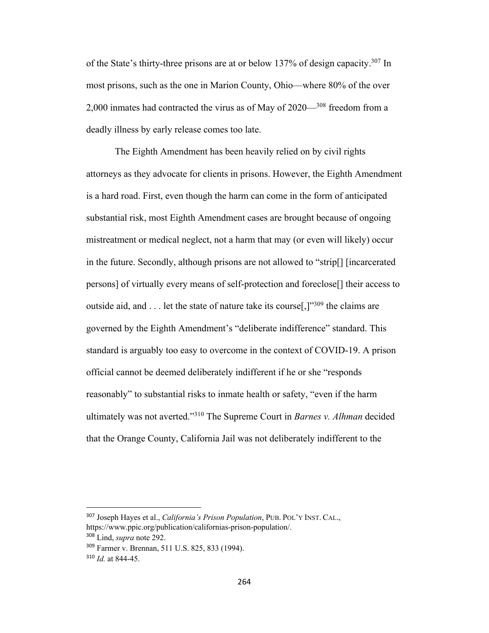of the State's thirty-three prisons are at or below 137% of design capacity.307 In most prisons, such as the one in Marion County, Ohio—where 80% of the over 2,000 inmates had contracted the virus as of May of 2020—<sup>308</sup> freedom from a deadly illness by early release comes too late.

The Eighth Amendment has been heavily relied on by civil rights attorneys as they advocate for clients in prisons. However, the Eighth Amendment is a hard road. First, even though the harm can come in the form of anticipated substantial risk, most Eighth Amendment cases are brought because of ongoing mistreatment or medical neglect, not a harm that may (or even will likely) occur in the future. Secondly, although prisons are not allowed to "strip[] [incarcerated persons] of virtually every means of self-protection and foreclose[] their access to outside aid, and  $\dots$  let the state of nature take its course<sup>[1,]</sup><sup>309</sup> the claims are governed by the Eighth Amendment's "deliberate indifference" standard. This standard is arguably too easy to overcome in the context of COVID-19. A prison official cannot be deemed deliberately indifferent if he or she "responds reasonably" to substantial risks to inmate health or safety, "even if the harm ultimately was not averted."310 The Supreme Court in *Barnes v. Alhman* decided that the Orange County, California Jail was not deliberately indifferent to the

<sup>307</sup> Joseph Hayes et al., *California's Prison Population*, PUB. POL'Y INST. CAL., https://www.ppic.org/publication/californias-prison-population/. <sup>308</sup> Lind, *supra* note 292.

<sup>309</sup> Farmer v. Brennan, 511 U.S. 825, 833 (1994).

<sup>310</sup> *Id.* at 844-45.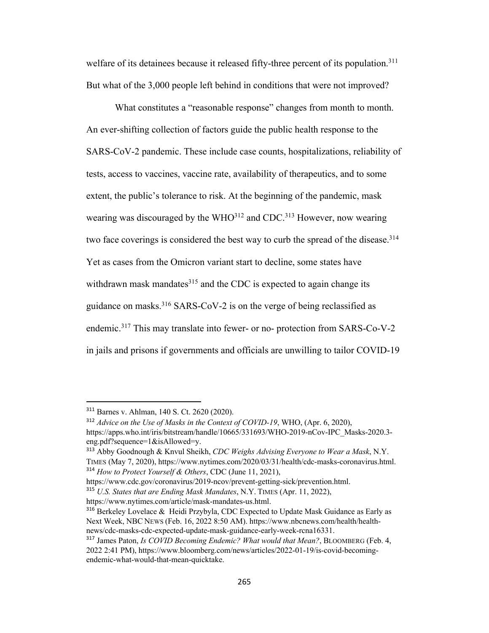welfare of its detainees because it released fifty-three percent of its population.<sup>311</sup> But what of the 3,000 people left behind in conditions that were not improved?

What constitutes a "reasonable response" changes from month to month. An ever-shifting collection of factors guide the public health response to the SARS-CoV-2 pandemic. These include case counts, hospitalizations, reliability of tests, access to vaccines, vaccine rate, availability of therapeutics, and to some extent, the public's tolerance to risk. At the beginning of the pandemic, mask wearing was discouraged by the  $WHO^{312}$  and CDC.<sup>313</sup> However, now wearing two face coverings is considered the best way to curb the spread of the disease.<sup>314</sup> Yet as cases from the Omicron variant start to decline, some states have withdrawn mask mandates<sup>315</sup> and the CDC is expected to again change its guidance on masks.316 SARS-CoV-2 is on the verge of being reclassified as endemic.317 This may translate into fewer- or no- protection from SARS-Co-V-2 in jails and prisons if governments and officials are unwilling to tailor COVID-19

<sup>311</sup> Barnes v. Ahlman, 140 S. Ct. 2620 (2020).

<sup>312</sup> *Advice on the Use of Masks in the Context of COVID-19*, WHO, (Apr. 6, 2020), https://apps.who.int/iris/bitstream/handle/10665/331693/WHO-2019-nCov-IPC\_Masks-2020.3 eng.pdf?sequence=1&isAllowed=y.

<sup>313</sup> Abby Goodnough & Knvul Sheikh, *CDC Weighs Advising Everyone to Wear a Mask*, N.Y. TIMES (May 7, 2020), https://www.nytimes.com/2020/03/31/health/cdc-masks-coronavirus.html. <sup>314</sup> *How to Protect Yourself & Others*, CDC (June 11, 2021),

https://www.cdc.gov/coronavirus/2019-ncov/prevent-getting-sick/prevention.html.

<sup>315</sup> *U.S. States that are Ending Mask Mandates*, N.Y. TIMES (Apr. 11, 2022),

https://www.nytimes.com/article/mask-mandates-us.html.

<sup>&</sup>lt;sup>316</sup> Berkeley Lovelace & Heidi Przybyla, CDC Expected to Update Mask Guidance as Early as Next Week, NBC NEWS (Feb. 16, 2022 8:50 AM). https://www.nbcnews.com/health/healthnews/cdc-masks-cdc-expected-update-mask-guidance-early-week-rcna16331.

<sup>317</sup> James Paton, *Is COVID Becoming Endemic? What would that Mean?*, BLOOMBERG (Feb. 4, 2022 2:41 PM), https://www.bloomberg.com/news/articles/2022-01-19/is-covid-becomingendemic-what-would-that-mean-quicktake.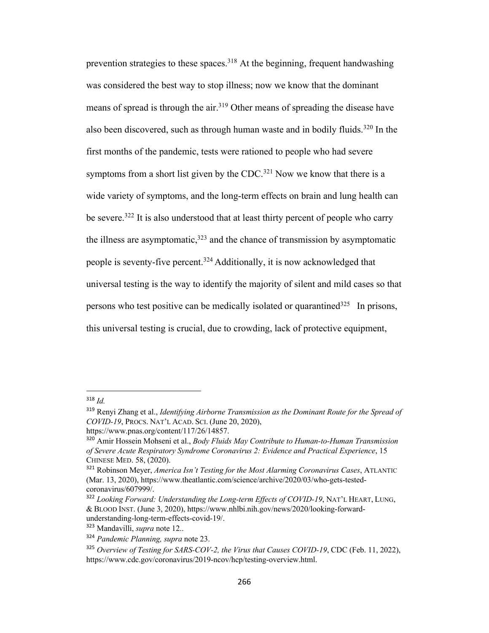prevention strategies to these spaces.<sup>318</sup> At the beginning, frequent handwashing was considered the best way to stop illness; now we know that the dominant means of spread is through the air.319 Other means of spreading the disease have also been discovered, such as through human waste and in bodily fluids.<sup>320</sup> In the first months of the pandemic, tests were rationed to people who had severe symptoms from a short list given by the CDC.<sup>321</sup> Now we know that there is a wide variety of symptoms, and the long-term effects on brain and lung health can be severe.322 It is also understood that at least thirty percent of people who carry the illness are asymptomatic,  $323$  and the chance of transmission by asymptomatic people is seventy-five percent.<sup>324</sup> Additionally, it is now acknowledged that universal testing is the way to identify the majority of silent and mild cases so that persons who test positive can be medically isolated or quarantined<sup>325</sup> In prisons, this universal testing is crucial, due to crowding, lack of protective equipment,

<sup>318</sup> *Id.*

<sup>319</sup> Renyi Zhang et al., *Identifying Airborne Transmission as the Dominant Route for the Spread of COVID-19*, PROCS. NAT'L ACAD. SCI. (June 20, 2020),

https://www.pnas.org/content/117/26/14857.

<sup>320</sup> Amir Hossein Mohseni et al., *Body Fluids May Contribute to Human-to-Human Transmission of Severe Acute Respiratory Syndrome Coronavirus 2: Evidence and Practical Experience*, 15 CHINESE MED. 58, (2020).

<sup>321</sup> Robinson Meyer, *America Isn't Testing for the Most Alarming Coronavirus Cases*, ATLANTIC (Mar. 13, 2020), https://www.theatlantic.com/science/archive/2020/03/who-gets-testedcoronavirus/607999/.

<sup>322</sup> *Looking Forward: Understanding the Long-term Effects of COVID-19*, NAT'L HEART, LUNG, & BLOOD INST. (June 3, 2020), https://www.nhlbi.nih.gov/news/2020/looking-forwardunderstanding-long-term-effects-covid-19/.

<sup>323</sup> Mandavilli, *supra* note 12..

<sup>324</sup> *Pandemic Planning, supra* note 23.

<sup>325</sup> *Overview of Testing for SARS-COV-2, the Virus that Causes COVID-19*, CDC (Feb. 11, 2022), https://www.cdc.gov/coronavirus/2019-ncov/hcp/testing-overview.html.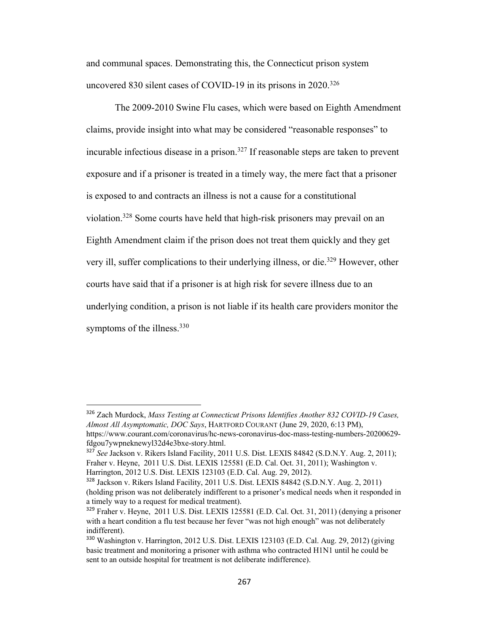and communal spaces. Demonstrating this, the Connecticut prison system uncovered 830 silent cases of COVID-19 in its prisons in 2020.<sup>326</sup>

The 2009-2010 Swine Flu cases, which were based on Eighth Amendment claims, provide insight into what may be considered "reasonable responses" to incurable infectious disease in a prison.327 If reasonable steps are taken to prevent exposure and if a prisoner is treated in a timely way, the mere fact that a prisoner is exposed to and contracts an illness is not a cause for a constitutional violation.328 Some courts have held that high-risk prisoners may prevail on an Eighth Amendment claim if the prison does not treat them quickly and they get very ill, suffer complications to their underlying illness, or die.<sup>329</sup> However, other courts have said that if a prisoner is at high risk for severe illness due to an underlying condition, a prison is not liable if its health care providers monitor the symptoms of the illness.<sup>330</sup>

<sup>326</sup> Zach Murdock, *Mass Testing at Connecticut Prisons Identifies Another 832 COVID-19 Cases, Almost All Asymptomatic, DOC Says*, HARTFORD COURANT (June 29, 2020, 6:13 PM), https://www.courant.com/coronavirus/hc-news-coronavirus-doc-mass-testing-numbers-20200629 fdgou7ywpneknewyl32d4e3bxe-story.html.

<sup>327</sup> *See* Jackson v. Rikers Island Facility, 2011 U.S. Dist. LEXIS 84842 (S.D.N.Y. Aug. 2, 2011); Fraher v. Heyne, 2011 U.S. Dist. LEXIS 125581 (E.D. Cal. Oct. 31, 2011); Washington v. Harrington, 2012 U.S. Dist. LEXIS 123103 (E.D. Cal. Aug. 29, 2012).

<sup>328</sup> Jackson v. Rikers Island Facility, 2011 U.S. Dist. LEXIS 84842 (S.D.N.Y. Aug. 2, 2011) (holding prison was not deliberately indifferent to a prisoner's medical needs when it responded in a timely way to a request for medical treatment).

<sup>329</sup> Fraher v. Heyne, 2011 U.S. Dist. LEXIS 125581 (E.D. Cal. Oct. 31, 2011) (denying a prisoner with a heart condition a flu test because her fever "was not high enough" was not deliberately indifferent).

<sup>330</sup> Washington v. Harrington, 2012 U.S. Dist. LEXIS 123103 (E.D. Cal. Aug. 29, 2012) (giving basic treatment and monitoring a prisoner with asthma who contracted H1N1 until he could be sent to an outside hospital for treatment is not deliberate indifference).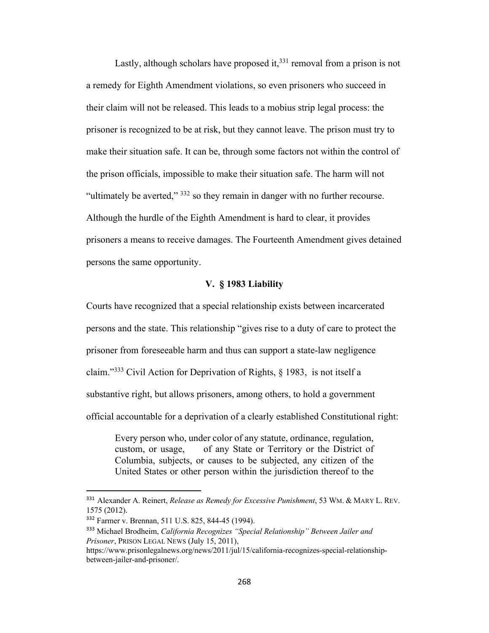Lastly, although scholars have proposed it, $331$  removal from a prison is not a remedy for Eighth Amendment violations, so even prisoners who succeed in their claim will not be released. This leads to a mobius strip legal process: the prisoner is recognized to be at risk, but they cannot leave. The prison must try to make their situation safe. It can be, through some factors not within the control of the prison officials, impossible to make their situation safe. The harm will not "ultimately be averted,"  $332$  so they remain in danger with no further recourse. Although the hurdle of the Eighth Amendment is hard to clear, it provides prisoners a means to receive damages. The Fourteenth Amendment gives detained persons the same opportunity.

## **V. § 1983 Liability**

Courts have recognized that a special relationship exists between incarcerated persons and the state. This relationship "gives rise to a duty of care to protect the prisoner from foreseeable harm and thus can support a state-law negligence claim."333 Civil Action for Deprivation of Rights, § 1983, is not itself a substantive right, but allows prisoners, among others, to hold a government official accountable for a deprivation of a clearly established Constitutional right:

Every person who, under color of any statute, ordinance, regulation, custom, or usage, of any State or Territory or the District of Columbia, subjects, or causes to be subjected, any citizen of the United States or other person within the jurisdiction thereof to the

<sup>331</sup> Alexander A. Reinert, *Release as Remedy for Excessive Punishment*, 53 WM. & MARY L. REV. 1575 (2012).

<sup>332</sup> Farmer v. Brennan, 511 U.S. 825, 844-45 (1994).

<sup>333</sup> Michael Brodheim, *California Recognizes "Special Relationship" Between Jailer and Prisoner*, PRISON LEGAL NEWS (July 15, 2011),

https://www.prisonlegalnews.org/news/2011/jul/15/california-recognizes-special-relationshipbetween-jailer-and-prisoner/.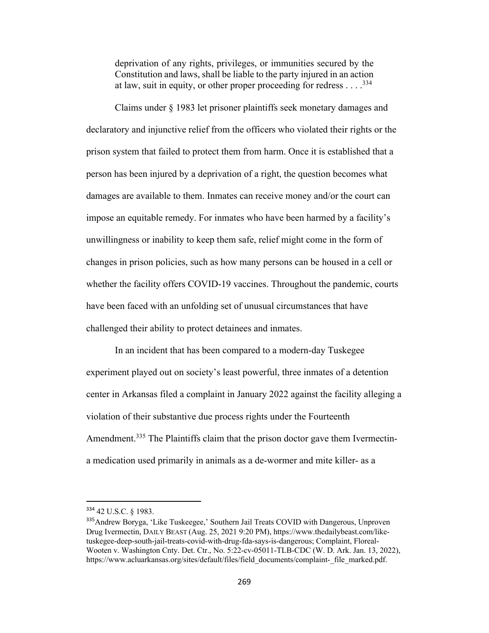deprivation of any rights, privileges, or immunities secured by the Constitution and laws, shall be liable to the party injured in an action at law, suit in equity, or other proper proceeding for redress  $\dots$ .<sup>334</sup>

Claims under § 1983 let prisoner plaintiffs seek monetary damages and declaratory and injunctive relief from the officers who violated their rights or the prison system that failed to protect them from harm. Once it is established that a person has been injured by a deprivation of a right, the question becomes what damages are available to them. Inmates can receive money and/or the court can impose an equitable remedy. For inmates who have been harmed by a facility's unwillingness or inability to keep them safe, relief might come in the form of changes in prison policies, such as how many persons can be housed in a cell or whether the facility offers COVID-19 vaccines. Throughout the pandemic, courts have been faced with an unfolding set of unusual circumstances that have challenged their ability to protect detainees and inmates.

In an incident that has been compared to a modern-day Tuskegee experiment played out on society's least powerful, three inmates of a detention center in Arkansas filed a complaint in January 2022 against the facility alleging a violation of their substantive due process rights under the Fourteenth Amendment.<sup>335</sup> The Plaintiffs claim that the prison doctor gave them Ivermectina medication used primarily in animals as a de-wormer and mite killer- as a

<sup>334</sup> 42 U.S.C. § 1983.

<sup>335</sup>Andrew Boryga, 'Like Tuskeegee,' Southern Jail Treats COVID with Dangerous, Unproven Drug Ivermectin, DAILY BEAST (Aug. 25, 2021 9:20 PM), https://www.thedailybeast.com/liketuskegee-deep-south-jail-treats-covid-with-drug-fda-says-is-dangerous; Complaint, Floreal-Wooten v. Washington Cnty. Det. Ctr., No. 5:22-cv-05011-TLB-CDC (W. D. Ark. Jan. 13, 2022), https://www.acluarkansas.org/sites/default/files/field\_documents/complaint-\_file\_marked.pdf.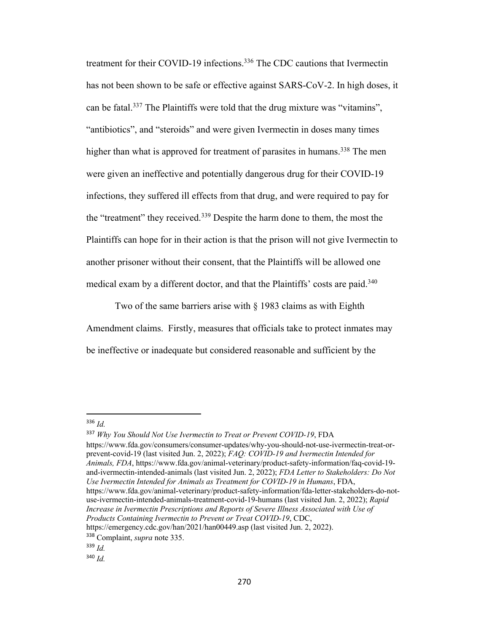treatment for their COVID-19 infections.<sup>336</sup> The CDC cautions that Ivermectin has not been shown to be safe or effective against SARS-CoV-2. In high doses, it can be fatal.<sup>337</sup> The Plaintiffs were told that the drug mixture was "vitamins", "antibiotics", and "steroids" and were given Ivermectin in doses many times higher than what is approved for treatment of parasites in humans.<sup>338</sup> The men were given an ineffective and potentially dangerous drug for their COVID-19 infections, they suffered ill effects from that drug, and were required to pay for the "treatment" they received.<sup>339</sup> Despite the harm done to them, the most the Plaintiffs can hope for in their action is that the prison will not give Ivermectin to another prisoner without their consent, that the Plaintiffs will be allowed one medical exam by a different doctor, and that the Plaintiffs' costs are paid.<sup>340</sup>

Two of the same barriers arise with § 1983 claims as with Eighth Amendment claims. Firstly, measures that officials take to protect inmates may be ineffective or inadequate but considered reasonable and sufficient by the

<sup>337</sup> *Why You Should Not Use Ivermectin to Treat or Prevent COVID-19*, FDA https://www.fda.gov/consumers/consumer-updates/why-you-should-not-use-ivermectin-treat-orprevent-covid-19 (last visited Jun. 2, 2022); *FAQ: COVID-19 and Ivermectin Intended for Animals, FDA*, https://www.fda.gov/animal-veterinary/product-safety-information/faq-covid-19 and-ivermectin-intended-animals (last visited Jun. 2, 2022); *FDA Letter to Stakeholders: Do Not Use Ivermectin Intended for Animals as Treatment for COVID-19 in Humans*, FDA, https://www.fda.gov/animal-veterinary/product-safety-information/fda-letter-stakeholders-do-notuse-ivermectin-intended-animals-treatment-covid-19-humans (last visited Jun. 2, 2022); *Rapid Increase in Ivermectin Prescriptions and Reports of Severe Illness Associated with Use of Products Containing Ivermectin to Prevent or Treat COVID-19*, CDC, https://emergency.cdc.gov/han/2021/han00449.asp (last visited Jun. 2, 2022).

<sup>336</sup> *Id.*

<sup>338</sup> Complaint, *supra* note 335.

<sup>339</sup> *Id.*

<sup>340</sup> *Id.*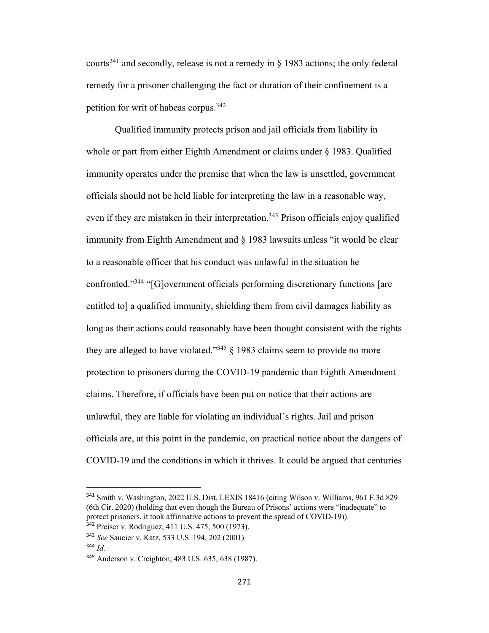courts<sup>341</sup> and secondly, release is not a remedy in  $\S$  1983 actions; the only federal remedy for a prisoner challenging the fact or duration of their confinement is a petition for writ of habeas corpus.342

Qualified immunity protects prison and jail officials from liability in whole or part from either Eighth Amendment or claims under § 1983. Qualified immunity operates under the premise that when the law is unsettled, government officials should not be held liable for interpreting the law in a reasonable way, even if they are mistaken in their interpretation.<sup>343</sup> Prison officials enjoy qualified immunity from Eighth Amendment and § 1983 lawsuits unless "it would be clear to a reasonable officer that his conduct was unlawful in the situation he confronted."344 "[G]overnment officials performing discretionary functions [are entitled to] a qualified immunity, shielding them from civil damages liability as long as their actions could reasonably have been thought consistent with the rights they are alleged to have violated."<sup>345</sup> § 1983 claims seem to provide no more protection to prisoners during the COVID-19 pandemic than Eighth Amendment claims. Therefore, if officials have been put on notice that their actions are unlawful, they are liable for violating an individual's rights. Jail and prison officials are, at this point in the pandemic, on practical notice about the dangers of COVID-19 and the conditions in which it thrives. It could be argued that centuries

<sup>341</sup> Smith v. Washington, 2022 U.S. Dist. LEXIS 18416 (citing Wilson v. Williams, 961 F.3d 829 (6th Cir. 2020) (holding that even though the Bureau of Prisons' actions were "inadequate" to protect prisoners, it took affirmative actions to prevent the spread of COVID-19)).

<sup>342</sup> Preiser v. Rodriguez, 411 U.S. 475, 500 (1973).

<sup>343</sup> *See* Saucier v. Katz, 533 U.S. 194, 202 (2001).

<sup>344</sup> *Id.*

<sup>345</sup> Anderson v. Creighton, 483 U.S. 635, 638 (1987).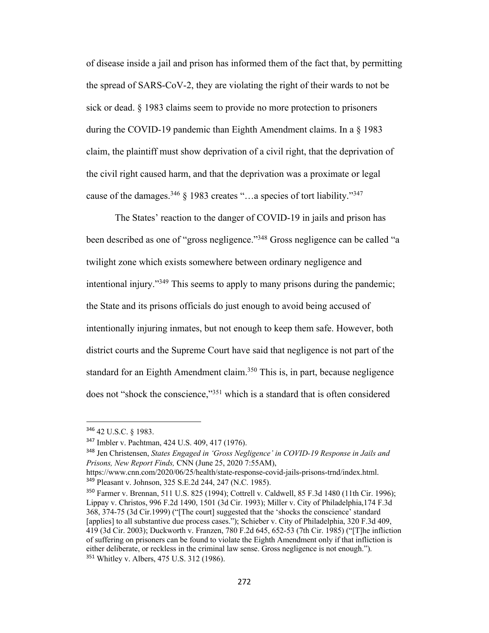of disease inside a jail and prison has informed them of the fact that, by permitting the spread of SARS-CoV-2, they are violating the right of their wards to not be sick or dead. § 1983 claims seem to provide no more protection to prisoners during the COVID-19 pandemic than Eighth Amendment claims. In a § 1983 claim, the plaintiff must show deprivation of a civil right, that the deprivation of the civil right caused harm, and that the deprivation was a proximate or legal cause of the damages.<sup>346</sup> § 1983 creates "...a species of tort liability."<sup>347</sup>

The States' reaction to the danger of COVID-19 in jails and prison has been described as one of "gross negligence."348 Gross negligence can be called "a twilight zone which exists somewhere between ordinary negligence and intentional injury."349 This seems to apply to many prisons during the pandemic; the State and its prisons officials do just enough to avoid being accused of intentionally injuring inmates, but not enough to keep them safe. However, both district courts and the Supreme Court have said that negligence is not part of the standard for an Eighth Amendment claim.<sup>350</sup> This is, in part, because negligence does not "shock the conscience,"351 which is a standard that is often considered

<sup>346</sup> 42 U.S.C. § 1983.

<sup>347</sup> Imbler v. Pachtman, 424 U.S. 409, 417 (1976).

<sup>348</sup> Jen Christensen, *States Engaged in 'Gross Negligence' in COVID-19 Response in Jails and Prisons, New Report Finds,* CNN (June 25, 2020 7:55AM),

https://www.cnn.com/2020/06/25/health/state-response-covid-jails-prisons-trnd/index.html. <sup>349</sup> Pleasant v. Johnson, 325 S.E.2d 244, 247 (N.C. 1985).

<sup>350</sup> Farmer v. Brennan, 511 U.S. 825 (1994); Cottrell v. Caldwell, 85 F.3d 1480 (11th Cir. 1996); Lippay v. Christos, 996 F.2d 1490, 1501 (3d Cir. 1993); Miller v. City of Philadelphia,174 F.3d 368, 374-75 (3d Cir.1999) ("[The court] suggested that the 'shocks the conscience' standard [applies] to all substantive due process cases."); Schieber v. City of Philadelphia, 320 F.3d 409, 419 (3d Cir. 2003); Duckworth v. Franzen, 780 F.2d 645, 652-53 (7th Cir. 1985) ("[T]he infliction of suffering on prisoners can be found to violate the Eighth Amendment only if that infliction is either deliberate, or reckless in the criminal law sense. Gross negligence is not enough."). <sup>351</sup> Whitley v. Albers, 475 U.S. 312 (1986).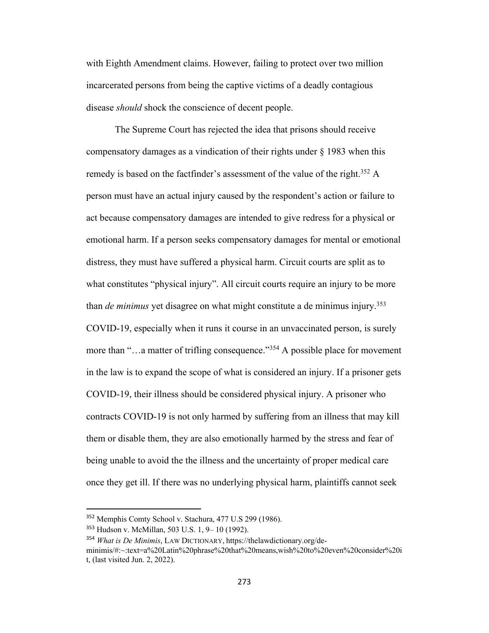with Eighth Amendment claims. However, failing to protect over two million incarcerated persons from being the captive victims of a deadly contagious disease *should* shock the conscience of decent people.

The Supreme Court has rejected the idea that prisons should receive compensatory damages as a vindication of their rights under  $\S$  1983 when this remedy is based on the factfinder's assessment of the value of the right.<sup>352</sup> A person must have an actual injury caused by the respondent's action or failure to act because compensatory damages are intended to give redress for a physical or emotional harm. If a person seeks compensatory damages for mental or emotional distress, they must have suffered a physical harm. Circuit courts are split as to what constitutes "physical injury". All circuit courts require an injury to be more than *de minimus* yet disagree on what might constitute a de minimus injury.353 COVID-19, especially when it runs it course in an unvaccinated person, is surely more than "…a matter of trifling consequence."<sup>354</sup> A possible place for movement in the law is to expand the scope of what is considered an injury. If a prisoner gets COVID-19, their illness should be considered physical injury. A prisoner who contracts COVID-19 is not only harmed by suffering from an illness that may kill them or disable them, they are also emotionally harmed by the stress and fear of being unable to avoid the the illness and the uncertainty of proper medical care once they get ill. If there was no underlying physical harm, plaintiffs cannot seek

<sup>354</sup> *What is De Minimis*, LAW DICTIONARY, https://thelawdictionary.org/deminimis/#:~:text=a%20Latin%20phrase%20that%20means,wish%20to%20even%20consider%20i t, (last visited Jun. 2, 2022).

<sup>352</sup> Memphis Comty School v. Stachura, 477 U.S 299 (1986).

<sup>353</sup> Hudson v. McMillan, 503 U.S. 1, 9– 10 (1992).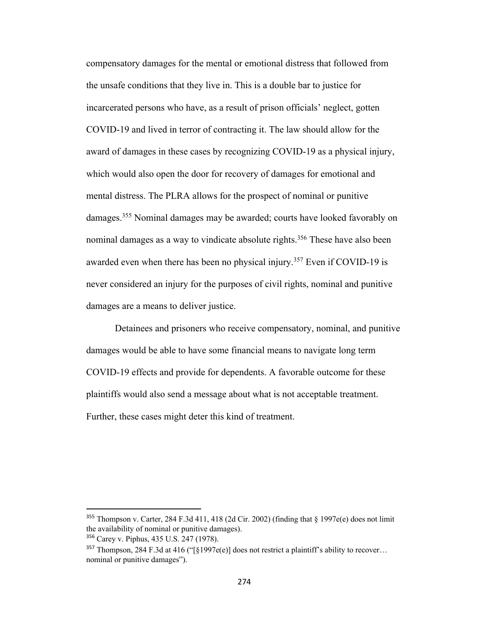compensatory damages for the mental or emotional distress that followed from the unsafe conditions that they live in. This is a double bar to justice for incarcerated persons who have, as a result of prison officials' neglect, gotten COVID-19 and lived in terror of contracting it. The law should allow for the award of damages in these cases by recognizing COVID-19 as a physical injury, which would also open the door for recovery of damages for emotional and mental distress. The PLRA allows for the prospect of nominal or punitive damages.355 Nominal damages may be awarded; courts have looked favorably on nominal damages as a way to vindicate absolute rights.<sup>356</sup> These have also been awarded even when there has been no physical injury.<sup>357</sup> Even if COVID-19 is never considered an injury for the purposes of civil rights, nominal and punitive damages are a means to deliver justice.

Detainees and prisoners who receive compensatory, nominal, and punitive damages would be able to have some financial means to navigate long term COVID-19 effects and provide for dependents. A favorable outcome for these plaintiffs would also send a message about what is not acceptable treatment. Further, these cases might deter this kind of treatment.

<sup>355</sup> Thompson v. Carter, 284 F.3d 411, 418 (2d Cir. 2002) (finding that § 1997e(e) does not limit the availability of nominal or punitive damages).

<sup>356</sup> Carey v. Piphus, 435 U.S. 247 (1978).

<sup>&</sup>lt;sup>357</sup> Thompson, 284 F.3d at 416 ("[§1997e(e)] does not restrict a plaintiff's ability to recover... nominal or punitive damages").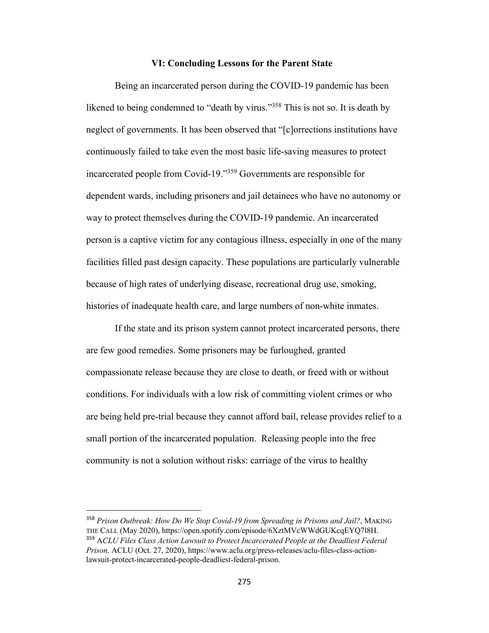## **VI: Concluding Lessons for the Parent State**

Being an incarcerated person during the COVID-19 pandemic has been likened to being condemned to "death by virus."<sup>358</sup> This is not so. It is death by neglect of governments. It has been observed that "[c]orrections institutions have continuously failed to take even the most basic life-saving measures to protect incarcerated people from Covid-19."359 Governments are responsible for dependent wards, including prisoners and jail detainees who have no autonomy or way to protect themselves during the COVID-19 pandemic. An incarcerated person is a captive victim for any contagious illness, especially in one of the many facilities filled past design capacity. These populations are particularly vulnerable because of high rates of underlying disease, recreational drug use, smoking, histories of inadequate health care, and large numbers of non-white inmates.

If the state and its prison system cannot protect incarcerated persons, there are few good remedies. Some prisoners may be furloughed, granted compassionate release because they are close to death, or freed with or without conditions. For individuals with a low risk of committing violent crimes or who are being held pre-trial because they cannot afford bail, release provides relief to a small portion of the incarcerated population. Releasing people into the free community is not a solution without risks: carriage of the virus to healthy

<sup>358</sup> *Prison Outbreak: How Do We Stop Covid-19 from Spreading in Prisons and Jail?*, MAKING THE CALL (May 2020), https://open.spotify.com/episode/6XztMVcWWdGUKcqEYQ7l8H. <sup>359</sup> A*CLU Files Class Action Lawsuit to Protect Incarcerated People at the Deadliest Federal Prison,* ACLU (Oct. 27, 2020), https://www.aclu.org/press-releases/aclu-files-class-actionlawsuit-protect-incarcerated-people-deadliest-federal-prison.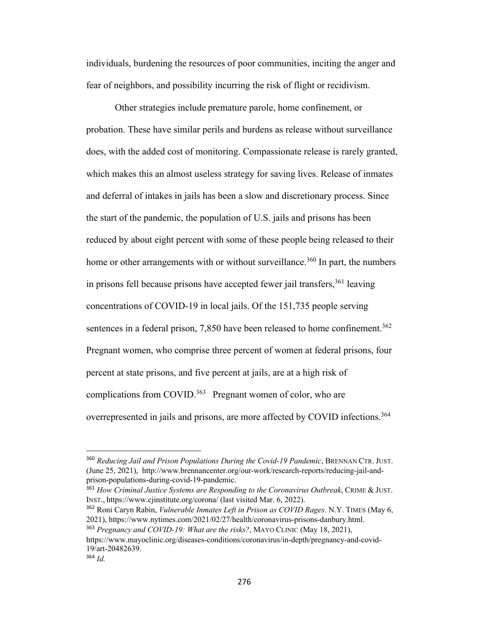individuals, burdening the resources of poor communities, inciting the anger and fear of neighbors, and possibility incurring the risk of flight or recidivism.

Other strategies include premature parole, home confinement, or probation. These have similar perils and burdens as release without surveillance does, with the added cost of monitoring. Compassionate release is rarely granted, which makes this an almost useless strategy for saving lives. Release of inmates and deferral of intakes in jails has been a slow and discretionary process. Since the start of the pandemic, the population of U.S. jails and prisons has been reduced by about eight percent with some of these people being released to their home or other arrangements with or without surveillance.<sup>360</sup> In part, the numbers in prisons fell because prisons have accepted fewer jail transfers,  $361$  leaving concentrations of COVID-19 in local jails. Of the 151,735 people serving sentences in a federal prison,  $7,850$  have been released to home confinement.<sup>362</sup> Pregnant women, who comprise three percent of women at federal prisons, four percent at state prisons, and five percent at jails, are at a high risk of complications from COVID.<sup>363</sup> Pregnant women of color, who are overrepresented in jails and prisons, are more affected by COVID infections.364

<sup>361</sup> *How Criminal Justice Systems are Responding to the Coronavirus Outbreak*, CRIME & JUST. INST., https://www.cjinstitute.org/corona/ (last visited Mar. 6, 2022).

<sup>362</sup> Roni Caryn Rabin, *Vulnerable Inmates Left in Prison as COVID Rages*. N.Y. TIMES (May 6, 2021), https://www.nytimes.com/2021/02/27/health/coronavirus-prisons-danbury.html. <sup>363</sup> *Pregnancy and COVID-19: What are the risks?*, MAYO CLINIC (May 18, 2021),

<sup>360</sup> *Reducing Jail and Prison Populations During the Covid-19 Pandemic*, BRENNAN CTR. JUST. (June 25, 2021), http://www.brennancenter.org/our-work/research-reports/reducing-jail-andprison-populations-during-covid-19-pandemic.

https://www.mayoclinic.org/diseases-conditions/coronavirus/in-depth/pregnancy-and-covid-19/art-20482639.

<sup>364</sup> *Id.*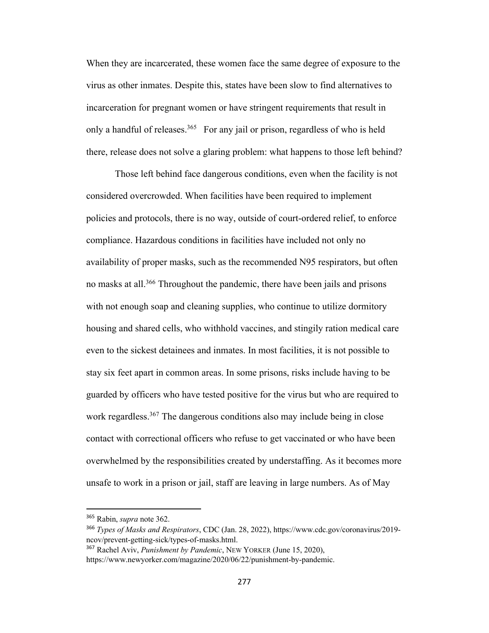When they are incarcerated, these women face the same degree of exposure to the virus as other inmates. Despite this, states have been slow to find alternatives to incarceration for pregnant women or have stringent requirements that result in only a handful of releases.<sup>365</sup> For any jail or prison, regardless of who is held there, release does not solve a glaring problem: what happens to those left behind?

Those left behind face dangerous conditions, even when the facility is not considered overcrowded. When facilities have been required to implement policies and protocols, there is no way, outside of court-ordered relief, to enforce compliance. Hazardous conditions in facilities have included not only no availability of proper masks, such as the recommended N95 respirators, but often no masks at all.<sup>366</sup> Throughout the pandemic, there have been jails and prisons with not enough soap and cleaning supplies, who continue to utilize dormitory housing and shared cells, who withhold vaccines, and stingily ration medical care even to the sickest detainees and inmates. In most facilities, it is not possible to stay six feet apart in common areas. In some prisons, risks include having to be guarded by officers who have tested positive for the virus but who are required to work regardless.<sup>367</sup> The dangerous conditions also may include being in close contact with correctional officers who refuse to get vaccinated or who have been overwhelmed by the responsibilities created by understaffing. As it becomes more unsafe to work in a prison or jail, staff are leaving in large numbers. As of May

<sup>365</sup> Rabin, *supra* note 362.

<sup>366</sup> *Types of Masks and Respirators*, CDC (Jan. 28, 2022), https://www.cdc.gov/coronavirus/2019 ncov/prevent-getting-sick/types-of-masks.html.

<sup>367</sup> Rachel Aviv, *Punishment by Pandemic*, NEW YORKER (June 15, 2020),

https://www.newyorker.com/magazine/2020/06/22/punishment-by-pandemic.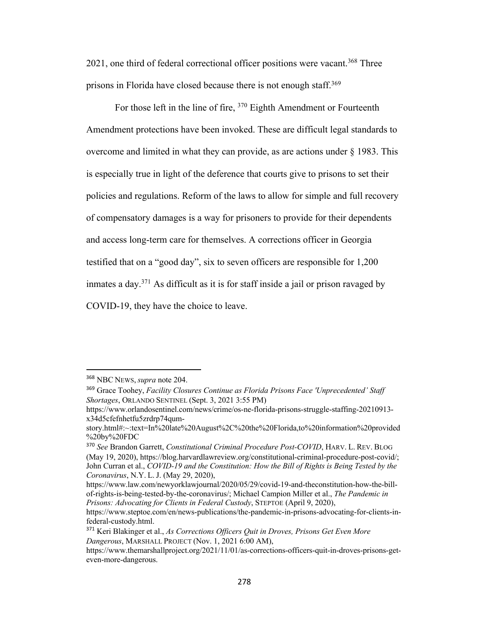2021, one third of federal correctional officer positions were vacant.<sup>368</sup> Three prisons in Florida have closed because there is not enough staff.<sup>369</sup>

For those left in the line of fire, 370 Eighth Amendment or Fourteenth Amendment protections have been invoked. These are difficult legal standards to overcome and limited in what they can provide, as are actions under § 1983. This is especially true in light of the deference that courts give to prisons to set their policies and regulations. Reform of the laws to allow for simple and full recovery of compensatory damages is a way for prisoners to provide for their dependents and access long-term care for themselves. A corrections officer in Georgia testified that on a "good day", six to seven officers are responsible for 1,200 inmates a day.371 As difficult as it is for staff inside a jail or prison ravaged by COVID-19, they have the choice to leave.

<sup>368</sup> NBC NEWS, *supra* note 204.

<sup>369</sup> Grace Toohey, *Facility Closures Continue as Florida Prisons Face 'Unprecedented' Staff Shortages*, ORLANDO SENTINEL (Sept. 3, 2021 3:55 PM)

https://www.orlandosentinel.com/news/crime/os-ne-florida-prisons-struggle-staffing-20210913 x34d5cfefnhetfu5zrdrp74qum-

story.html#:~:text=In%20late%20August%2C%20the%20Florida,to%20information%20provided %20by%20FDC

<sup>370</sup> *See* Brandon Garrett, *Constitutional Criminal Procedure Post-COVID*, HARV. L. REV. BLOG (May 19, 2020), https://blog.harvardlawreview.org/constitutional-criminal-procedure-post-covid/; John Curran et al., *COVID-19 and the Constitution: How the Bill of Rights is Being Tested by the Coronavirus*, N.Y. L. J. (May 29, 2020),

https://www.law.com/newyorklawjournal/2020/05/29/covid-19-and-theconstitution-how-the-billof-rights-is-being-tested-by-the-coronavirus/; Michael Campion Miller et al., *The Pandemic in Prisons: Advocating for Clients in Federal Custody*, STEPTOE (April 9, 2020),

https://www.steptoe.com/en/news-publications/the-pandemic-in-prisons-advocating-for-clients-infederal-custody.html.

<sup>371</sup> Keri Blakinger et al., *As Corrections Officers Quit in Droves, Prisons Get Even More Dangerous*, MARSHALL PROJECT (Nov. 1, 2021 6:00 AM),

https://www.themarshallproject.org/2021/11/01/as-corrections-officers-quit-in-droves-prisons-geteven-more-dangerous.